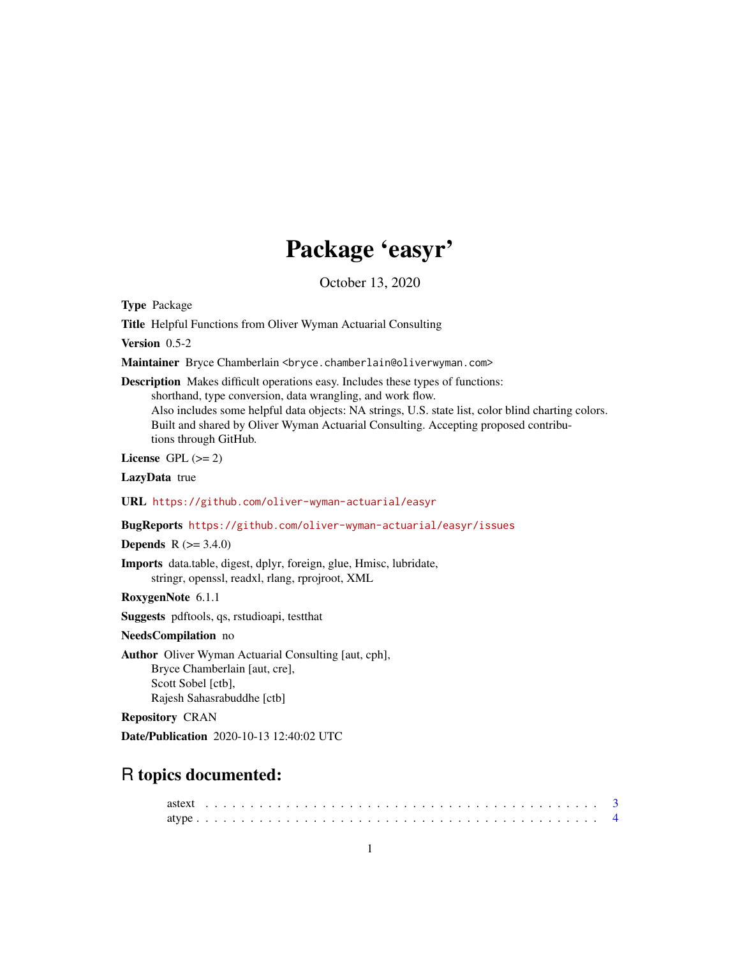# Package 'easyr'

October 13, 2020

Type Package

Title Helpful Functions from Oliver Wyman Actuarial Consulting

Version 0.5-2

Maintainer Bryce Chamberlain <br/>bryce.chamberlain@oliverwyman.com>

Description Makes difficult operations easy. Includes these types of functions: shorthand, type conversion, data wrangling, and work flow. Also includes some helpful data objects: NA strings, U.S. state list, color blind charting colors. Built and shared by Oliver Wyman Actuarial Consulting. Accepting proposed contributions through GitHub.

License GPL  $(>= 2)$ 

LazyData true

URL <https://github.com/oliver-wyman-actuarial/easyr>

BugReports <https://github.com/oliver-wyman-actuarial/easyr/issues>

**Depends** R  $(>= 3.4.0)$ 

Imports data.table, digest, dplyr, foreign, glue, Hmisc, lubridate, stringr, openssl, readxl, rlang, rprojroot, XML

RoxygenNote 6.1.1

Suggests pdftools, qs, rstudioapi, testthat

NeedsCompilation no

Author Oliver Wyman Actuarial Consulting [aut, cph], Bryce Chamberlain [aut, cre], Scott Sobel [ctb], Rajesh Sahasrabuddhe [ctb]

Repository CRAN

Date/Publication 2020-10-13 12:40:02 UTC

# R topics documented: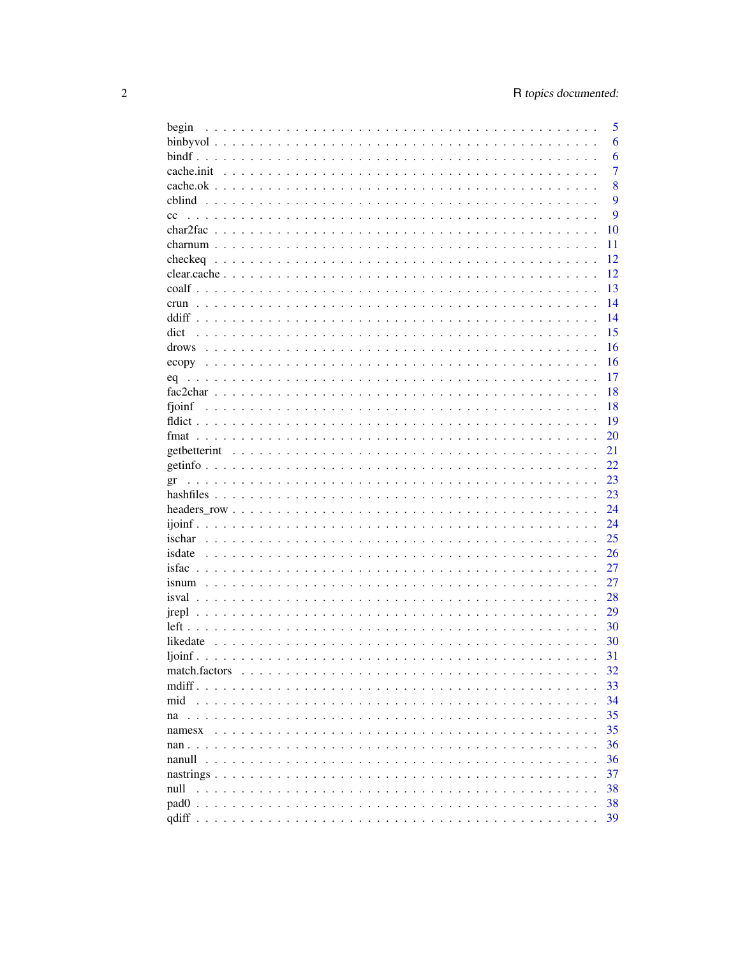| begin            |  |  |  |  |  |  |  |  |  |  |  |  |  | 5              |
|------------------|--|--|--|--|--|--|--|--|--|--|--|--|--|----------------|
|                  |  |  |  |  |  |  |  |  |  |  |  |  |  | 6              |
|                  |  |  |  |  |  |  |  |  |  |  |  |  |  | 6              |
|                  |  |  |  |  |  |  |  |  |  |  |  |  |  | $\overline{7}$ |
|                  |  |  |  |  |  |  |  |  |  |  |  |  |  | 8              |
|                  |  |  |  |  |  |  |  |  |  |  |  |  |  | 9              |
| cc               |  |  |  |  |  |  |  |  |  |  |  |  |  | 9              |
|                  |  |  |  |  |  |  |  |  |  |  |  |  |  | 10             |
|                  |  |  |  |  |  |  |  |  |  |  |  |  |  | 11             |
|                  |  |  |  |  |  |  |  |  |  |  |  |  |  | 12             |
|                  |  |  |  |  |  |  |  |  |  |  |  |  |  |                |
|                  |  |  |  |  |  |  |  |  |  |  |  |  |  | 12             |
|                  |  |  |  |  |  |  |  |  |  |  |  |  |  | 13             |
| crun             |  |  |  |  |  |  |  |  |  |  |  |  |  | 14             |
|                  |  |  |  |  |  |  |  |  |  |  |  |  |  | 14             |
| dict             |  |  |  |  |  |  |  |  |  |  |  |  |  | 15             |
| drows            |  |  |  |  |  |  |  |  |  |  |  |  |  | 16             |
|                  |  |  |  |  |  |  |  |  |  |  |  |  |  | 16             |
|                  |  |  |  |  |  |  |  |  |  |  |  |  |  | 17             |
|                  |  |  |  |  |  |  |  |  |  |  |  |  |  | 18             |
| fjoinf           |  |  |  |  |  |  |  |  |  |  |  |  |  | 18             |
|                  |  |  |  |  |  |  |  |  |  |  |  |  |  | 19             |
|                  |  |  |  |  |  |  |  |  |  |  |  |  |  | 20             |
|                  |  |  |  |  |  |  |  |  |  |  |  |  |  | 21             |
|                  |  |  |  |  |  |  |  |  |  |  |  |  |  | 22             |
|                  |  |  |  |  |  |  |  |  |  |  |  |  |  | 23             |
| gr               |  |  |  |  |  |  |  |  |  |  |  |  |  | 23             |
|                  |  |  |  |  |  |  |  |  |  |  |  |  |  |                |
|                  |  |  |  |  |  |  |  |  |  |  |  |  |  | 24             |
|                  |  |  |  |  |  |  |  |  |  |  |  |  |  | 24             |
|                  |  |  |  |  |  |  |  |  |  |  |  |  |  | 25             |
| isdate           |  |  |  |  |  |  |  |  |  |  |  |  |  | 26             |
|                  |  |  |  |  |  |  |  |  |  |  |  |  |  | 27             |
|                  |  |  |  |  |  |  |  |  |  |  |  |  |  | 27             |
|                  |  |  |  |  |  |  |  |  |  |  |  |  |  | 28             |
|                  |  |  |  |  |  |  |  |  |  |  |  |  |  | 29             |
|                  |  |  |  |  |  |  |  |  |  |  |  |  |  | 30             |
|                  |  |  |  |  |  |  |  |  |  |  |  |  |  | 30             |
|                  |  |  |  |  |  |  |  |  |  |  |  |  |  | 31             |
| match.factors    |  |  |  |  |  |  |  |  |  |  |  |  |  | 32             |
| $\text{mdiff}$ . |  |  |  |  |  |  |  |  |  |  |  |  |  | 33             |
| mid              |  |  |  |  |  |  |  |  |  |  |  |  |  | 34             |
|                  |  |  |  |  |  |  |  |  |  |  |  |  |  | 35             |
| na               |  |  |  |  |  |  |  |  |  |  |  |  |  | 35             |
| namesx           |  |  |  |  |  |  |  |  |  |  |  |  |  |                |
|                  |  |  |  |  |  |  |  |  |  |  |  |  |  | 36             |
| nanull           |  |  |  |  |  |  |  |  |  |  |  |  |  | 36             |
|                  |  |  |  |  |  |  |  |  |  |  |  |  |  | 37             |
| null             |  |  |  |  |  |  |  |  |  |  |  |  |  | 38             |
|                  |  |  |  |  |  |  |  |  |  |  |  |  |  | 38             |
|                  |  |  |  |  |  |  |  |  |  |  |  |  |  | 39             |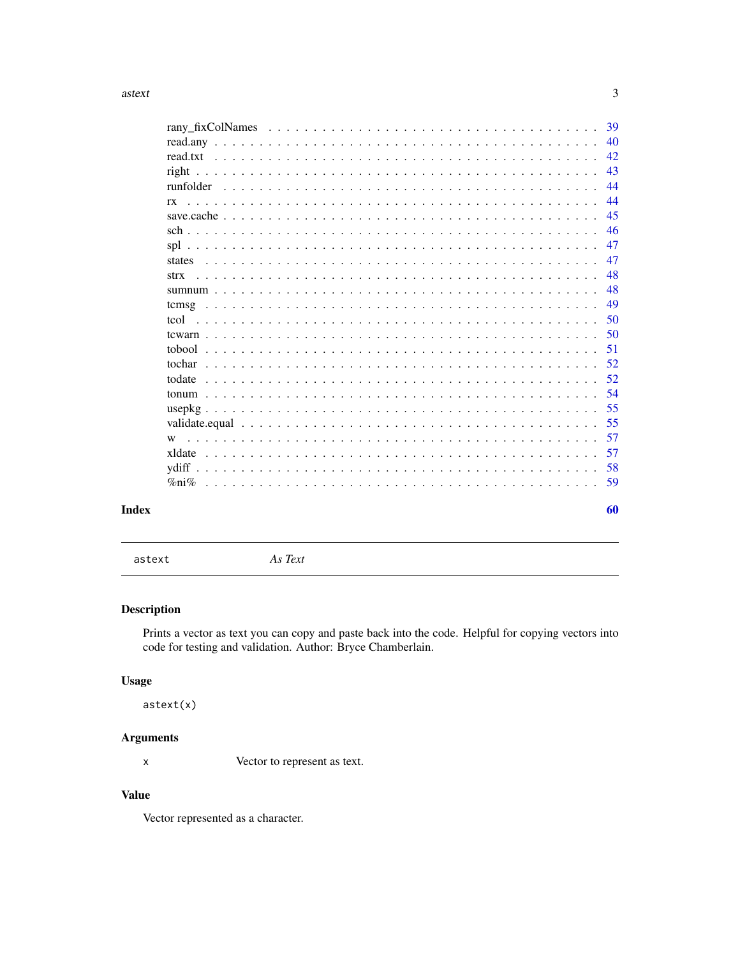<span id="page-2-0"></span>

|                                                                                                                              | -39 |
|------------------------------------------------------------------------------------------------------------------------------|-----|
|                                                                                                                              | 40  |
|                                                                                                                              | 42  |
|                                                                                                                              | 43  |
|                                                                                                                              | 44  |
| rx                                                                                                                           | 44  |
|                                                                                                                              | 45  |
|                                                                                                                              | 46  |
|                                                                                                                              | 47  |
| states                                                                                                                       | 47  |
| <u>. A provincial de la califactura de la califactura de la califactura de la califactura de la califactura de l</u><br>strx | 48  |
|                                                                                                                              | 48  |
|                                                                                                                              | 49  |
|                                                                                                                              | 50  |
|                                                                                                                              | 50  |
|                                                                                                                              | 51  |
|                                                                                                                              | 52  |
|                                                                                                                              | 52  |
|                                                                                                                              | 54  |
|                                                                                                                              | 55  |
|                                                                                                                              | 55  |
| <u>. De la caractería de la caractería de la caractería de la caractería de la caractería de la caractería de la</u><br>W    | 57  |
|                                                                                                                              | 57  |
|                                                                                                                              | 58  |
| $\%$ ni $\%$                                                                                                                 | 59  |
|                                                                                                                              |     |
|                                                                                                                              | 60  |

# **Index**

astext

As Text

# Description

Prints a vector as text you can copy and paste back into the code. Helpful for copying vectors into code for testing and validation. Author: Bryce Chamberlain.

# **Usage**

 $astext(x)$ 

# **Arguments**

Vector to represent as text.  $\pmb{\mathsf{X}}$ 

# **Value**

Vector represented as a character.

 $\overline{3}$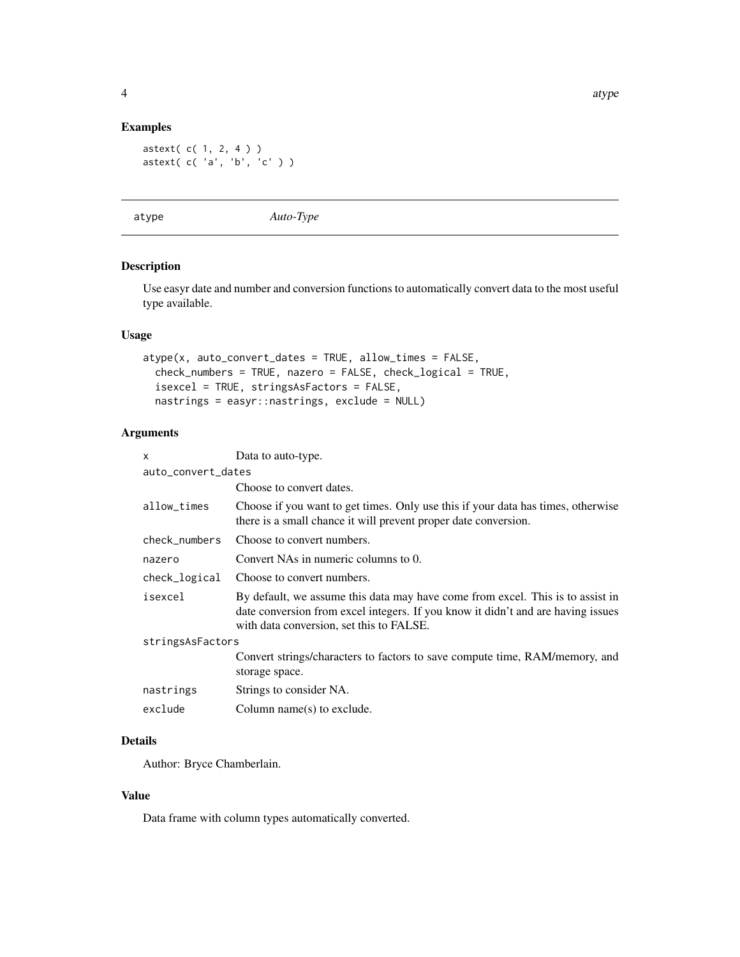#### <span id="page-3-0"></span>Examples

astext( c( 1, 2, 4 ) ) astext( c( 'a', 'b', 'c' ) )

atype *Auto-Type*

# Description

Use easyr date and number and conversion functions to automatically convert data to the most useful type available.

#### Usage

```
atype(x, auto_convert_dates = TRUE, allow_times = FALSE,
 check_numbers = TRUE, nazero = FALSE, check_logical = TRUE,
 isexcel = TRUE, stringsAsFactors = FALSE,
 nastrings = easyr::nastrings, exclude = NULL)
```
# Arguments

| $\mathsf{x}$       | Data to auto-type.                                                                                                                                                                                             |
|--------------------|----------------------------------------------------------------------------------------------------------------------------------------------------------------------------------------------------------------|
| auto_convert_dates |                                                                                                                                                                                                                |
|                    | Choose to convert dates.                                                                                                                                                                                       |
| allow_times        | Choose if you want to get times. Only use this if your data has times, otherwise<br>there is a small chance it will prevent proper date conversion.                                                            |
| check_numbers      | Choose to convert numbers.                                                                                                                                                                                     |
| nazero             | Convert NAs in numeric columns to 0.                                                                                                                                                                           |
| check_logical      | Choose to convert numbers.                                                                                                                                                                                     |
| isexcel            | By default, we assume this data may have come from excel. This is to assist in<br>date conversion from excel integers. If you know it didn't and are having issues<br>with data conversion, set this to FALSE. |
| stringsAsFactors   |                                                                                                                                                                                                                |
|                    | Convert strings/characters to factors to save compute time, RAM/memory, and<br>storage space.                                                                                                                  |
| nastrings          | Strings to consider NA.                                                                                                                                                                                        |
| exclude            | Column name(s) to exclude.                                                                                                                                                                                     |

# Details

Author: Bryce Chamberlain.

#### Value

Data frame with column types automatically converted.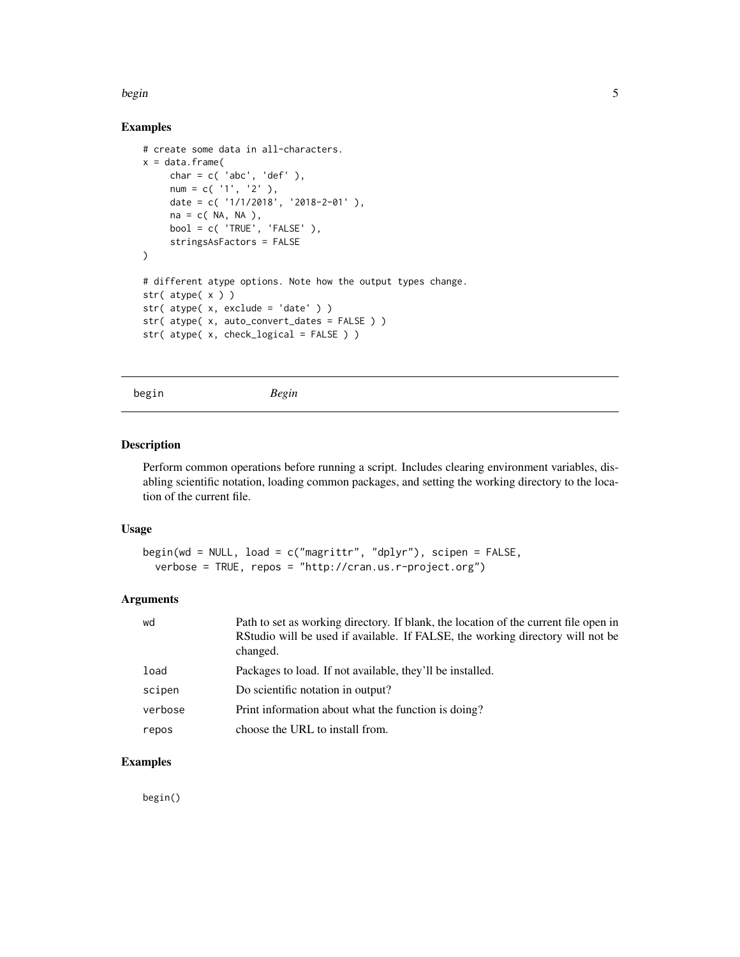#### <span id="page-4-0"></span>begin 5

# Examples

```
# create some data in all-characters.
x = data.frame(
    char = c('abc', 'def'),num = c('1', '2'),
    date = c( '1/1/2018', '2018-2-01' ),
    na = c( NA, NA ),
    bool = c('TRUE', 'FALSE'),
    stringsAsFactors = FALSE
)
# different atype options. Note how the output types change.
str( atype( x ) )
str( atype( x, exclude = 'date' ) )
str( atype( x, auto_convert_dates = FALSE ) )
str( atype( x, check_logical = FALSE ) )
```
begin *Begin*

# Description

Perform common operations before running a script. Includes clearing environment variables, disabling scientific notation, loading common packages, and setting the working directory to the location of the current file.

#### Usage

```
begin(wd = NULL, load = c("magrittr", "dplyr"), scipen = FALSE,
 verbose = TRUE, repos = "http://cran.us.r-project.org")
```
#### Arguments

| wd      | Path to set as working directory. If blank, the location of the current file open in<br>RStudio will be used if available. If FALSE, the working directory will not be<br>changed. |
|---------|------------------------------------------------------------------------------------------------------------------------------------------------------------------------------------|
| load    | Packages to load. If not available, they'll be installed.                                                                                                                          |
| scipen  | Do scientific notation in output?                                                                                                                                                  |
| verbose | Print information about what the function is doing?                                                                                                                                |
| repos   | choose the URL to install from.                                                                                                                                                    |

#### Examples

begin()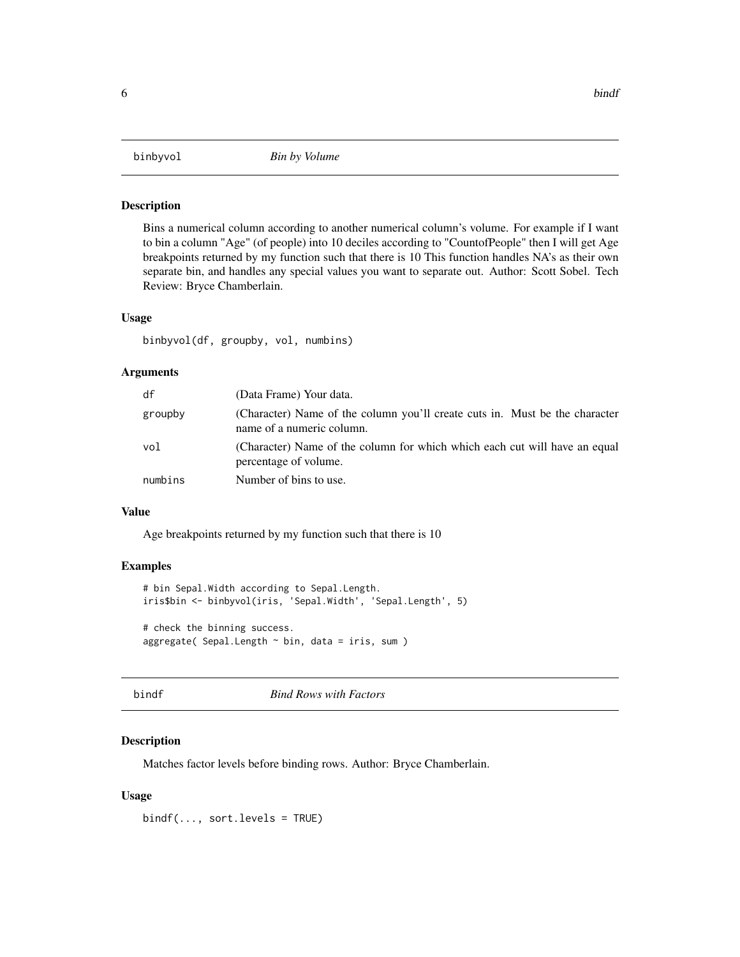<span id="page-5-0"></span>

Bins a numerical column according to another numerical column's volume. For example if I want to bin a column "Age" (of people) into 10 deciles according to "CountofPeople" then I will get Age breakpoints returned by my function such that there is 10 This function handles NA's as their own separate bin, and handles any special values you want to separate out. Author: Scott Sobel. Tech Review: Bryce Chamberlain.

#### Usage

binbyvol(df, groupby, vol, numbins)

# Arguments

| df      | (Data Frame) Your data.                                                                                  |
|---------|----------------------------------------------------------------------------------------------------------|
| groupby | (Character) Name of the column you'll create cuts in. Must be the character<br>name of a numeric column. |
| vol     | (Character) Name of the column for which which each cut will have an equal<br>percentage of volume.      |
| numbins | Number of bins to use.                                                                                   |

#### Value

Age breakpoints returned by my function such that there is 10

#### Examples

```
# bin Sepal.Width according to Sepal.Length.
iris$bin <- binbyvol(iris, 'Sepal.Width', 'Sepal.Length', 5)
# check the binning success.
aggregate( Sepal.Length \sim bin, data = iris, sum )
```
bindf *Bind Rows with Factors*

#### Description

Matches factor levels before binding rows. Author: Bryce Chamberlain.

#### Usage

 $bindf(..., sort.length)$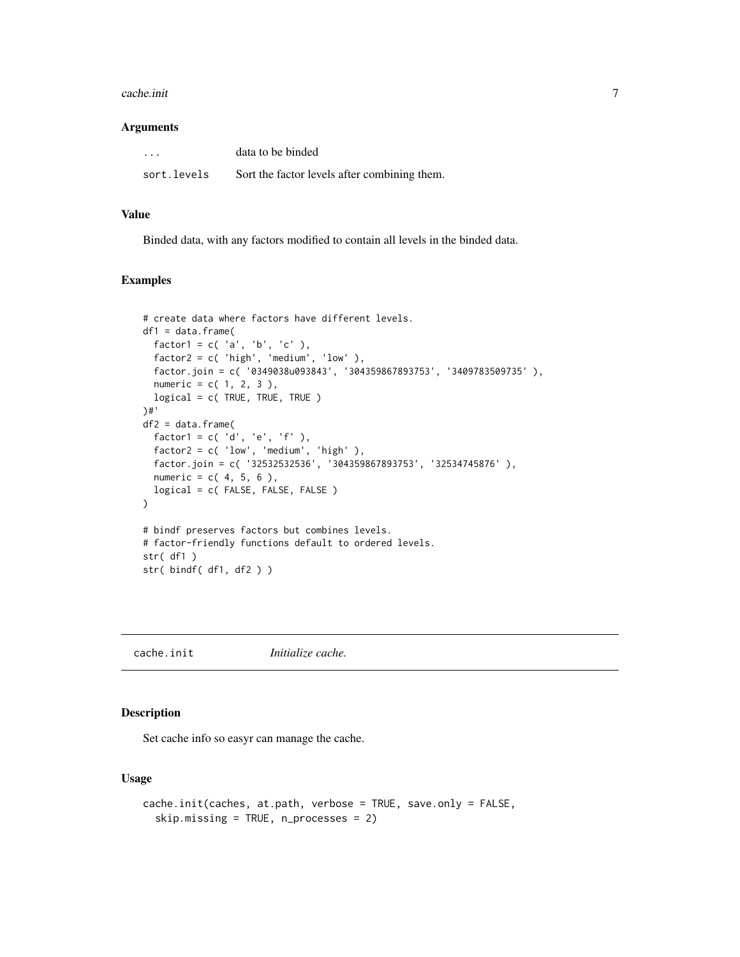#### <span id="page-6-0"></span>cache.init 7

#### **Arguments**

| $\cdots$    | data to be binded                            |
|-------------|----------------------------------------------|
| sort.levels | Sort the factor levels after combining them. |

#### Value

Binded data, with any factors modified to contain all levels in the binded data.

#### Examples

```
# create data where factors have different levels.
df1 = data.frame(factor1 = c('a', 'b', 'c'),
  factor2 = c( 'high', 'medium', 'low' ),
  factor.join = c( '0349038u093843', '304359867893753', '3409783509735' ),
  numeric = c( 1, 2, 3 ),logical = c( TRUE, TRUE, TRUE )
)#'
df2 = data.frame(factor1 = c('d', 'e', 'f'),
  factor2 = c( 'low', 'medium', 'high' ),
  factor.join = c( '32532532536', '304359867893753', '32534745876' ),
  numeric = c( 4, 5, 6 ),logical = c( FALSE, FALSE, FALSE )
\lambda# bindf preserves factors but combines levels.
# factor-friendly functions default to ordered levels.
str( df1 )
str( bindf( df1, df2 ) )
```
cache.init *Initialize cache.*

#### Description

Set cache info so easyr can manage the cache.

#### Usage

```
cache.init(caches, at.path, verbose = TRUE, save.only = FALSE,
  skip.missing = TRUE, n_processes = 2)
```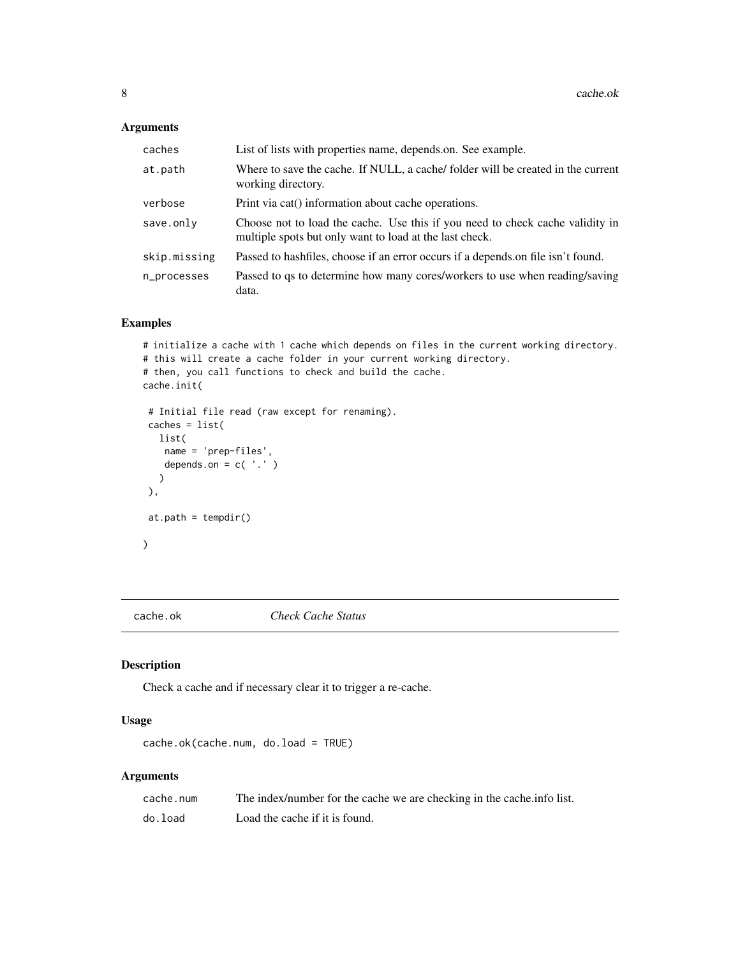# <span id="page-7-0"></span>Arguments

| caches       | List of lists with properties name, depends.on. See example.                                                                             |
|--------------|------------------------------------------------------------------------------------------------------------------------------------------|
| at.path      | Where to save the cache. If NULL, a cache/ folder will be created in the current<br>working directory.                                   |
| verbose      | Print via cat() information about cache operations.                                                                                      |
| save.only    | Choose not to load the cache. Use this if you need to check cache validity in<br>multiple spots but only want to load at the last check. |
| skip.missing | Passed to hashfiles, choose if an error occurs if a depends on file isn't found.                                                         |
| n_processes  | Passed to qs to determine how many cores/workers to use when reading/saving<br>data.                                                     |

# Examples

```
# initialize a cache with 1 cache which depends on files in the current working directory.
# this will create a cache folder in your current working directory.
# then, you call functions to check and build the cache.
cache.init(
 # Initial file read (raw except for renaming).
 caches = list(
  list(
   name = 'prep-files',
   depends.on = c('.''))
```

```
at.path = tempdir()
```

```
)
```
),

cache.ok *Check Cache Status*

# Description

Check a cache and if necessary clear it to trigger a re-cache.

#### Usage

```
cache.ok(cache.num, do.load = TRUE)
```

| cache.num | The index/number for the cache we are checking in the cache info list. |
|-----------|------------------------------------------------------------------------|
| do.load   | Load the cache if it is found.                                         |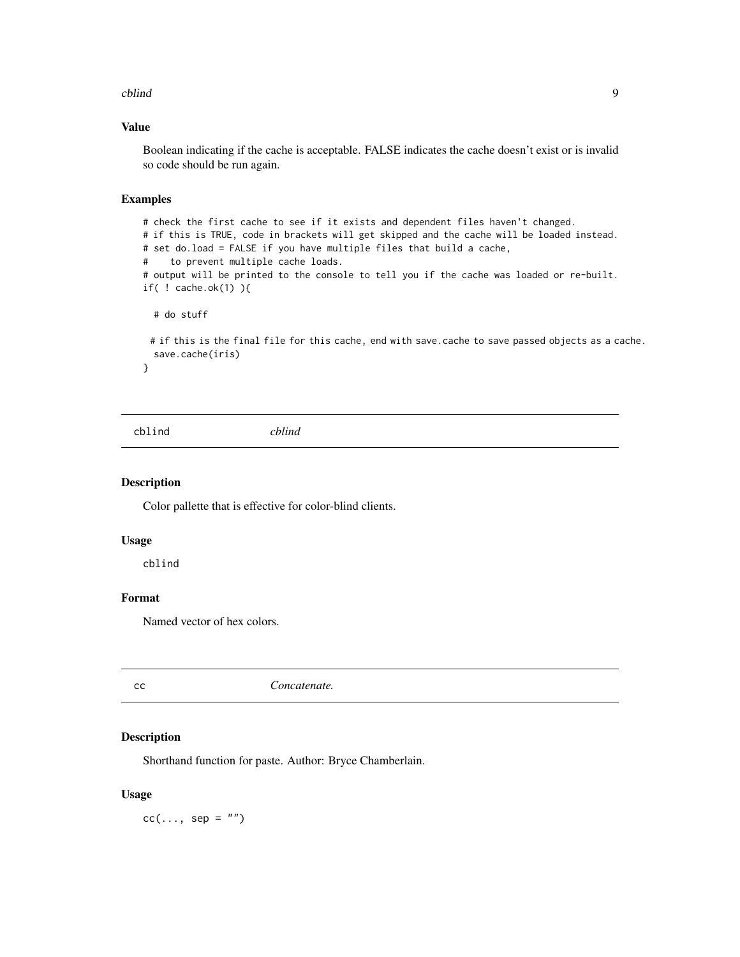#### <span id="page-8-0"></span>cblind 9

#### Value

Boolean indicating if the cache is acceptable. FALSE indicates the cache doesn't exist or is invalid so code should be run again.

# Examples

```
# check the first cache to see if it exists and dependent files haven't changed.
# if this is TRUE, code in brackets will get skipped and the cache will be loaded instead.
# set do.load = FALSE if you have multiple files that build a cache,
# to prevent multiple cache loads.
# output will be printed to the console to tell you if the cache was loaded or re-built.
if( ! cache.ok(1) ){
 # do stuff
```
# if this is the final file for this cache, end with save.cache to save passed objects as a cache. save.cache(iris)

}

cblind *cblind*

#### Description

Color pallette that is effective for color-blind clients.

#### Usage

cblind

# Format

Named vector of hex colors.

cc *Concatenate.*

# Description

Shorthand function for paste. Author: Bryce Chamberlain.

#### Usage

 $cc(\ldots, sep = "")$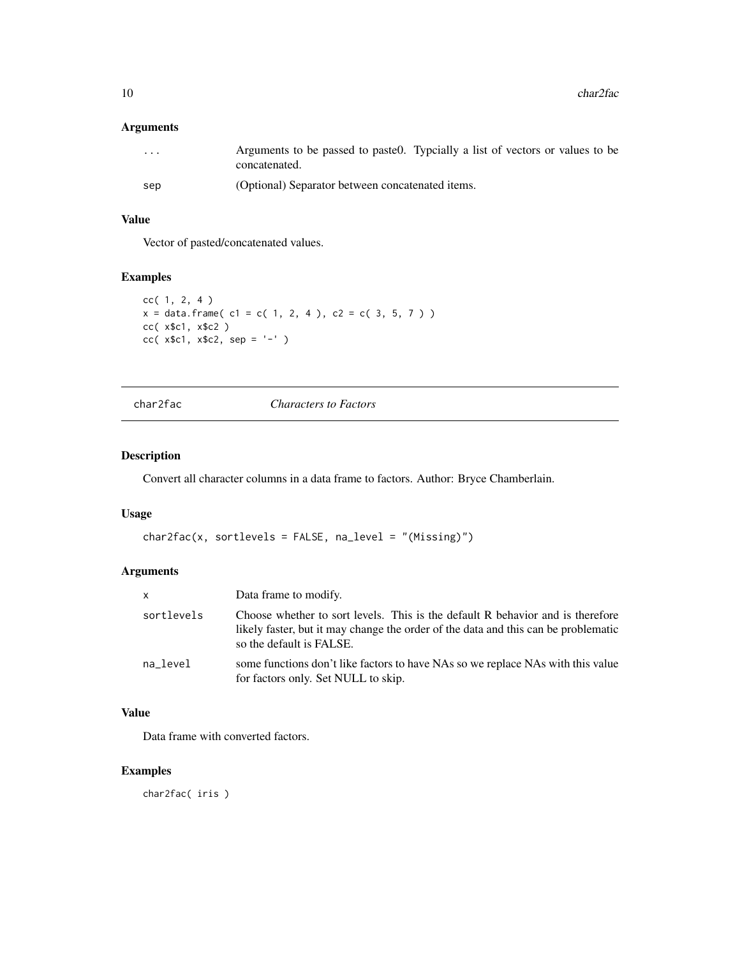# <span id="page-9-0"></span>Arguments

| .   | Arguments to be passed to paste 0. Typcially a list of vectors or values to be<br>concatenated. |
|-----|-------------------------------------------------------------------------------------------------|
| sep | (Optional) Separator between concatenated items.                                                |

# Value

Vector of pasted/concatenated values.

# Examples

```
cc( 1, 2, 4 )
x = data. frame( c1 = c( 1, 2, 4 ), c2 = c( 3, 5, 7 ) )
cc( x$c1, x$c2 )
cc(x$c1, x$c2, sep = '-' )
```
char2fac *Characters to Factors*

# Description

Convert all character columns in a data frame to factors. Author: Bryce Chamberlain.

# Usage

```
char2fac(x, sortlevels = FALSE, na_level = "(Missing)")
```
# Arguments

| x          | Data frame to modify.                                                                                                                                                                            |
|------------|--------------------------------------------------------------------------------------------------------------------------------------------------------------------------------------------------|
| sortlevels | Choose whether to sort levels. This is the default R behavior and is therefore<br>likely faster, but it may change the order of the data and this can be problematic<br>so the default is FALSE. |
| na level   | some functions don't like factors to have NAs so we replace NAs with this value<br>for factors only. Set NULL to skip.                                                                           |

# Value

Data frame with converted factors.

# Examples

char2fac( iris )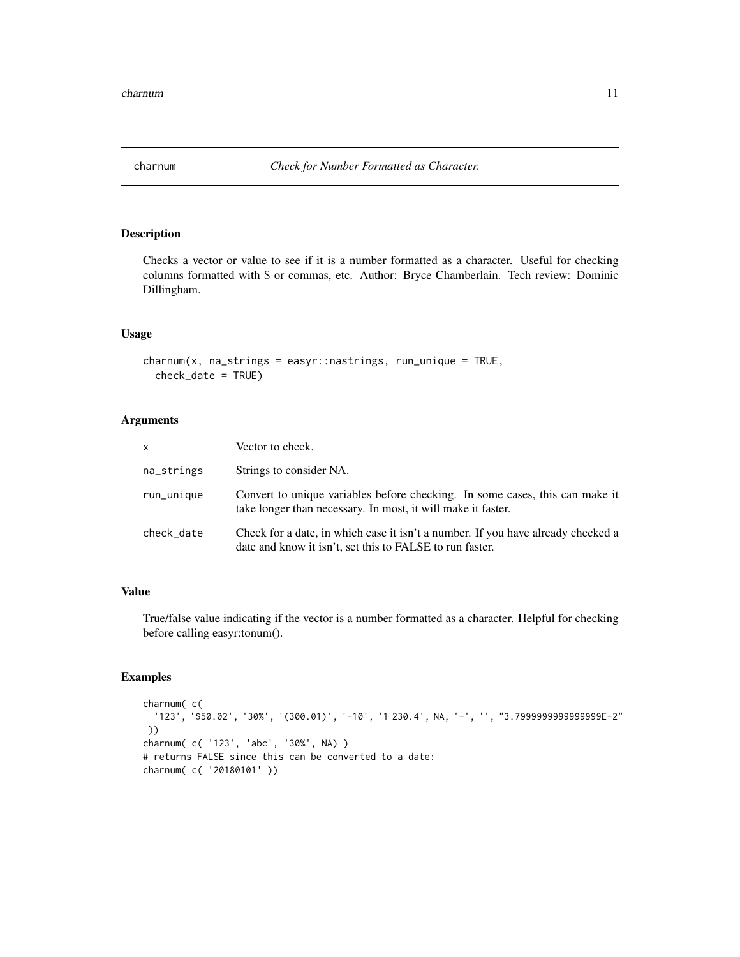<span id="page-10-0"></span>

Checks a vector or value to see if it is a number formatted as a character. Useful for checking columns formatted with \$ or commas, etc. Author: Bryce Chamberlain. Tech review: Dominic Dillingham.

#### Usage

charnum(x, na\_strings = easyr::nastrings, run\_unique = TRUE, check\_date = TRUE)

#### Arguments

| x          | Vector to check.                                                                                                                             |
|------------|----------------------------------------------------------------------------------------------------------------------------------------------|
| na_strings | Strings to consider NA.                                                                                                                      |
| run_unique | Convert to unique variables before checking. In some cases, this can make it<br>take longer than necessary. In most, it will make it faster. |
| check date | Check for a date, in which case it isn't a number. If you have already checked a<br>date and know it isn't, set this to FALSE to run faster. |

# Value

True/false value indicating if the vector is a number formatted as a character. Helpful for checking before calling easyr:tonum().

```
charnum( c(
 '123', '$50.02', '30%', '(300.01)', '-10', '1 230.4', NA, '-', '', "3.7999999999999999E-2"
))
charnum( c( '123', 'abc', '30%', NA) )
# returns FALSE since this can be converted to a date:
charnum( c( '20180101' ))
```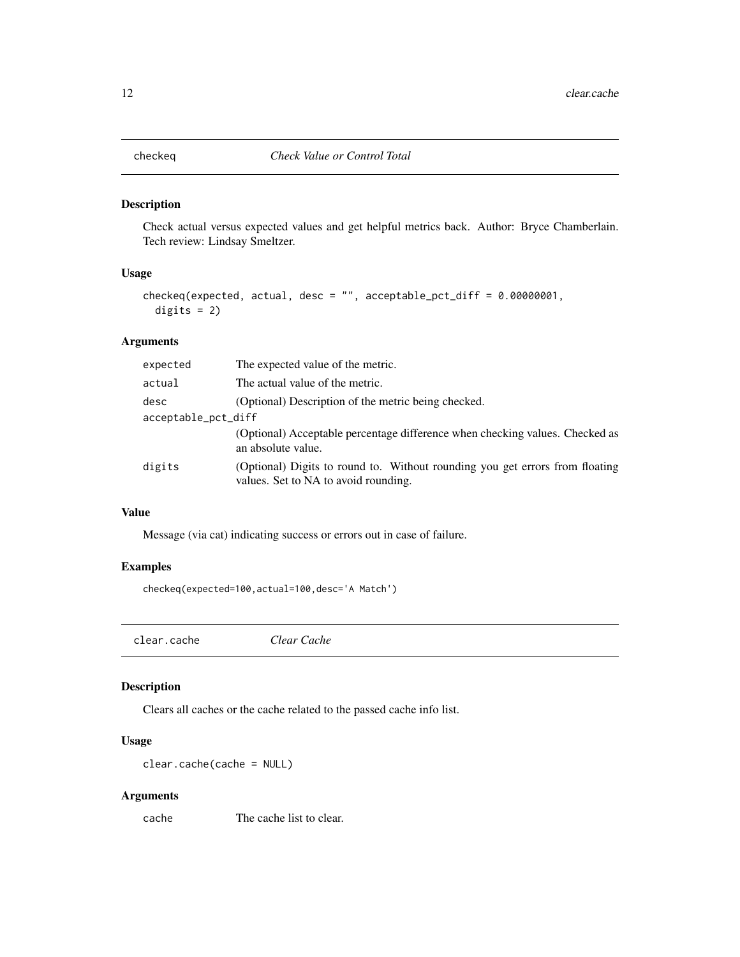<span id="page-11-0"></span>

Check actual versus expected values and get helpful metrics back. Author: Bryce Chamberlain. Tech review: Lindsay Smeltzer.

# Usage

```
checkeq(expected, actual, desc = "", acceptable_pct_diff = 0.00000001,
 digits = 2)
```
#### Arguments

| expected            | The expected value of the metric.                                                                                    |
|---------------------|----------------------------------------------------------------------------------------------------------------------|
| actual              | The actual value of the metric.                                                                                      |
| desc                | (Optional) Description of the metric being checked.                                                                  |
| acceptable_pct_diff |                                                                                                                      |
|                     | (Optional) Acceptable percentage difference when checking values. Checked as<br>an absolute value.                   |
| digits              | (Optional) Digits to round to. Without rounding you get errors from floating<br>values. Set to NA to avoid rounding. |

# Value

Message (via cat) indicating success or errors out in case of failure.

#### Examples

checkeq(expected=100,actual=100,desc='A Match')

clear.cache *Clear Cache*

#### Description

Clears all caches or the cache related to the passed cache info list.

# Usage

clear.cache(cache = NULL)

#### Arguments

cache The cache list to clear.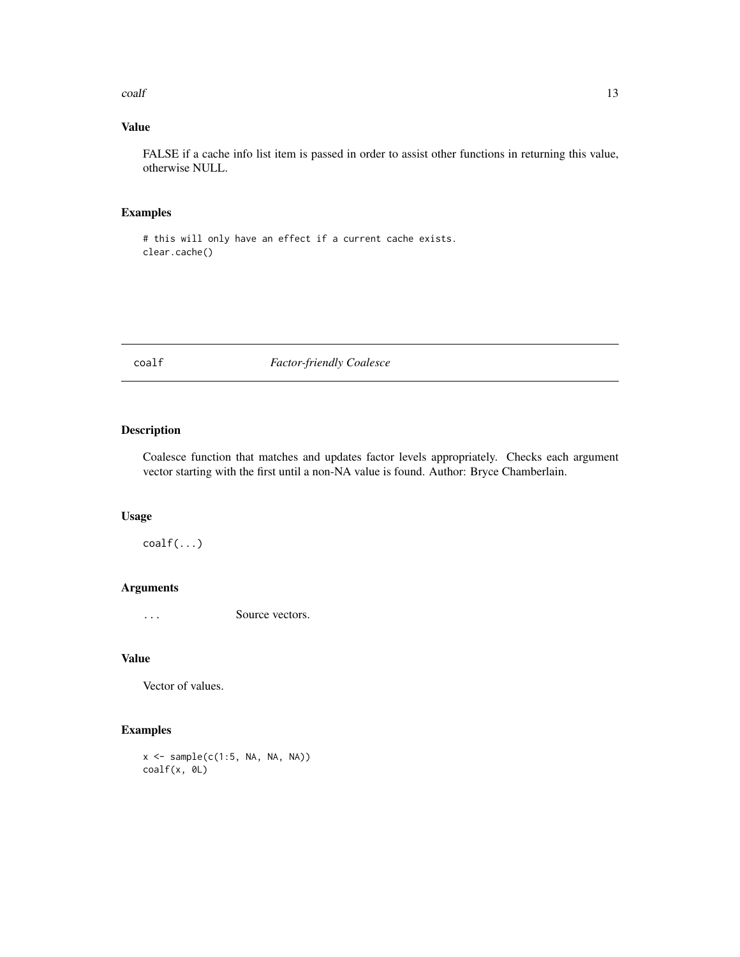<span id="page-12-0"></span>coalf and the contract of the contract of the contract of the contract of the contract of the contract of the contract of the contract of the contract of the contract of the contract of the contract of the contract of the

# Value

FALSE if a cache info list item is passed in order to assist other functions in returning this value, otherwise NULL.

# Examples

# this will only have an effect if a current cache exists. clear.cache()

coalf *Factor-friendly Coalesce*

# Description

Coalesce function that matches and updates factor levels appropriately. Checks each argument vector starting with the first until a non-NA value is found. Author: Bryce Chamberlain.

#### Usage

coalf(...)

# Arguments

... Source vectors.

#### Value

Vector of values.

# Examples

x <- sample(c(1:5, NA, NA, NA)) coalf(x, 0L)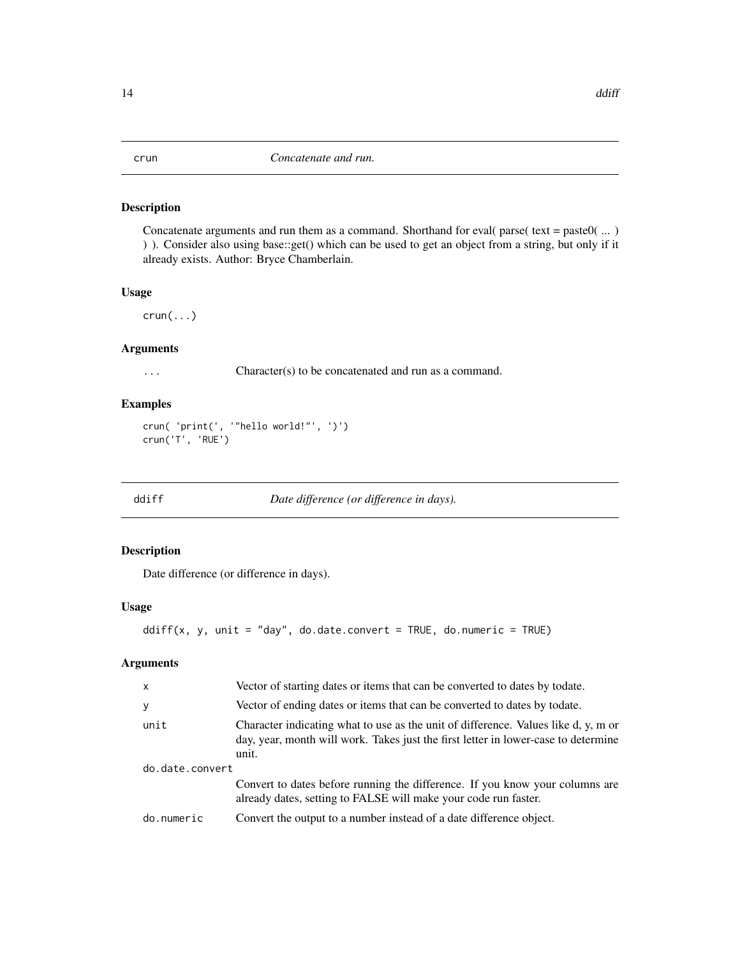<span id="page-13-0"></span>

Concatenate arguments and run them as a command. Shorthand for eval( parse( text = paste $0(....)$ ) ) ). Consider also using base::get() which can be used to get an object from a string, but only if it already exists. Author: Bryce Chamberlain.

# Usage

 $crun(...)$ 

# Arguments

... Character(s) to be concatenated and run as a command.

#### Examples

```
crun( 'print(', '"hello world!"', ')')
crun('T', 'RUE')
```
ddiff *Date difference (or difference in days).*

# Description

Date difference (or difference in days).

#### Usage

```
ddiff(x, y, unit = "day", do.date.convert = TRUE, do.numeric = TRUE)
```

| $\mathsf{X}$    | Vector of starting dates or items that can be converted to dates by todate.                                                                                                       |  |
|-----------------|-----------------------------------------------------------------------------------------------------------------------------------------------------------------------------------|--|
| У               | Vector of ending dates or items that can be converted to dates by todate.                                                                                                         |  |
| unit            | Character indicating what to use as the unit of difference. Values like d, y, m or<br>day, year, month will work. Takes just the first letter in lower-case to determine<br>unit. |  |
| do.date.convert |                                                                                                                                                                                   |  |
|                 | Convert to dates before running the difference. If you know your columns are<br>already dates, setting to FALSE will make your code run faster.                                   |  |
| do.numeric      | Convert the output to a number instead of a date difference object.                                                                                                               |  |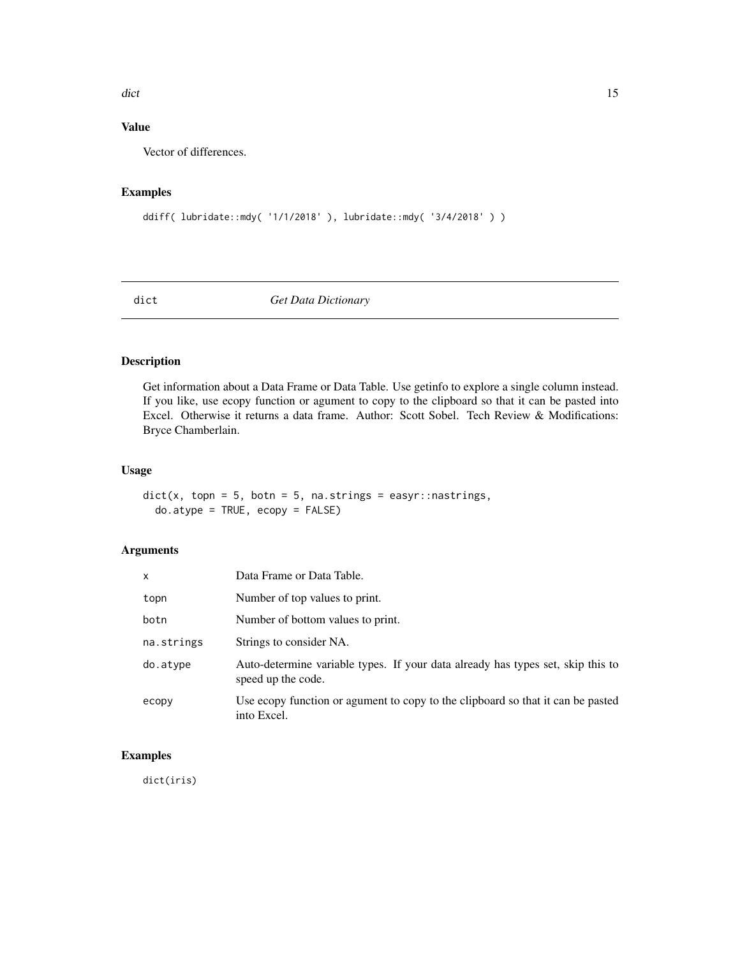#### <span id="page-14-0"></span>dict the contract of the contract of the contract of the contract of the contract of the contract of the contract of the contract of the contract of the contract of the contract of the contract of the contract of the contr

# Value

Vector of differences.

# Examples

```
ddiff( lubridate::mdy( '1/1/2018' ), lubridate::mdy( '3/4/2018' ) )
```
dict *Get Data Dictionary*

# Description

Get information about a Data Frame or Data Table. Use getinfo to explore a single column instead. If you like, use ecopy function or agument to copy to the clipboard so that it can be pasted into Excel. Otherwise it returns a data frame. Author: Scott Sobel. Tech Review & Modifications: Bryce Chamberlain.

# Usage

```
dict(x, topn = 5, both = 5, na.strings = easyr::nastrings,do.atype = TRUE, ecopy = FALSE)
```
# Arguments

| $\mathsf{x}$ | Data Frame or Data Table.                                                                             |
|--------------|-------------------------------------------------------------------------------------------------------|
| topn         | Number of top values to print.                                                                        |
| botn         | Number of bottom values to print.                                                                     |
| na.strings   | Strings to consider NA.                                                                               |
| do.atype     | Auto-determine variable types. If your data already has types set, skip this to<br>speed up the code. |
| ecopy        | Use ecopy function or agument to copy to the clipboard so that it can be pasted<br>into Excel.        |

#### Examples

dict(iris)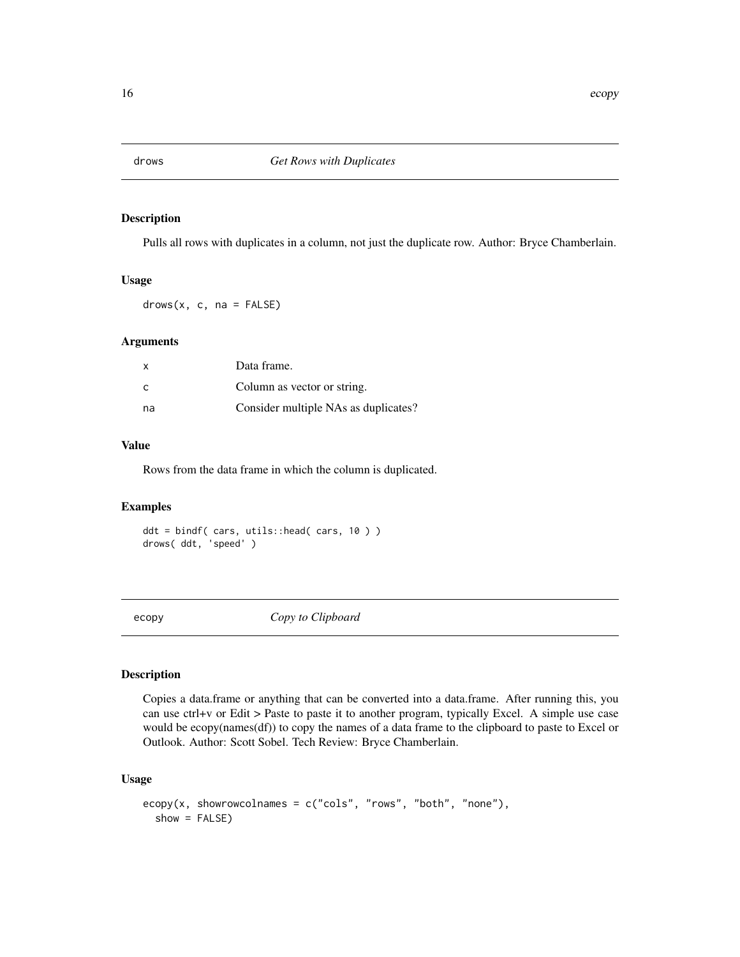<span id="page-15-0"></span>

Pulls all rows with duplicates in a column, not just the duplicate row. Author: Bryce Chamberlain.

#### Usage

 $drows(x, c, na = FALSE)$ 

#### Arguments

| $\times$ | Data frame.                          |
|----------|--------------------------------------|
| C        | Column as vector or string.          |
| na.      | Consider multiple NAs as duplicates? |

# Value

Rows from the data frame in which the column is duplicated.

#### Examples

ddt = bindf( cars, utils::head( cars, 10 ) ) drows( ddt, 'speed' )

ecopy *Copy to Clipboard*

# Description

Copies a data.frame or anything that can be converted into a data.frame. After running this, you can use ctrl+v or Edit > Paste to paste it to another program, typically Excel. A simple use case would be ecopy(names(df)) to copy the names of a data frame to the clipboard to paste to Excel or Outlook. Author: Scott Sobel. Tech Review: Bryce Chamberlain.

#### Usage

```
ecopy(x, showrowcolnames = c("cols", "rows", "both", "none"),
  show = FALSE)
```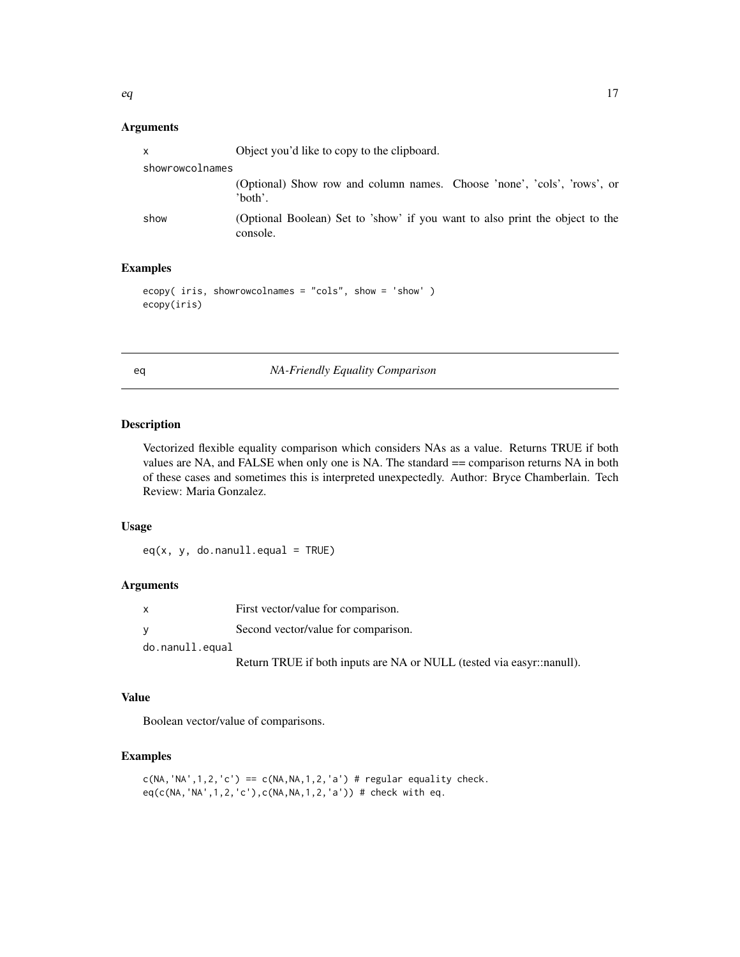#### <span id="page-16-0"></span>Arguments

| X               | Object you'd like to copy to the clipboard.                                              |
|-----------------|------------------------------------------------------------------------------------------|
| showrowcolnames |                                                                                          |
|                 | (Optional) Show row and column names. Choose 'none', 'cols', 'rows', or<br>'both'.       |
| show            | (Optional Boolean) Set to 'show' if you want to also print the object to the<br>console. |

# Examples

```
ecopy( iris, showrowcolnames = "cols", show = 'show' )
ecopy(iris)
```
eq *NA-Friendly Equality Comparison*

# Description

Vectorized flexible equality comparison which considers NAs as a value. Returns TRUE if both values are NA, and FALSE when only one is NA. The standard == comparison returns NA in both of these cases and sometimes this is interpreted unexpectedly. Author: Bryce Chamberlain. Tech Review: Maria Gonzalez.

#### Usage

 $eq(x, y, do.nanull.equals = TRUE)$ 

# Arguments

| x               | First vector/value for comparison.  |
|-----------------|-------------------------------------|
|                 | Second vector/value for comparison. |
| do.nanull.equal |                                     |

Return TRUE if both inputs are NA or NULL (tested via easyr::nanull).

# Value

Boolean vector/value of comparisons.

```
c(NA, 'NA', 1, 2, 'c') == c(NA, NA, 1, 2, 'a') # regular equality check.eq(c(NA,'NA',1,2,'c'),c(NA,NA,1,2,'a')) # check with eq.
```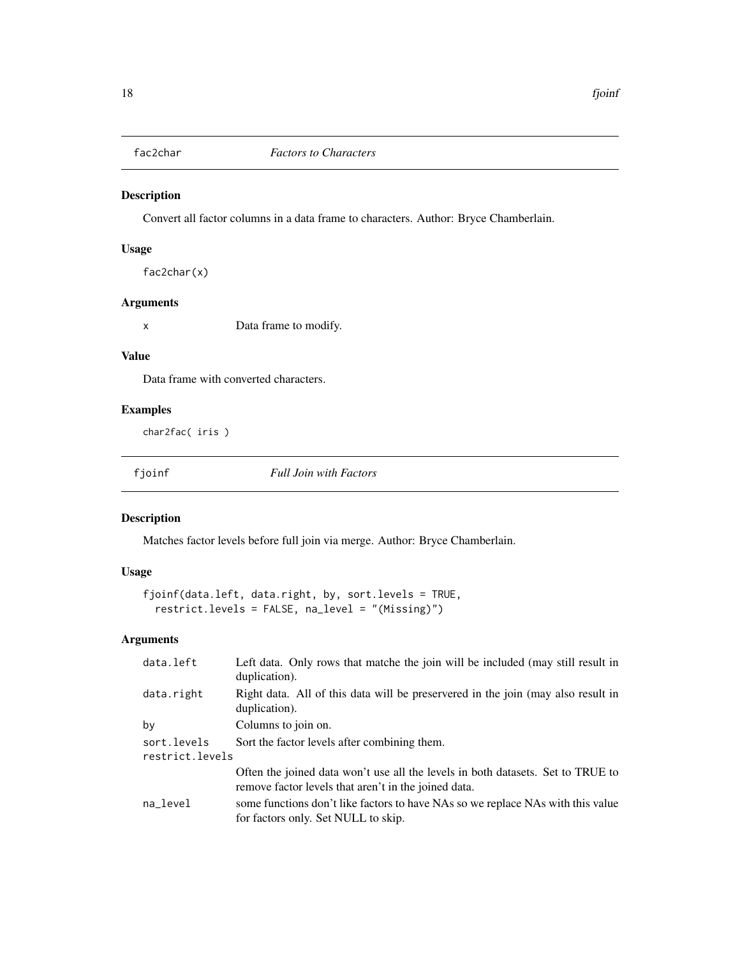<span id="page-17-0"></span>

Convert all factor columns in a data frame to characters. Author: Bryce Chamberlain.

#### Usage

fac2char(x)

#### Arguments

x Data frame to modify.

#### Value

Data frame with converted characters.

# Examples

char2fac( iris )

fjoinf *Full Join with Factors*

# Description

Matches factor levels before full join via merge. Author: Bryce Chamberlain.

# Usage

```
fjoinf(data.left, data.right, by, sort.levels = TRUE,
  restrict.levels = FALSE, na_level = "(Missing)")
```

| data.left                      | Left data. Only rows that matche the join will be included (may still result in<br>duplication).                                        |
|--------------------------------|-----------------------------------------------------------------------------------------------------------------------------------------|
| data.right                     | Right data. All of this data will be preservered in the join (may also result in<br>duplication).                                       |
| by                             | Columns to join on.                                                                                                                     |
| sort.levels<br>restrict.levels | Sort the factor levels after combining them.                                                                                            |
|                                | Often the joined data won't use all the levels in both datasets. Set to TRUE to<br>remove factor levels that aren't in the joined data. |
| na_level                       | some functions don't like factors to have NAs so we replace NAs with this value<br>for factors only. Set NULL to skip.                  |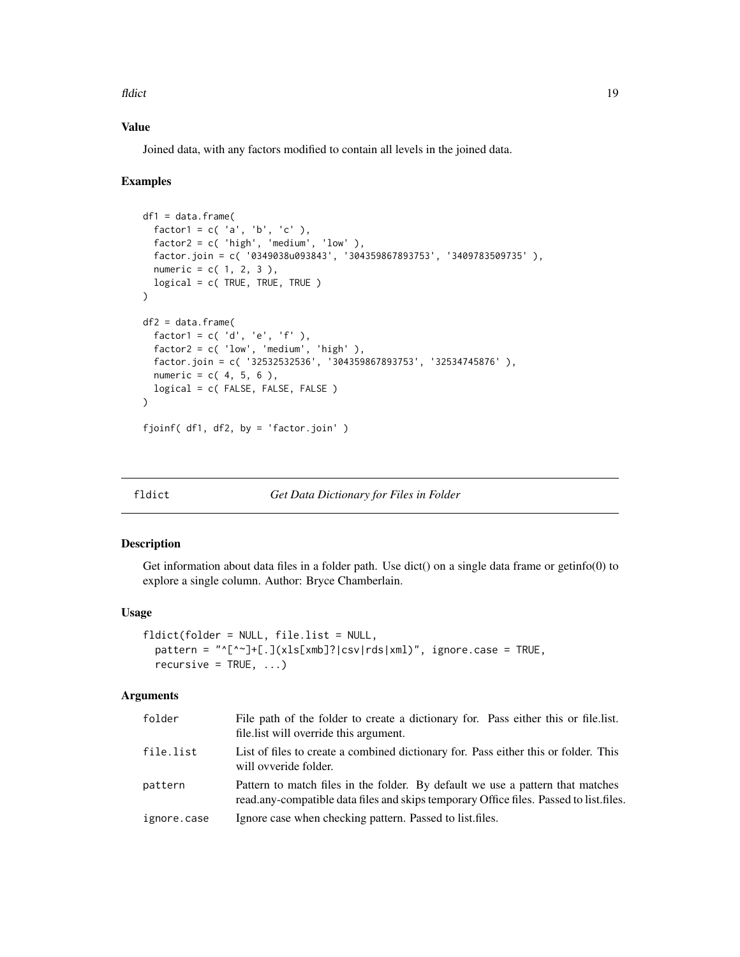<span id="page-18-0"></span>fldict the contract of the contract of the contract of the contract of the contract of the contract of the contract of the contract of the contract of the contract of the contract of the contract of the contract of the con

# Value

Joined data, with any factors modified to contain all levels in the joined data.

#### Examples

```
df1 = data.frame(factor1 = c('a', 'b', 'c'),
  factor2 = c( 'high', 'medium', 'low' ),
  factor.join = c( '0349038u093843', '304359867893753', '3409783509735' ),
  numeric = c( 1, 2, 3 ),logical = c( TRUE, TRUE, TRUE )
\lambdadf2 = data.frame(factor1 = c('d', 'e', 'f'),
  factor2 = c('low', 'medium', 'high'),
  factor.join = c( '32532532536', '304359867893753', '32534745876' ),
  numeric = c( 4, 5, 6 ),logical = c( FALSE, FALSE, FALSE )
)
fjoinf( df1, df2, by = 'factor.join' )
```
#### fldict *Get Data Dictionary for Files in Folder*

#### Description

Get information about data files in a folder path. Use dict() on a single data frame or getinfo(0) to explore a single column. Author: Bryce Chamberlain.

#### Usage

```
fldict(folder = NULL, file.list = NULL,
 pattern = "^[^~]+[.](xls[xmb]?|csv|rds|xml)", ignore.case = TRUE,
 recursively = TRUE, ...
```

| folder      | File path of the folder to create a dictionary for. Pass either this or file.list.<br>file. list will override this argument.                                            |
|-------------|--------------------------------------------------------------------------------------------------------------------------------------------------------------------------|
| file.list   | List of files to create a combined dictionary for. Pass either this or folder. This<br>will ovveride folder.                                                             |
| pattern     | Pattern to match files in the folder. By default we use a pattern that matches<br>read.any-compatible data files and skips temporary Office files. Passed to list files. |
| ignore.case | Ignore case when checking pattern. Passed to list files.                                                                                                                 |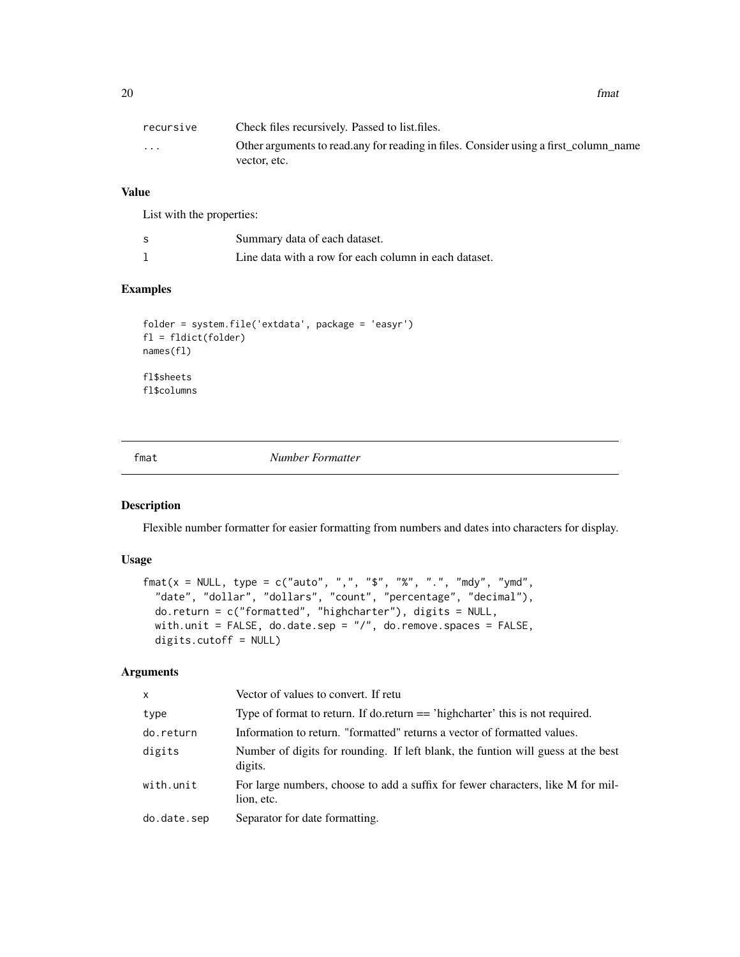<span id="page-19-0"></span> $20$  fmat

| recursive               | Check files recursively. Passed to list files.                                                        |
|-------------------------|-------------------------------------------------------------------------------------------------------|
| $\cdot$ $\cdot$ $\cdot$ | Other arguments to read, any for reading in files. Consider using a first column name<br>vector, etc. |

# Value

List with the properties:

| Summary data of each dataset.                         |
|-------------------------------------------------------|
| Line data with a row for each column in each dataset. |

#### Examples

```
folder = system.file('extdata', package = 'easyr')
fl = fldict(folder)
names(fl)
fl$sheets
fl$columns
```
fmat *Number Formatter*

# Description

Flexible number formatter for easier formatting from numbers and dates into characters for display.

# Usage

```
\text{fmat}(x = \text{NULL}, \text{type} = \text{c("auto", ", ", "$", "$", "%, ", "", "], "mod", ""date", "dollar", "dollars", "count", "percentage", "decimal"),
 do.return = c("formatted", "highcharter"), digits = NULL,
 with.unit = FALSE, do.date.sep = "/", do.remove.spaces = FALSE,
 digits.cutoff = NULL)
```

| $\mathsf{x}$ | Vector of values to convert. If retu                                                          |
|--------------|-----------------------------------------------------------------------------------------------|
| type         | Type of format to return. If do. return == 'highcharter' this is not required.                |
| do.return    | Information to return. "formatted" returns a vector of formatted values.                      |
| digits       | Number of digits for rounding. If left blank, the funtion will guess at the best<br>digits.   |
| with.unit    | For large numbers, choose to add a suffix for fewer characters, like M for mil-<br>lion, etc. |
| do.date.sep  | Separator for date formatting.                                                                |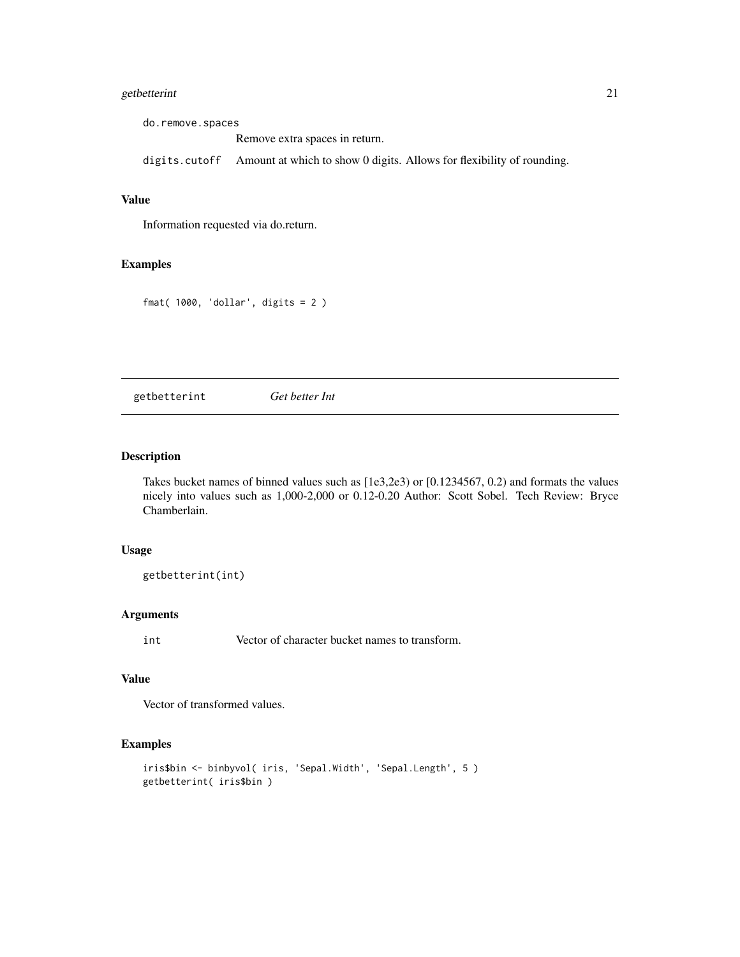# <span id="page-20-0"></span>getbetterint 21

do.remove.spaces Remove extra spaces in return. digits.cutoff Amount at which to show 0 digits. Allows for flexibility of rounding.

# Value

Information requested via do.return.

#### Examples

```
fmat( 1000, 'dollar', digits = 2)
```
getbetterint *Get better Int*

# Description

Takes bucket names of binned values such as [1e3,2e3) or [0.1234567, 0.2) and formats the values nicely into values such as 1,000-2,000 or 0.12-0.20 Author: Scott Sobel. Tech Review: Bryce Chamberlain.

#### Usage

getbetterint(int)

#### Arguments

int Vector of character bucket names to transform.

#### Value

Vector of transformed values.

```
iris$bin <- binbyvol( iris, 'Sepal.Width', 'Sepal.Length', 5 )
getbetterint( iris$bin )
```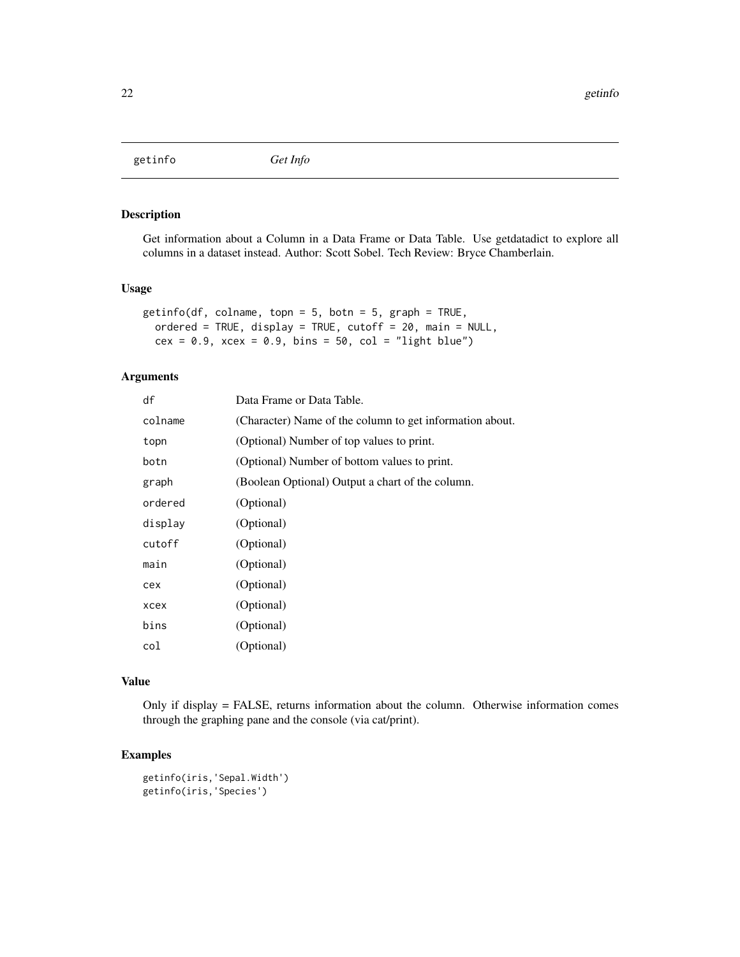<span id="page-21-0"></span>getinfo *Get Info*

#### Description

Get information about a Column in a Data Frame or Data Table. Use getdatadict to explore all columns in a dataset instead. Author: Scott Sobel. Tech Review: Bryce Chamberlain.

#### Usage

```
getinfo(df, colname, topn = 5, botn = 5, graph = TRUE,
 ordered = TRUE, display = TRUE, cutoff = 20, main = NULL,
 cex = 0.9, xcex = 0.9, bins = 50, col = "light blue")
```
#### Arguments

| df      | Data Frame or Data Table.                                |
|---------|----------------------------------------------------------|
| colname | (Character) Name of the column to get information about. |
| topn    | (Optional) Number of top values to print.                |
| botn    | (Optional) Number of bottom values to print.             |
| graph   | (Boolean Optional) Output a chart of the column.         |
| ordered | (Optional)                                               |
| display | (Optional)                                               |
| cutoff  | (Optional)                                               |
| main    | (Optional)                                               |
| cex     | (Optional)                                               |
| xcex    | (Optional)                                               |
| bins    | (Optional)                                               |
| col     | (Optional)                                               |

# Value

Only if display = FALSE, returns information about the column. Otherwise information comes through the graphing pane and the console (via cat/print).

```
getinfo(iris,'Sepal.Width')
getinfo(iris,'Species')
```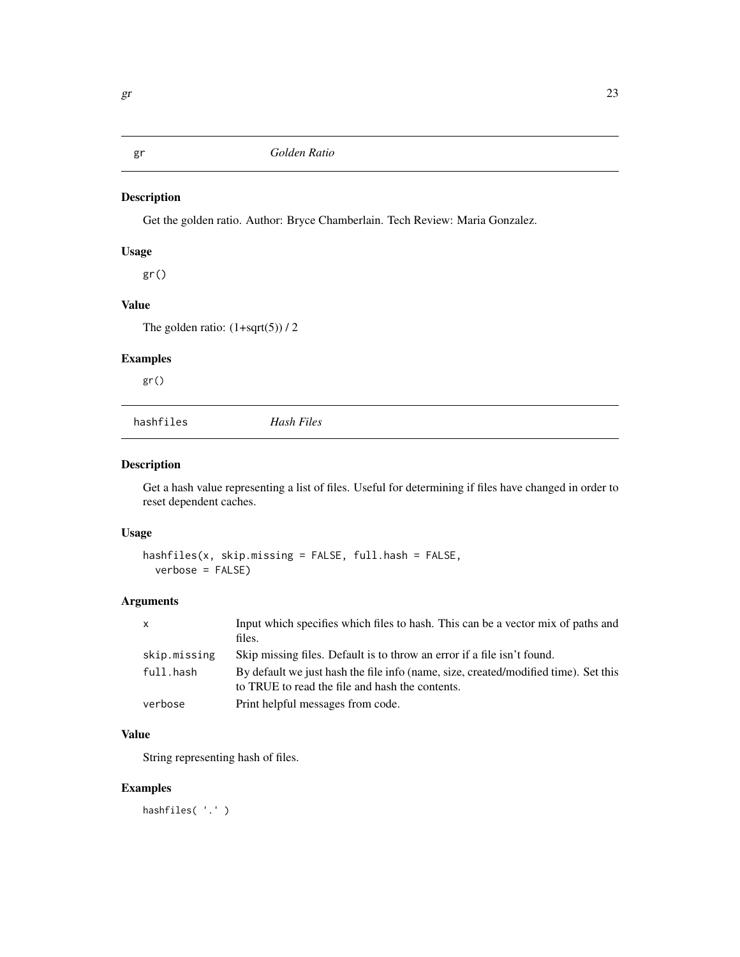<span id="page-22-0"></span>

Get the golden ratio. Author: Bryce Chamberlain. Tech Review: Maria Gonzalez.

# Usage

gr()

# Value

The golden ratio:  $(1+sqrt(5))/2$ 

# Examples

gr()

| hashfiles | Hash Files |
|-----------|------------|
|           |            |

# Description

Get a hash value representing a list of files. Useful for determining if files have changed in order to reset dependent caches.

# Usage

hashfiles(x, skip.missing = FALSE, full.hash = FALSE, verbose = FALSE)

#### Arguments

| $\mathsf{X}$ | Input which specifies which files to hash. This can be a vector mix of paths and<br>files.                                             |
|--------------|----------------------------------------------------------------------------------------------------------------------------------------|
| skip.missing | Skip missing files. Default is to throw an error if a file isn't found.                                                                |
| full.hash    | By default we just hash the file info (name, size, created/modified time). Set this<br>to TRUE to read the file and hash the contents. |
| verbose      | Print helpful messages from code.                                                                                                      |

#### Value

String representing hash of files.

# Examples

hashfiles( '.' )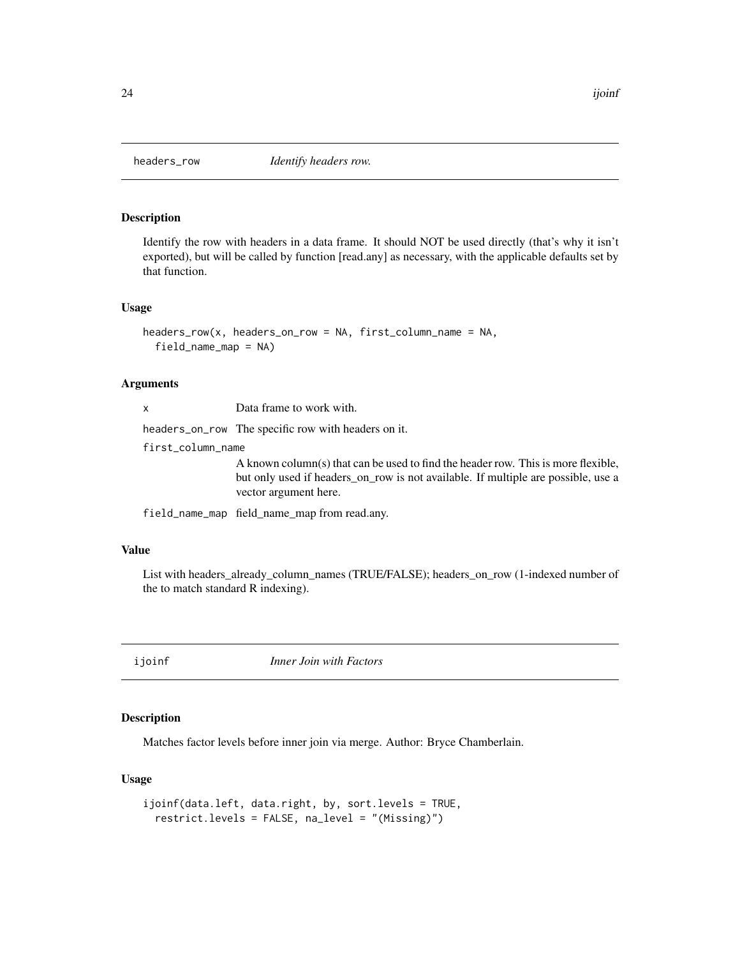<span id="page-23-0"></span>

Identify the row with headers in a data frame. It should NOT be used directly (that's why it isn't exported), but will be called by function [read.any] as necessary, with the applicable defaults set by that function.

#### Usage

```
headers_row(x, headers_on_row = NA, first_column_name = NA,
  field_name_map = NA)
```
#### Arguments

headers\_on\_row The specific row with headers on it.

first\_column\_name

A known column(s) that can be used to find the header row. This is more flexible, but only used if headers\_on\_row is not available. If multiple are possible, use a vector argument here.

field\_name\_map field\_name\_map from read.any.

#### Value

List with headers\_already\_column\_names (TRUE/FALSE); headers\_on\_row (1-indexed number of the to match standard R indexing).

ijoinf *Inner Join with Factors*

# Description

Matches factor levels before inner join via merge. Author: Bryce Chamberlain.

#### Usage

```
ijoinf(data.left, data.right, by, sort.levels = TRUE,
 restrict.levels = FALSE, na_level = "(Missing)")
```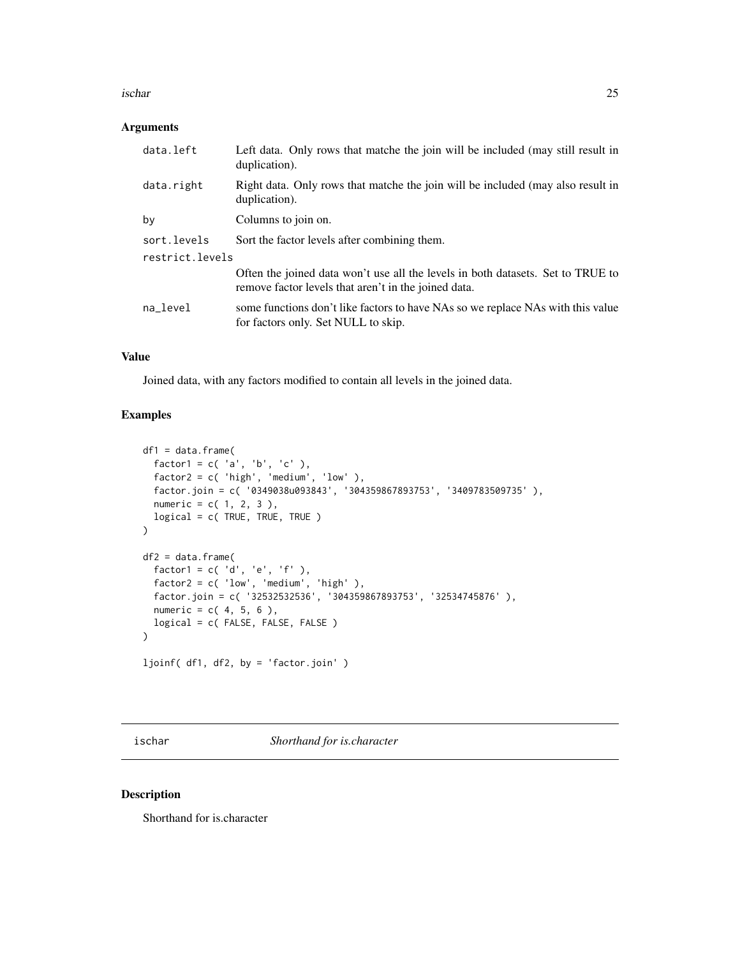#### <span id="page-24-0"></span>ischar 25

#### Arguments

| data.left       | Left data. Only rows that matche the join will be included (may still result in<br>duplication).                                        |
|-----------------|-----------------------------------------------------------------------------------------------------------------------------------------|
| data.right      | Right data. Only rows that matche the join will be included (may also result in<br>duplication).                                        |
| by              | Columns to join on.                                                                                                                     |
| sort.levels     | Sort the factor levels after combining them.                                                                                            |
| restrict.levels |                                                                                                                                         |
|                 | Often the joined data won't use all the levels in both datasets. Set to TRUE to<br>remove factor levels that aren't in the joined data. |
| na level        | some functions don't like factors to have NAs so we replace NAs with this value<br>for factors only. Set NULL to skip.                  |

#### Value

Joined data, with any factors modified to contain all levels in the joined data.

#### Examples

```
df1 = data-frame(factor1 = c('a', 'b', 'c'),
  factor2 = c( 'high', 'medium', 'low' ),
  factor.join = c( '0349038u093843', '304359867893753', '3409783509735' ),
  numeric = c( 1, 2, 3 ),
  logical = c( TRUE, TRUE, TRUE )
)
df2 = data.frame(
  factor1 = c('d', 'e', 'f'),
  factor2 = c('low', 'medium', 'high'),
  factor.join = c( '32532532536', '304359867893753', '32534745876' ),
  numeric = c( 4, 5, 6 ),logical = c( FALSE, FALSE, FALSE )
\mathcal{L}ljoinf( df1, df2, by = 'factor.join' )
```
ischar *Shorthand for is.character*

#### Description

Shorthand for is.character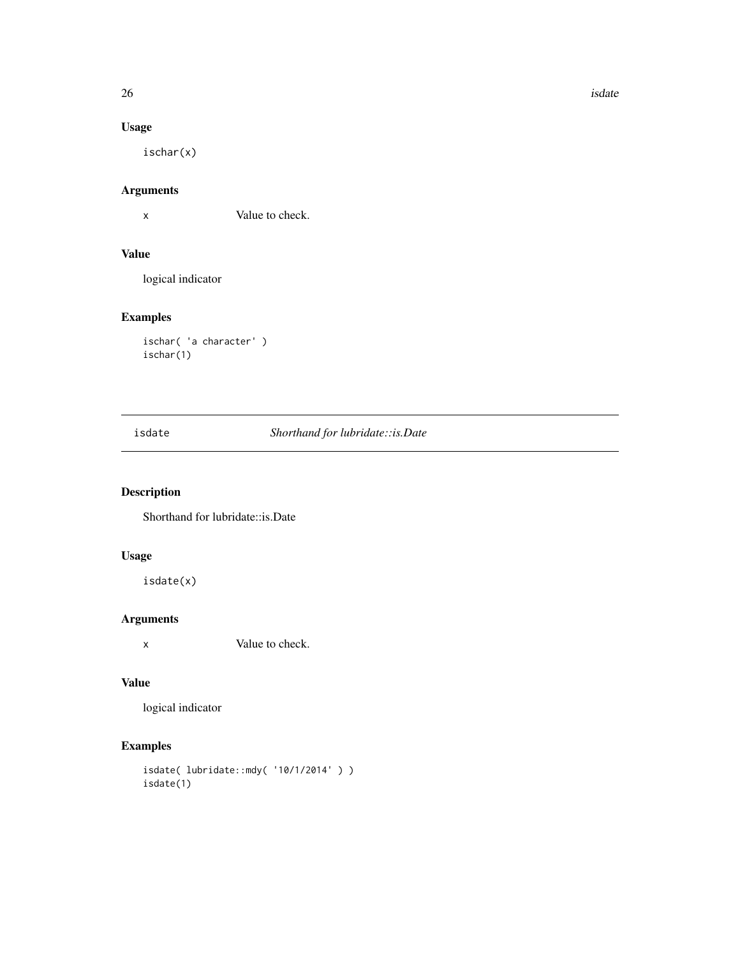$26$  isdate

# Usage

ischar(x)

# Arguments

x Value to check.

# Value

logical indicator

# Examples

```
ischar( 'a character' )
ischar(1)
```
isdate *Shorthand for lubridate::is.Date*

# Description

Shorthand for lubridate::is.Date

# Usage

isdate(x)

# Arguments

x Value to check.

#### Value

logical indicator

```
isdate( lubridate::mdy( '10/1/2014' ) )
isdate(1)
```
<span id="page-25-0"></span>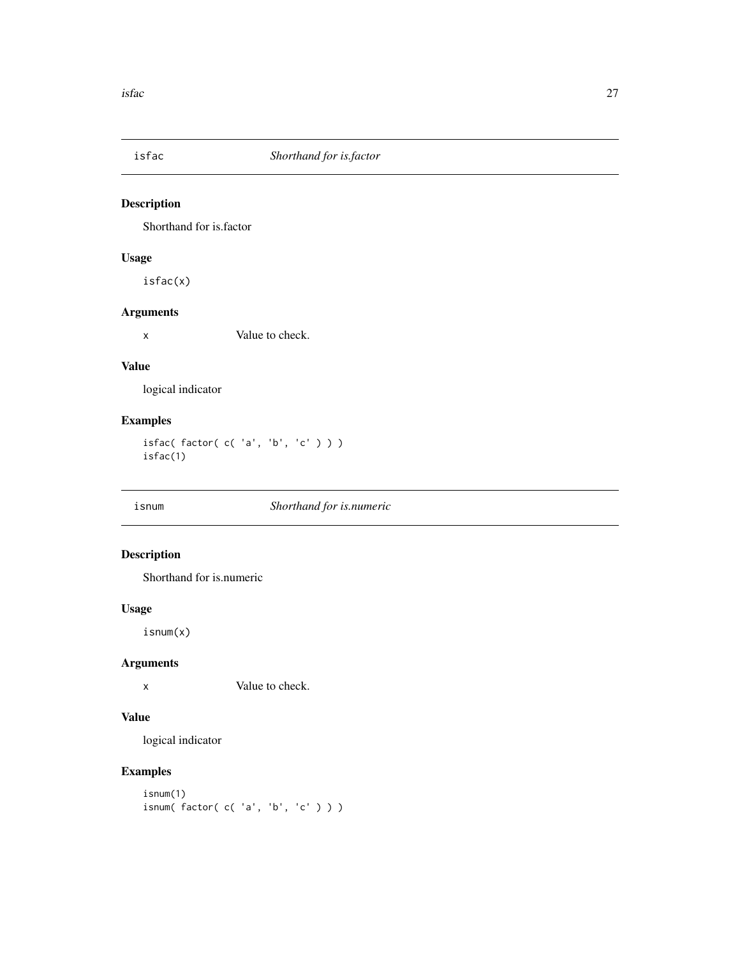<span id="page-26-0"></span>

Shorthand for is.factor

# Usage

isfac(x)

# Arguments

x Value to check.

# Value

logical indicator

# Examples

isfac( factor( c( 'a', 'b', 'c' ) ) ) isfac(1)

#### isnum *Shorthand for is.numeric*

# Description

Shorthand for is.numeric

# Usage

isnum(x)

# Arguments

x Value to check.

#### Value

logical indicator

```
isnum(1)
isnum( factor( c( 'a', 'b', 'c' ) ) )
```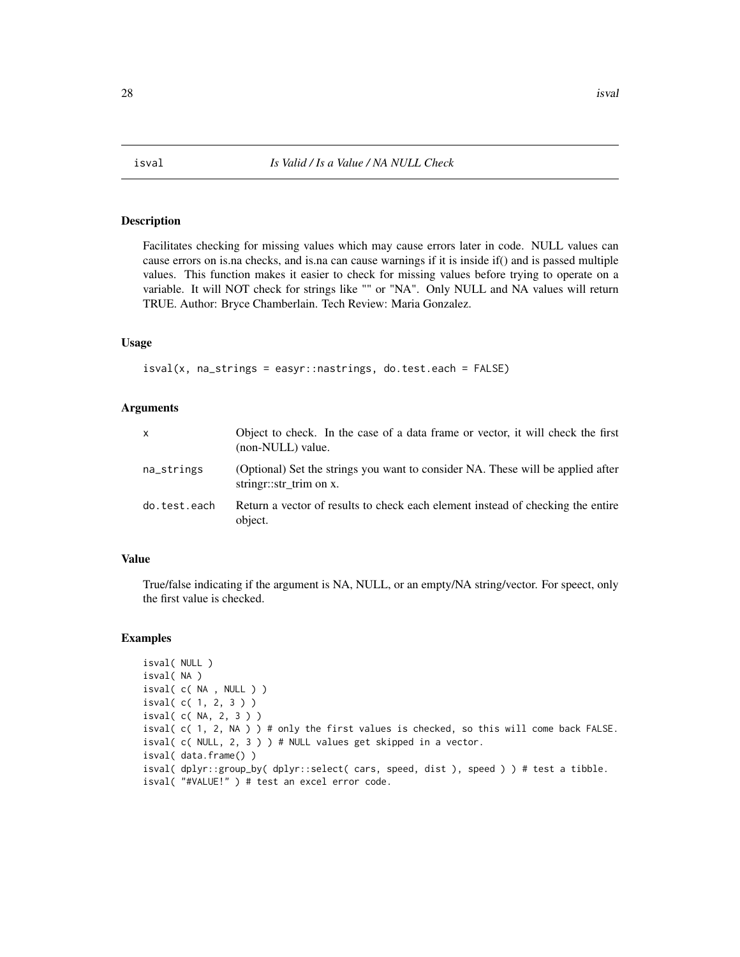<span id="page-27-0"></span>

Facilitates checking for missing values which may cause errors later in code. NULL values can cause errors on is.na checks, and is.na can cause warnings if it is inside if() and is passed multiple values. This function makes it easier to check for missing values before trying to operate on a variable. It will NOT check for strings like "" or "NA". Only NULL and NA values will return TRUE. Author: Bryce Chamberlain. Tech Review: Maria Gonzalez.

# Usage

isval(x, na\_strings = easyr::nastrings, do.test.each = FALSE)

#### Arguments

| X            | Object to check. In the case of a data frame or vector, it will check the first<br>(non-NULL) value.       |
|--------------|------------------------------------------------------------------------------------------------------------|
| na_strings   | (Optional) Set the strings you want to consider NA. These will be applied after<br>string:::str_trim on x. |
| do.test.each | Return a vector of results to check each element instead of checking the entire<br>object.                 |

# Value

True/false indicating if the argument is NA, NULL, or an empty/NA string/vector. For speect, only the first value is checked.

```
isval( NULL )
isval( NA )
isval( c( NA , NULL ) )
isval( c( 1, 2, 3 ) )
isval( c( NA, 2, 3 ) )
isval( c( 1, 2, NA ) ) # only the first values is checked, so this will come back FALSE.
isval( c( NULL, 2, 3 ) ) # NULL values get skipped in a vector.
isval( data.frame() )
isval( dplyr::group_by( dplyr::select( cars, speed, dist ), speed ) ) # test a tibble.
isval( "#VALUE!" ) # test an excel error code.
```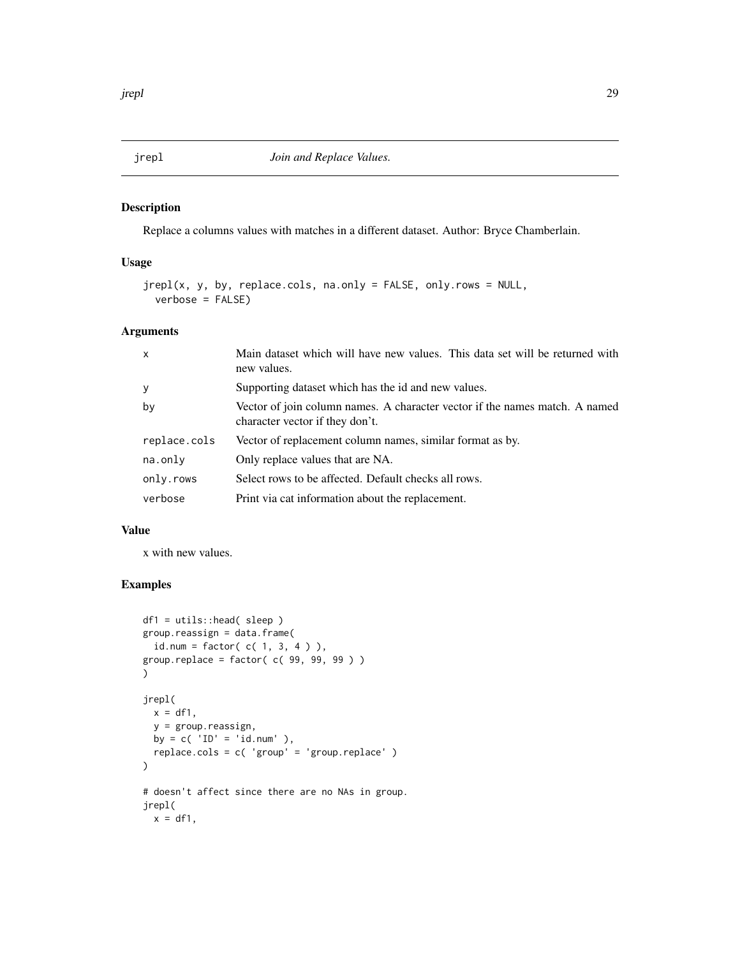<span id="page-28-0"></span>Replace a columns values with matches in a different dataset. Author: Bryce Chamberlain.

# Usage

```
jrepl(x, y, by, replace.cols, na.only = FALSE, only.rows = NULL,
 verbose = FALSE)
```
#### Arguments

| $\mathsf{x}$ | Main dataset which will have new values. This data set will be returned with<br>new values.                    |
|--------------|----------------------------------------------------------------------------------------------------------------|
| y            | Supporting dataset which has the id and new values.                                                            |
| by           | Vector of join column names. A character vector if the names match. A named<br>character vector if they don't. |
| replace.cols | Vector of replacement column names, similar format as by.                                                      |
| na.only      | Only replace values that are NA.                                                                               |
| only.rows    | Select rows to be affected. Default checks all rows.                                                           |
| verbose      | Print via cat information about the replacement.                                                               |

#### Value

x with new values.

```
df1 = utils::head( sleep )
group.reassign = data.frame(
  id. num = factor( c( 1, 3, 4) ),
group.replace = factor( c( 99, 99, 99 ) )
)
jrepl(
 x = df1,y = group.reassign,
 by = c('ID' = 'id.num'),
  replace.cols = c( 'group' = 'group.replace' )
)
# doesn't affect since there are no NAs in group.
jrepl(
 x = df1,
```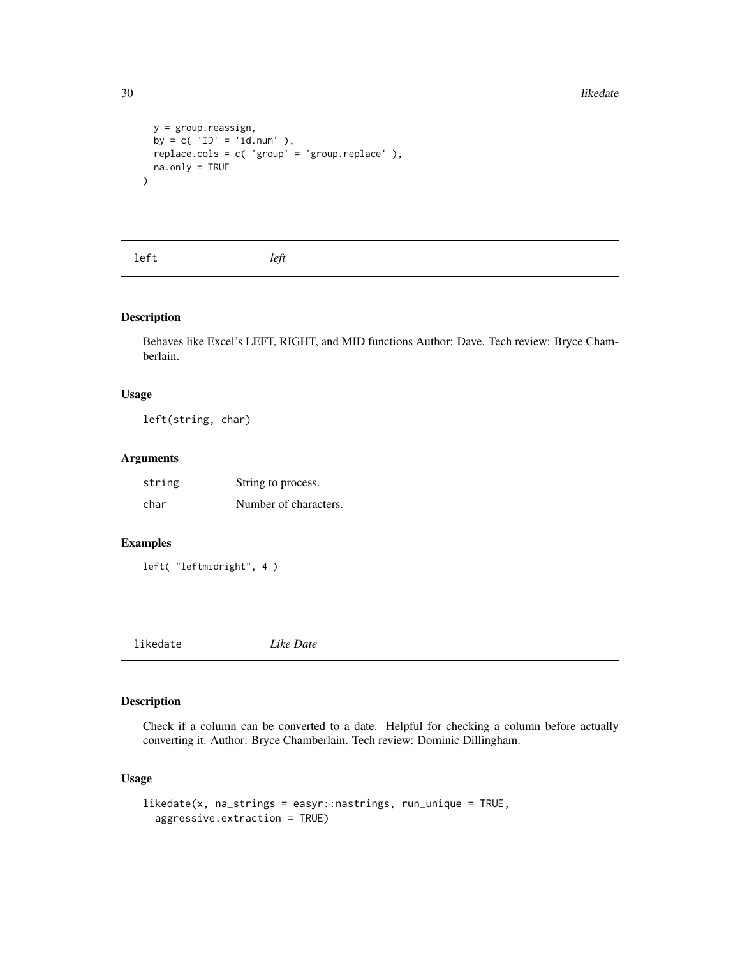```
y = group.reassign,
 by = c('ID' = 'id.num'),
 replace.cols = c( 'group' = 'group.replace' ),
 na.only = TRUE
)
```
left *left*

# Description

Behaves like Excel's LEFT, RIGHT, and MID functions Author: Dave. Tech review: Bryce Chamberlain.

# Usage

left(string, char)

# Arguments

| string | String to process.    |
|--------|-----------------------|
| char   | Number of characters. |

#### Examples

left( "leftmidright", 4 )

likedate *Like Date*

# Description

Check if a column can be converted to a date. Helpful for checking a column before actually converting it. Author: Bryce Chamberlain. Tech review: Dominic Dillingham.

#### Usage

```
likedate(x, na_strings = easyr::nastrings, run_unique = TRUE,
  aggressive.extraction = TRUE)
```
<span id="page-29-0"></span>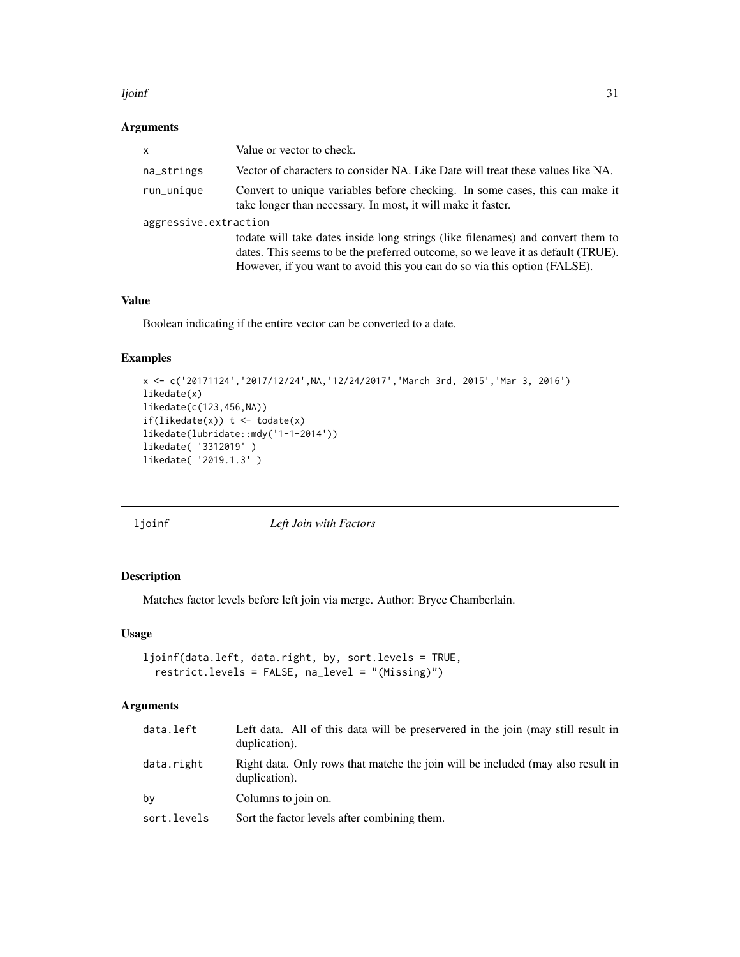#### <span id="page-30-0"></span>ljoinf 31

#### Arguments

| $\mathsf{x}$          | Value or vector to check.                                                                                                                                                                                                                        |  |
|-----------------------|--------------------------------------------------------------------------------------------------------------------------------------------------------------------------------------------------------------------------------------------------|--|
| na_strings            | Vector of characters to consider NA. Like Date will treat these values like NA.                                                                                                                                                                  |  |
| run_unique            | Convert to unique variables before checking. In some cases, this can make it<br>take longer than necessary. In most, it will make it faster.                                                                                                     |  |
| aggressive.extraction |                                                                                                                                                                                                                                                  |  |
|                       | todate will take dates inside long strings (like filenames) and convert them to<br>dates. This seems to be the preferred outcome, so we leave it as default (TRUE).<br>However, if you want to avoid this you can do so via this option (FALSE). |  |

#### Value

Boolean indicating if the entire vector can be converted to a date.

# Examples

```
x <- c('20171124','2017/12/24',NA,'12/24/2017','March 3rd, 2015','Mar 3, 2016')
likedate(x)
likedate(c(123,456,NA))
if(likedate(x)) t \leftarrow totate(x)likedate(lubridate::mdy('1-1-2014'))
likedate( '3312019' )
likedate( '2019.1.3' )
```
ljoinf *Left Join with Factors*

# Description

Matches factor levels before left join via merge. Author: Bryce Chamberlain.

#### Usage

```
ljoinf(data.left, data.right, by, sort.levels = TRUE,
  restrict.levels = FALSE, na_level = "(Missing)")
```

| data.left   | Left data. All of this data will be preservered in the join (may still result in<br>duplication). |
|-------------|---------------------------------------------------------------------------------------------------|
| data.right  | Right data. Only rows that matche the join will be included (may also result in<br>duplication).  |
| by          | Columns to join on.                                                                               |
| sort.levels | Sort the factor levels after combining them.                                                      |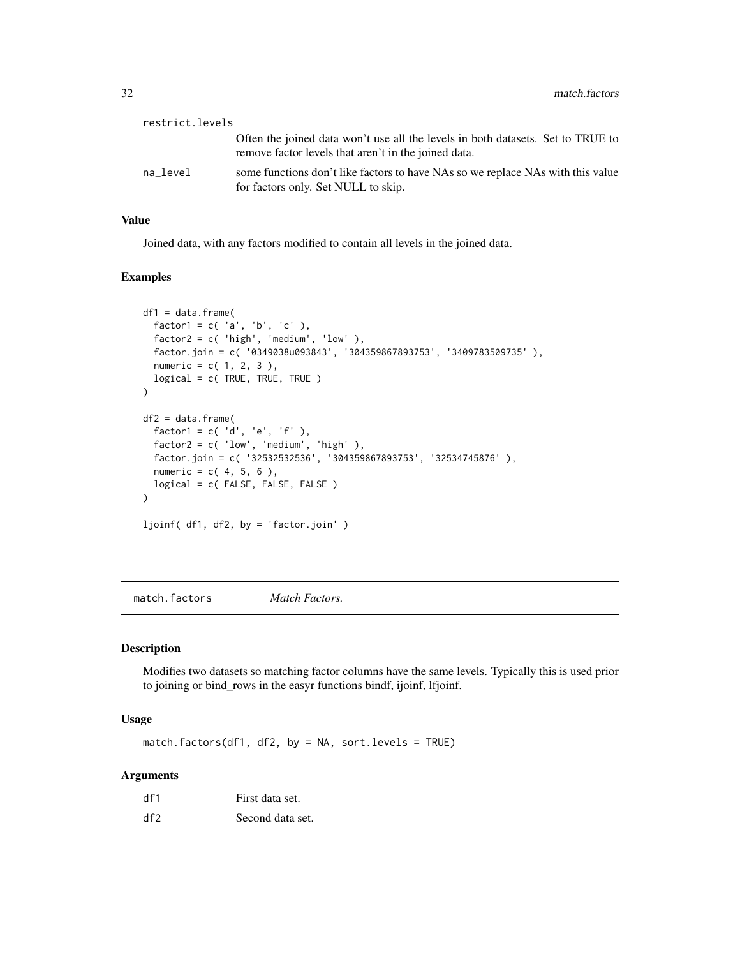<span id="page-31-0"></span>

| restrict.levels |                                                                                                                                         |
|-----------------|-----------------------------------------------------------------------------------------------------------------------------------------|
|                 | Often the joined data won't use all the levels in both datasets. Set to TRUE to<br>remove factor levels that aren't in the joined data. |
| na level        | some functions don't like factors to have NAs so we replace NAs with this value<br>for factors only. Set NULL to skip.                  |

# Value

Joined data, with any factors modified to contain all levels in the joined data.

#### Examples

```
df1 = data.frame(factor1 = c('a', 'b', 'c'),
  factor2 = c( 'high', 'medium', 'low' ),
  factor.join = c( '0349038u093843', '304359867893753', '3409783509735' ),
  numeric = c( 1, 2, 3 ),logical = c( TRUE, TRUE, TRUE )
\mathcal{L}df2 = data.frame(factor1 = c('d', 'e', 'f'),
  factor2 = c( 'low', 'medium', 'high' ),
  factor.join = c( '32532532536', '304359867893753', '32534745876' ),
  numeric = c( 4, 5, 6 ),logical = c( FALSE, FALSE, FALSE )
\mathcal{L}ljoinf( df1, df2, by = 'factor.join' )
```
match.factors *Match Factors.*

# Description

Modifies two datasets so matching factor columns have the same levels. Typically this is used prior to joining or bind\_rows in the easyr functions bindf, ijoinf, lfjoinf.

#### Usage

match.factors(df1, df2, by = NA, sort.levels = TRUE)

| df1 | First data set.  |
|-----|------------------|
| df2 | Second data set. |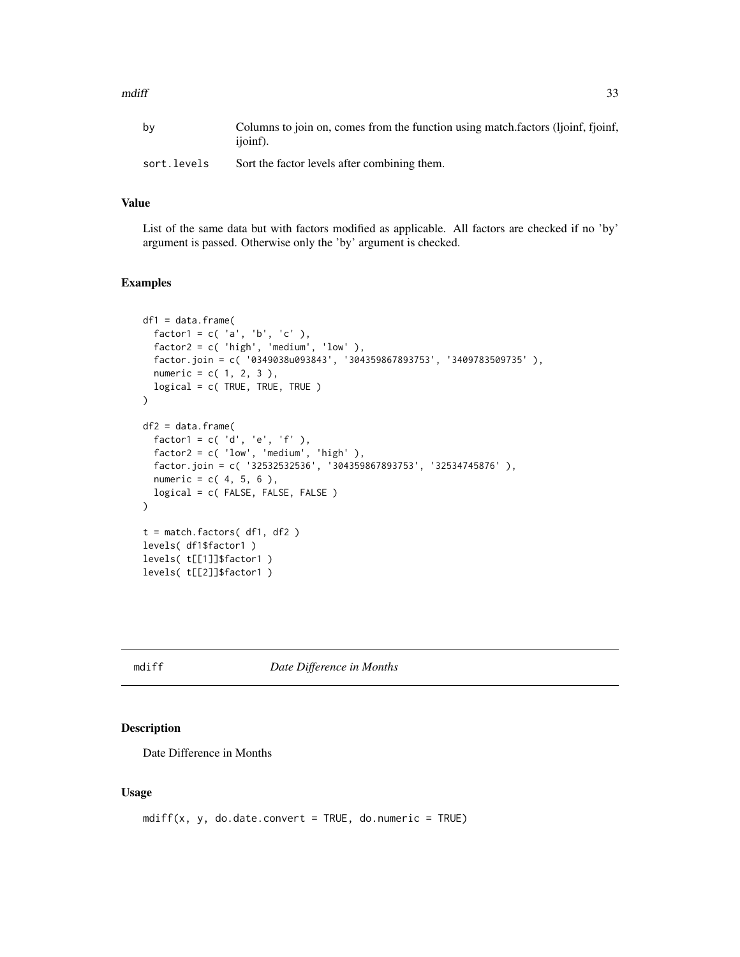#### <span id="page-32-0"></span> $mdiff$  33

| bv          | Columns to join on, comes from the function using match factors (ljoinf, fjoinf,<br>ijoinf). |
|-------------|----------------------------------------------------------------------------------------------|
| sort.levels | Sort the factor levels after combining them.                                                 |

#### Value

List of the same data but with factors modified as applicable. All factors are checked if no 'by' argument is passed. Otherwise only the 'by' argument is checked.

#### Examples

```
df1 = data.frame(factor1 = c('a', 'b', 'c'),
  factor2 = c('high', 'medium', 'low'),
  factor.join = c( '0349038u093843', '304359867893753', '3409783509735' ),
  numeric = c( 1, 2, 3 ),
  logical = c( TRUE, TRUE, TRUE )\lambdadf2 = data.frame(factor1 = c('d', 'e', 'f'),
  factor2 = c( 'low', 'medium', 'high' ),
  factor.join = c( '32532532536', '304359867893753', '32534745876' ),
  numeric = c( 4, 5, 6 ),logical = c( FALSE, FALSE, FALSE )
)
t = match.factors( df1, df2 )
levels( df1$factor1 )
levels( t[[1]]$factor1 )
levels( t[[2]]$factor1 )
```
mdiff *Date Difference in Months*

#### Description

Date Difference in Months

#### Usage

```
mdiff(x, y, do.date.convert = TRUE, do.numeric = TRUE)
```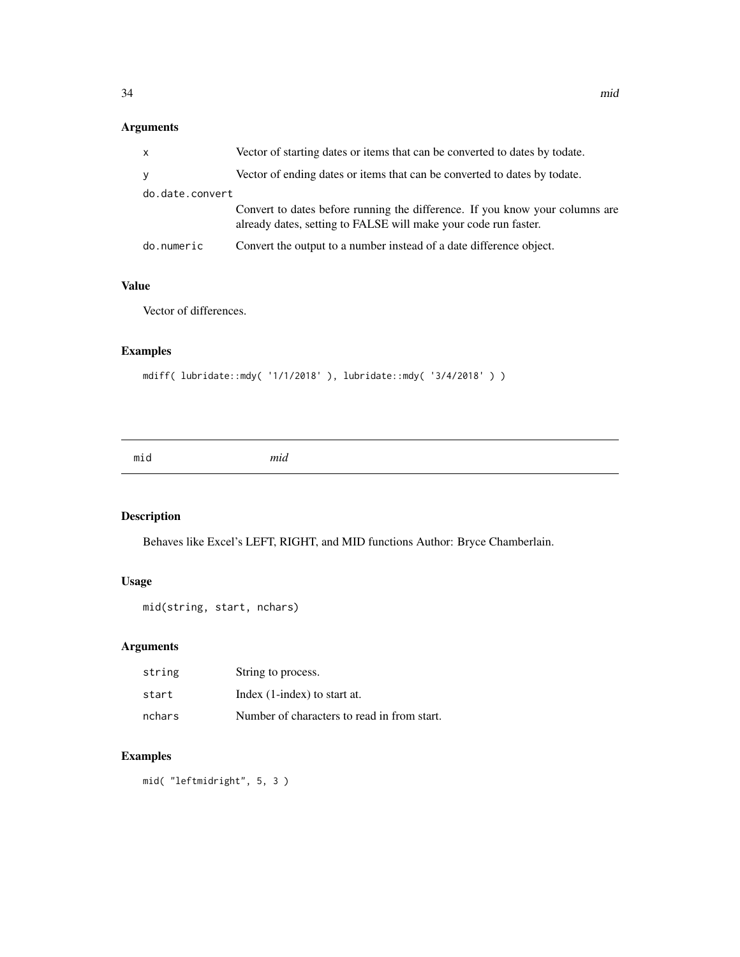# <span id="page-33-0"></span>Arguments

| $\mathsf{x}$    | Vector of starting dates or items that can be converted to dates by todate.                                                                     |
|-----------------|-------------------------------------------------------------------------------------------------------------------------------------------------|
| y               | Vector of ending dates or items that can be converted to dates by todate.                                                                       |
| do.date.convert |                                                                                                                                                 |
|                 | Convert to dates before running the difference. If you know your columns are<br>already dates, setting to FALSE will make your code run faster. |
| do.numeric      | Convert the output to a number instead of a date difference object.                                                                             |

# Value

Vector of differences.

# Examples

```
mdiff( lubridate::mdy( '1/1/2018' ), lubridate::mdy( '3/4/2018' ) )
```
mid *mid*

# Description

Behaves like Excel's LEFT, RIGHT, and MID functions Author: Bryce Chamberlain.

# Usage

```
mid(string, start, nchars)
```
# Arguments

| string | String to process.                          |
|--------|---------------------------------------------|
| start  | Index (1-index) to start at.                |
| nchars | Number of characters to read in from start. |

# Examples

mid( "leftmidright", 5, 3 )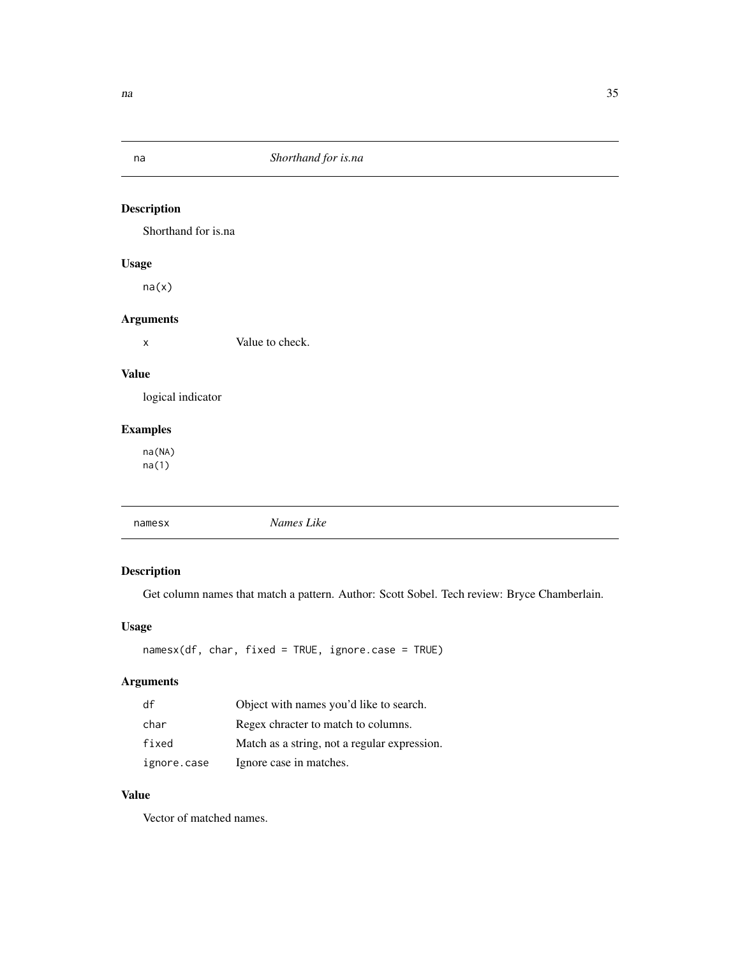<span id="page-34-0"></span>

Shorthand for is.na

# Usage

na(x)

# Arguments

x Value to check.

# Value

logical indicator

# Examples

na(NA) na(1)

|  | namesx | Names Like |  |  |
|--|--------|------------|--|--|
|--|--------|------------|--|--|

# Description

Get column names that match a pattern. Author: Scott Sobel. Tech review: Bryce Chamberlain.

#### Usage

namesx(df, char, fixed = TRUE, ignore.case = TRUE)

# Arguments

| df          | Object with names you'd like to search.      |
|-------------|----------------------------------------------|
| char        | Regex chracter to match to columns.          |
| fixed       | Match as a string, not a regular expression. |
| ignore.case | Ignore case in matches.                      |

#### Value

Vector of matched names.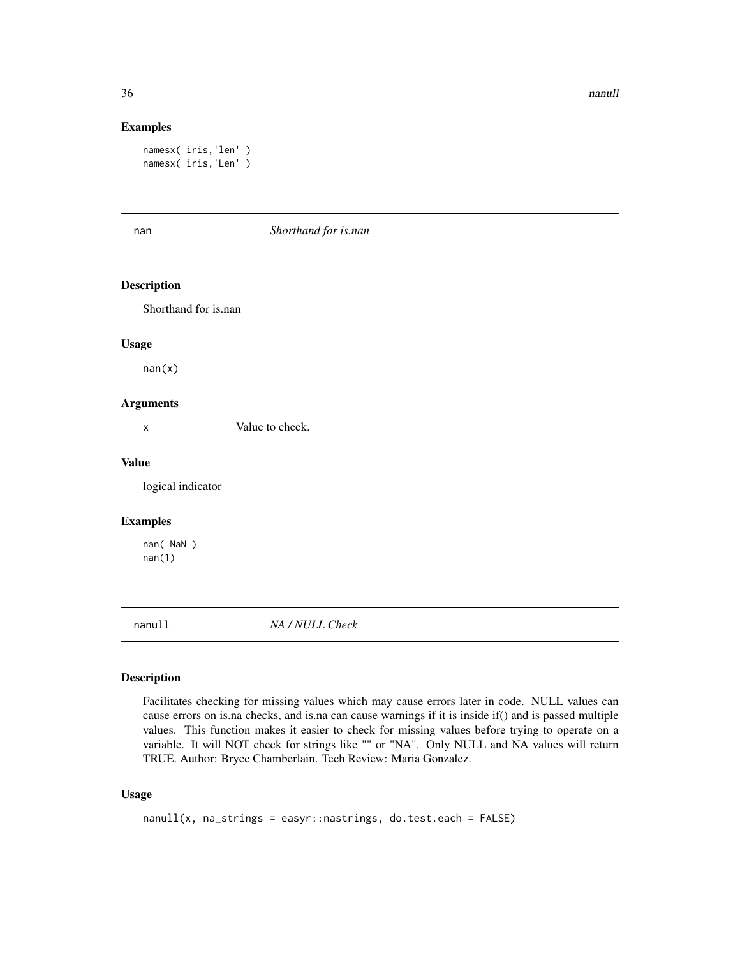<span id="page-35-0"></span>36 nanull and the contract of the contract of the contract of the contract of the contract of the contract of the contract of the contract of the contract of the contract of the contract of the contract of the contract of

#### Examples

```
namesx( iris,'len' )
namesx( iris,'Len' )
```
#### nan *Shorthand for is.nan*

# Description

Shorthand for is.nan

#### Usage

 $nan(x)$ 

#### Arguments

x Value to check.

#### Value

logical indicator

#### Examples

nan( NaN ) nan(1)

nanull *NA / NULL Check*

# Description

Facilitates checking for missing values which may cause errors later in code. NULL values can cause errors on is.na checks, and is.na can cause warnings if it is inside if() and is passed multiple values. This function makes it easier to check for missing values before trying to operate on a variable. It will NOT check for strings like "" or "NA". Only NULL and NA values will return TRUE. Author: Bryce Chamberlain. Tech Review: Maria Gonzalez.

#### Usage

```
nanull(x, na_strings = easyr::nastrings, do.test.each = FALSE)
```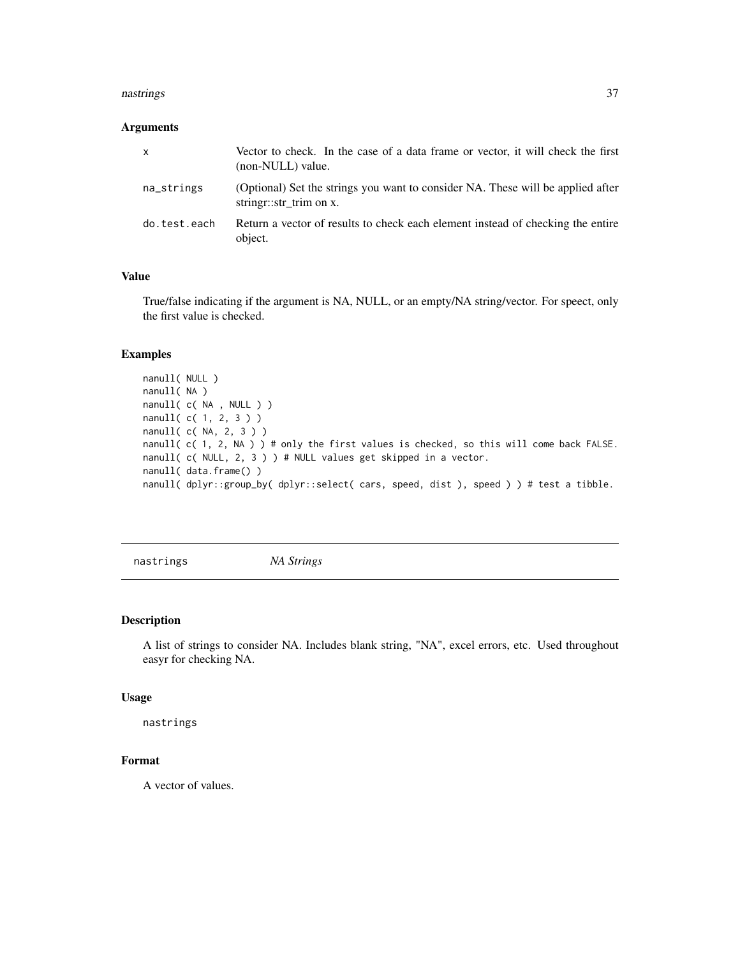#### <span id="page-36-0"></span>nastrings 37

#### Arguments

| <b>X</b>     | Vector to check. In the case of a data frame or vector, it will check the first<br>(non-NULL) value.      |
|--------------|-----------------------------------------------------------------------------------------------------------|
| na_strings   | (Optional) Set the strings you want to consider NA. These will be applied after<br>string::str trim on x. |
| do.test.each | Return a vector of results to check each element instead of checking the entire<br>object.                |

#### Value

True/false indicating if the argument is NA, NULL, or an empty/NA string/vector. For speect, only the first value is checked.

#### Examples

```
nanull( NULL )
nanull( NA )
nanull( c( NA , NULL ) )
nanull( c( 1, 2, 3 ) )
nanull( c( NA, 2, 3 ) )
nanull( c( 1, 2, NA ) ) # only the first values is checked, so this will come back FALSE.
nanull( c( NULL, 2, 3 ) ) # NULL values get skipped in a vector.
nanull( data.frame() )
nanull( dplyr::group_by( dplyr::select( cars, speed, dist ), speed ) ) # test a tibble.
```
nastrings *NA Strings*

#### Description

A list of strings to consider NA. Includes blank string, "NA", excel errors, etc. Used throughout easyr for checking NA.

#### Usage

nastrings

#### Format

A vector of values.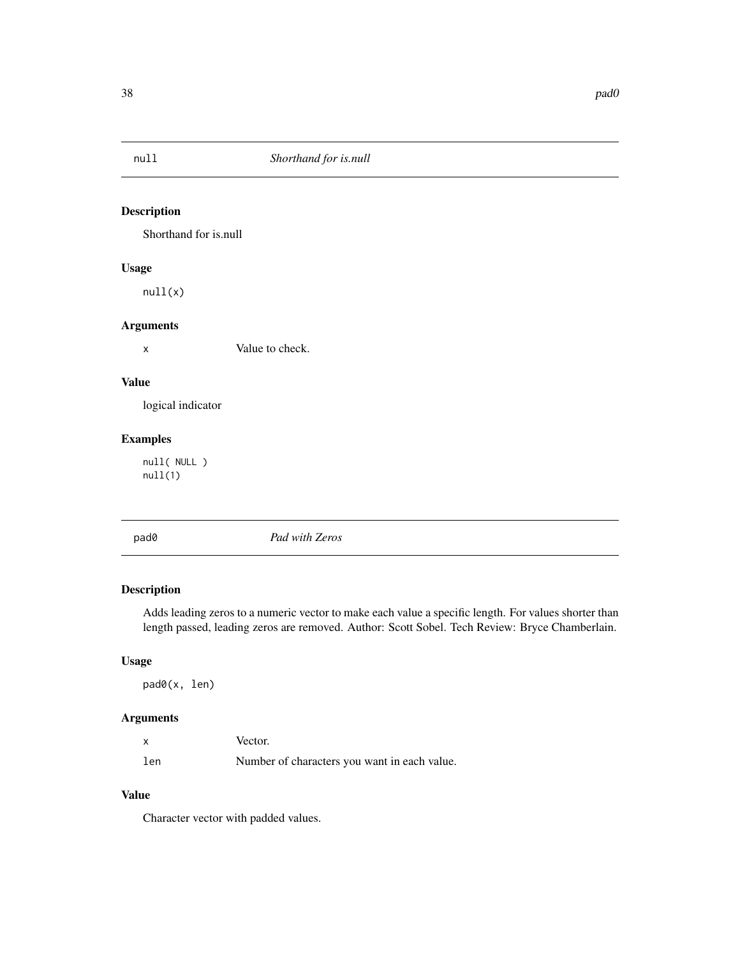<span id="page-37-0"></span>

Shorthand for is.null

# Usage

null(x)

# Arguments

x Value to check.

# Value

logical indicator

#### Examples

null( NULL ) null(1)

pad0 *Pad with Zeros*

# Description

Adds leading zeros to a numeric vector to make each value a specific length. For values shorter than length passed, leading zeros are removed. Author: Scott Sobel. Tech Review: Bryce Chamberlain.

# Usage

pad0(x, len)

# Arguments

|     | Vector.                                      |
|-----|----------------------------------------------|
| len | Number of characters you want in each value. |

# Value

Character vector with padded values.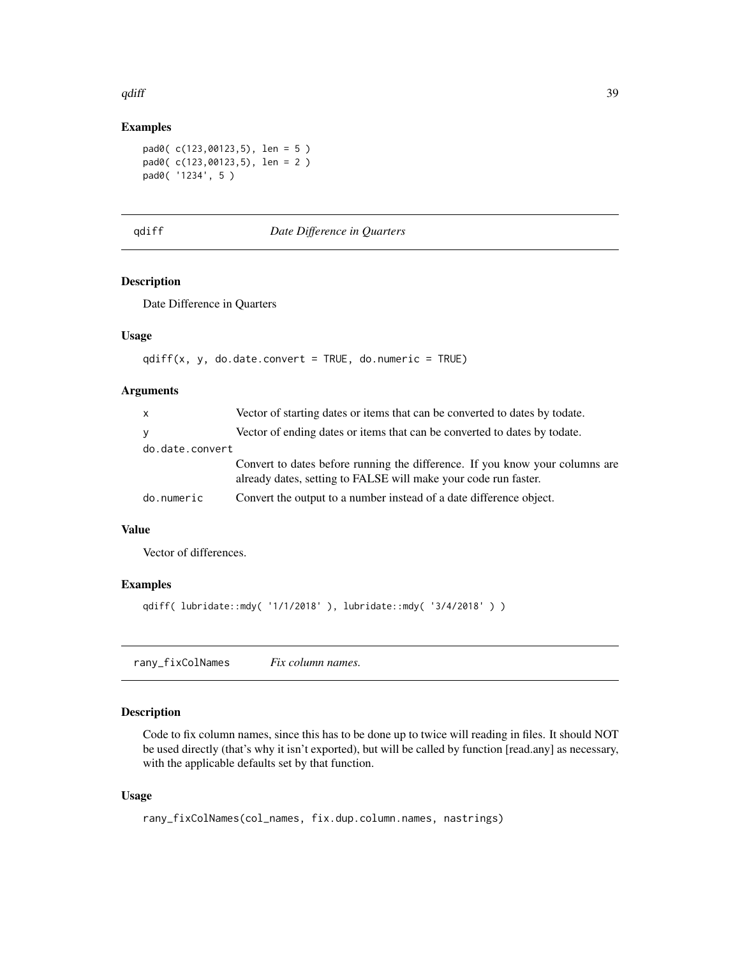#### <span id="page-38-0"></span> $qdiff$  39

#### Examples

```
pad0( c(123,00123,5), len = 5 )
pad0( c(123,00123,5), len = 2 )
pad0( '1234', 5 )
```
#### qdiff *Date Difference in Quarters*

#### Description

Date Difference in Quarters

#### Usage

```
qdiff(x, y, do.date.convert = TRUE, do.numeric = TRUE)
```
#### Arguments

| $\mathsf{x}$    | Vector of starting dates or items that can be converted to dates by todate.                                                                     |
|-----------------|-------------------------------------------------------------------------------------------------------------------------------------------------|
| y               | Vector of ending dates or items that can be converted to dates by todate.                                                                       |
| do.date.convert |                                                                                                                                                 |
|                 | Convert to dates before running the difference. If you know your columns are<br>already dates, setting to FALSE will make your code run faster. |
| do.numeric      | Convert the output to a number instead of a date difference object.                                                                             |

#### Value

Vector of differences.

# Examples

```
qdiff( lubridate::mdy( '1/1/2018' ), lubridate::mdy( '3/4/2018' ) )
```
rany\_fixColNames *Fix column names.*

# Description

Code to fix column names, since this has to be done up to twice will reading in files. It should NOT be used directly (that's why it isn't exported), but will be called by function [read.any] as necessary, with the applicable defaults set by that function.

#### Usage

```
rany_fixColNames(col_names, fix.dup.column.names, nastrings)
```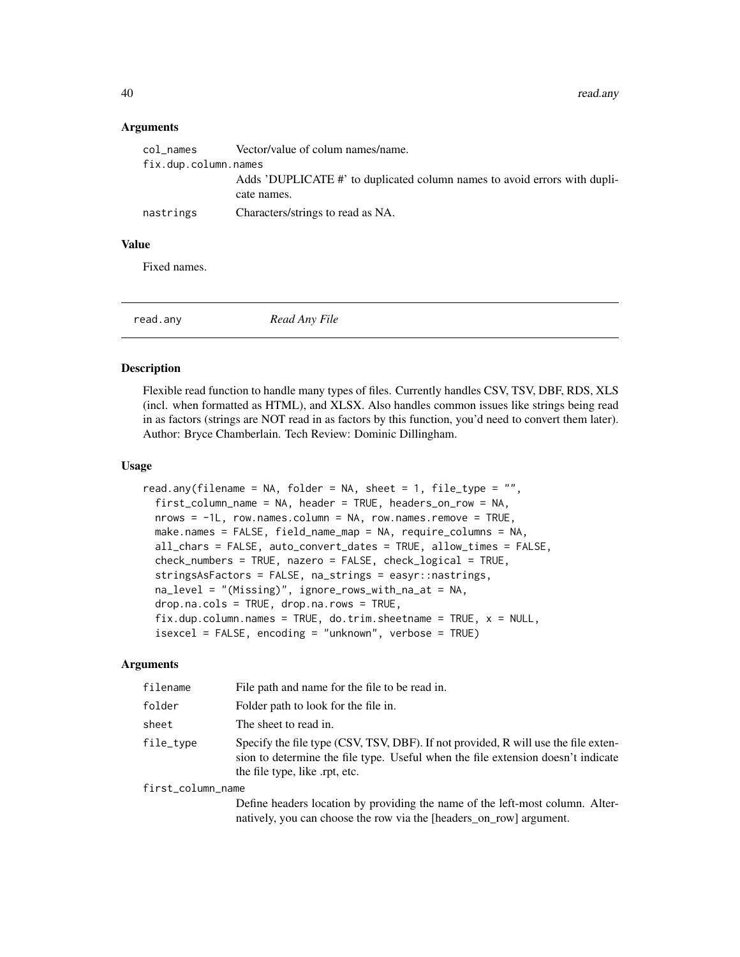<span id="page-39-0"></span>40 read.any

#### **Arguments**

| col names            | Vector/value of colum names/name.                                         |
|----------------------|---------------------------------------------------------------------------|
| fix.dup.column.names |                                                                           |
|                      | Adds 'DUPLICATE #' to duplicated column names to avoid errors with dupli- |
|                      | cate names.                                                               |
| nastrings            | Characters/strings to read as NA.                                         |

#### Value

Fixed names.

read.any *Read Any File*

#### Description

Flexible read function to handle many types of files. Currently handles CSV, TSV, DBF, RDS, XLS (incl. when formatted as HTML), and XLSX. Also handles common issues like strings being read in as factors (strings are NOT read in as factors by this function, you'd need to convert them later). Author: Bryce Chamberlain. Tech Review: Dominic Dillingham.

#### Usage

```
read.any(filename = NA, folder = NA, sheet = 1, file_type = ",
  first_column_name = NA, header = TRUE, headers_on_row = NA,
  nrows = -1L, row.names.column = NA, row.names.remove = TRUE,
 make.names = FALSE, field_name_map = NA, require_columns = NA,
  all_chars = FALSE, auto_convert_dates = TRUE, allow_times = FALSE,
  check_numbers = TRUE, nazero = FALSE, check_logical = TRUE,
  stringsAsFactors = FALSE, na_strings = easyr::nastrings,
  na_level = "(Missing)", ignore_rows_with_na_at = NA,
  drop.na.cols = TRUE, drop.na.rows = TRUE,
  fix.dup.column.names = TRUE, do.trim.sheetname = TRUE, x = NULL,isexcel = FALSE, encoding = "unknown", verbose = TRUE)
```
#### Arguments

| filename          | File path and name for the file to be read in.                                                                                                                                                          |
|-------------------|---------------------------------------------------------------------------------------------------------------------------------------------------------------------------------------------------------|
| folder            | Folder path to look for the file in.                                                                                                                                                                    |
| sheet             | The sheet to read in.                                                                                                                                                                                   |
| file_type         | Specify the file type (CSV, TSV, DBF). If not provided, R will use the file exten-<br>sion to determine the file type. Useful when the file extension doesn't indicate<br>the file type, like rpt, etc. |
| first_column_name |                                                                                                                                                                                                         |
|                   | Define leaders leading les nousilise the name of the left meet celemne. Alter                                                                                                                           |

Define headers location by providing the name of the left-most column. Alternatively, you can choose the row via the [headers\_on\_row] argument.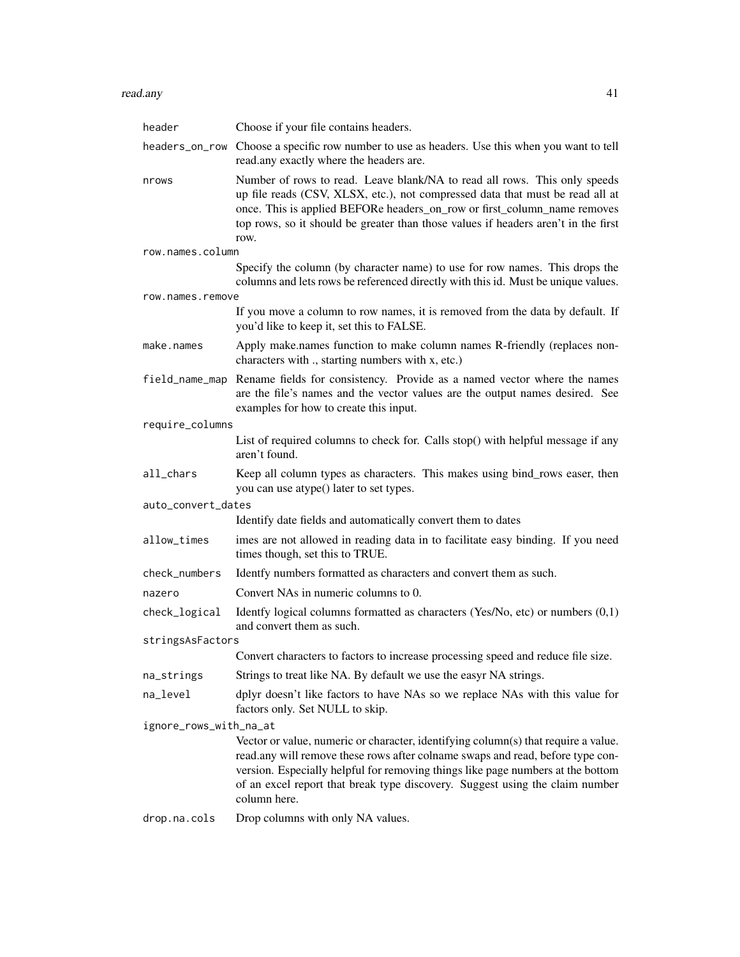#### read.any that a state of the state of the state of the state of the state of the state of the state of the state of the state of the state of the state of the state of the state of the state of the state of the state of th

| header                 | Choose if your file contains headers.                                                                                                                                                                                                                                                                                                                   |  |
|------------------------|---------------------------------------------------------------------------------------------------------------------------------------------------------------------------------------------------------------------------------------------------------------------------------------------------------------------------------------------------------|--|
| headers_on_row         | Choose a specific row number to use as headers. Use this when you want to tell<br>read.any exactly where the headers are.                                                                                                                                                                                                                               |  |
| nrows                  | Number of rows to read. Leave blank/NA to read all rows. This only speeds<br>up file reads (CSV, XLSX, etc.), not compressed data that must be read all at<br>once. This is applied BEFORe headers_on_row or first_column_name removes<br>top rows, so it should be greater than those values if headers aren't in the first                            |  |
| row.names.column       | row.                                                                                                                                                                                                                                                                                                                                                    |  |
|                        | Specify the column (by character name) to use for row names. This drops the<br>columns and lets rows be referenced directly with this id. Must be unique values.                                                                                                                                                                                        |  |
| row.names.remove       |                                                                                                                                                                                                                                                                                                                                                         |  |
|                        | If you move a column to row names, it is removed from the data by default. If<br>you'd like to keep it, set this to FALSE.                                                                                                                                                                                                                              |  |
| make.names             | Apply make.names function to make column names R-friendly (replaces non-<br>characters with ., starting numbers with x, etc.)                                                                                                                                                                                                                           |  |
| field_name_map         | Rename fields for consistency. Provide as a named vector where the names<br>are the file's names and the vector values are the output names desired. See<br>examples for how to create this input.                                                                                                                                                      |  |
| require_columns        |                                                                                                                                                                                                                                                                                                                                                         |  |
|                        | List of required columns to check for. Calls stop() with helpful message if any<br>aren't found.                                                                                                                                                                                                                                                        |  |
| all_chars              | Keep all column types as characters. This makes using bind_rows easer, then<br>you can use atype() later to set types.                                                                                                                                                                                                                                  |  |
| auto_convert_dates     |                                                                                                                                                                                                                                                                                                                                                         |  |
|                        | Identify date fields and automatically convert them to dates                                                                                                                                                                                                                                                                                            |  |
| allow_times            | imes are not allowed in reading data in to facilitate easy binding. If you need<br>times though, set this to TRUE.                                                                                                                                                                                                                                      |  |
| check_numbers          | Identfy numbers formatted as characters and convert them as such.                                                                                                                                                                                                                                                                                       |  |
| nazero                 | Convert NAs in numeric columns to 0.                                                                                                                                                                                                                                                                                                                    |  |
| check_logical          | Identfy logical columns formatted as characters (Yes/No, etc) or numbers $(0,1)$<br>and convert them as such.                                                                                                                                                                                                                                           |  |
| stringsAsFactors       |                                                                                                                                                                                                                                                                                                                                                         |  |
|                        | Convert characters to factors to increase processing speed and reduce file size.                                                                                                                                                                                                                                                                        |  |
| na_strings             | Strings to treat like NA. By default we use the easyr NA strings.                                                                                                                                                                                                                                                                                       |  |
| na_level               | dplyr doesn't like factors to have NAs so we replace NAs with this value for<br>factors only. Set NULL to skip.                                                                                                                                                                                                                                         |  |
| ignore_rows_with_na_at |                                                                                                                                                                                                                                                                                                                                                         |  |
|                        | Vector or value, numeric or character, identifying column(s) that require a value.<br>read.any will remove these rows after colname swaps and read, before type con-<br>version. Especially helpful for removing things like page numbers at the bottom<br>of an excel report that break type discovery. Suggest using the claim number<br>column here. |  |
| drop.na.cols           | Drop columns with only NA values.                                                                                                                                                                                                                                                                                                                       |  |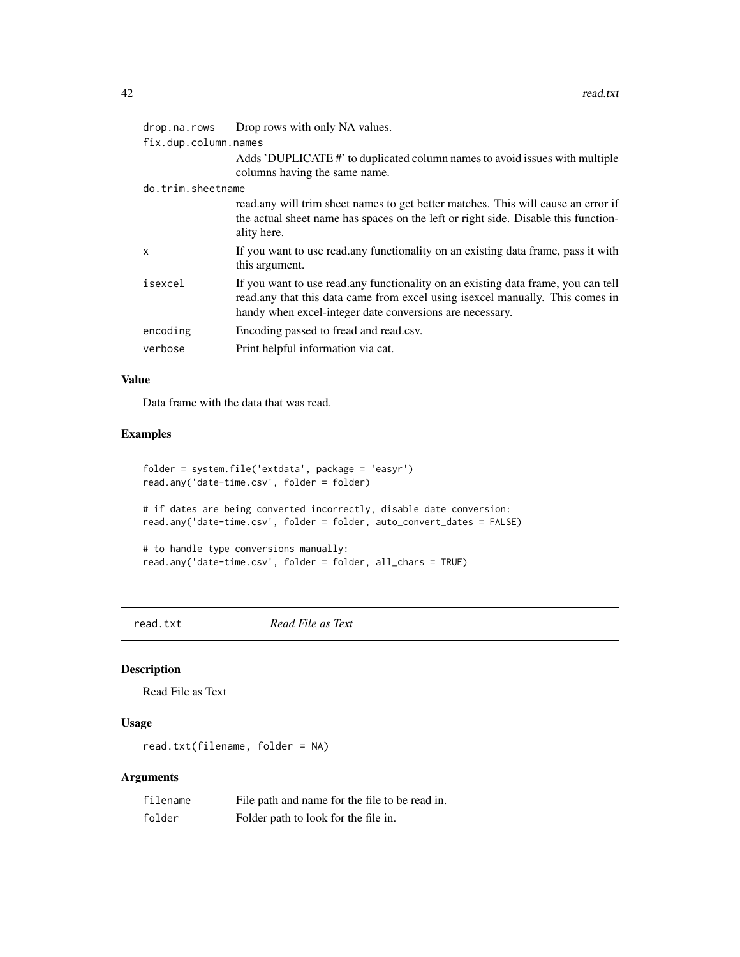<span id="page-41-0"></span>

| drop.na.rows         | Drop rows with only NA values.                                                                                                                                                                                                   |  |
|----------------------|----------------------------------------------------------------------------------------------------------------------------------------------------------------------------------------------------------------------------------|--|
| fix.dup.column.names |                                                                                                                                                                                                                                  |  |
|                      | Adds 'DUPLICATE#' to duplicated column names to avoid issues with multiple<br>columns having the same name.                                                                                                                      |  |
| do.trim.sheetname    |                                                                                                                                                                                                                                  |  |
|                      | read.any will trim sheet names to get better matches. This will cause an error if<br>the actual sheet name has spaces on the left or right side. Disable this function-<br>ality here.                                           |  |
| X                    | If you want to use read, any functionality on an existing data frame, pass it with<br>this argument.                                                                                                                             |  |
| isexcel              | If you want to use read, any functionality on an existing data frame, you can tell<br>read.any that this data came from excel using is excel manually. This comes in<br>handy when excel-integer date conversions are necessary. |  |
| encoding             | Encoding passed to fread and read.csv.                                                                                                                                                                                           |  |
| verbose              | Print helpful information via cat.                                                                                                                                                                                               |  |

#### Value

Data frame with the data that was read.

# Examples

```
folder = system.file('extdata', package = 'easyr')
read.any('date-time.csv', folder = folder)
# if dates are being converted incorrectly, disable date conversion:
read.any('date-time.csv', folder = folder, auto_convert_dates = FALSE)
# to handle type conversions manually:
read.any('date-time.csv', folder = folder, all_chars = TRUE)
```
read.txt *Read File as Text*

#### Description

Read File as Text

# Usage

read.txt(filename, folder = NA)

| filename | File path and name for the file to be read in. |
|----------|------------------------------------------------|
| folder   | Folder path to look for the file in.           |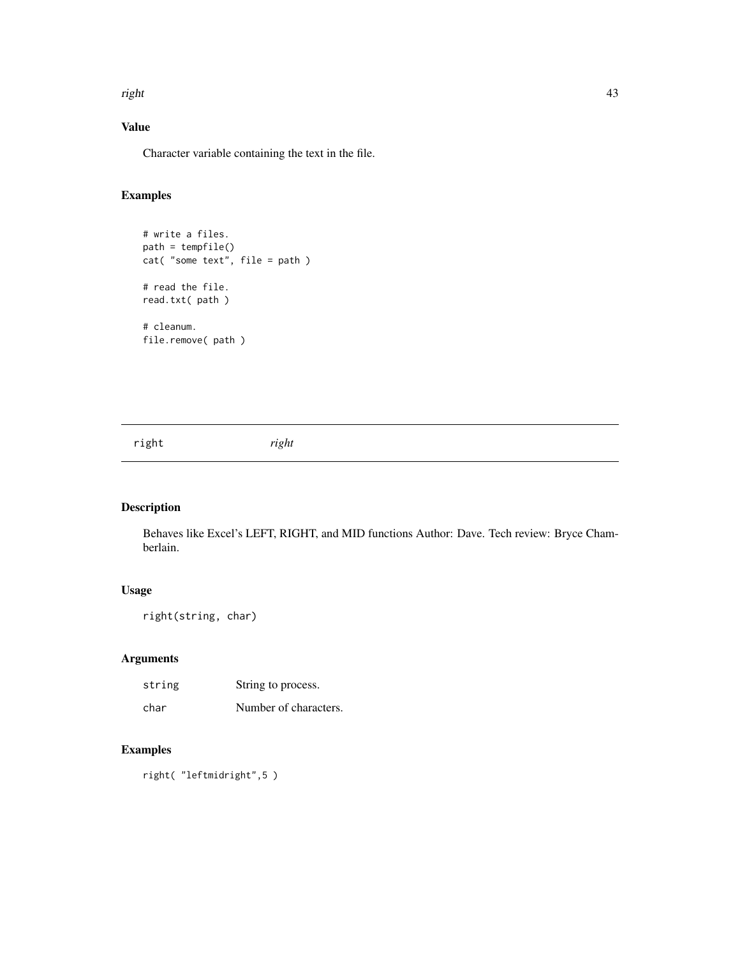<span id="page-42-0"></span>right 43

# Value

Character variable containing the text in the file.

# Examples

```
# write a files.
path = tempfile()
cat( "some text", file = path )
# read the file.
read.txt( path )
# cleanum.
```
right *right*

file.remove( path )

# Description

Behaves like Excel's LEFT, RIGHT, and MID functions Author: Dave. Tech review: Bryce Chamberlain.

# Usage

```
right(string, char)
```
# Arguments

| string | String to process.    |
|--------|-----------------------|
| char   | Number of characters. |

# Examples

right( "leftmidright",5 )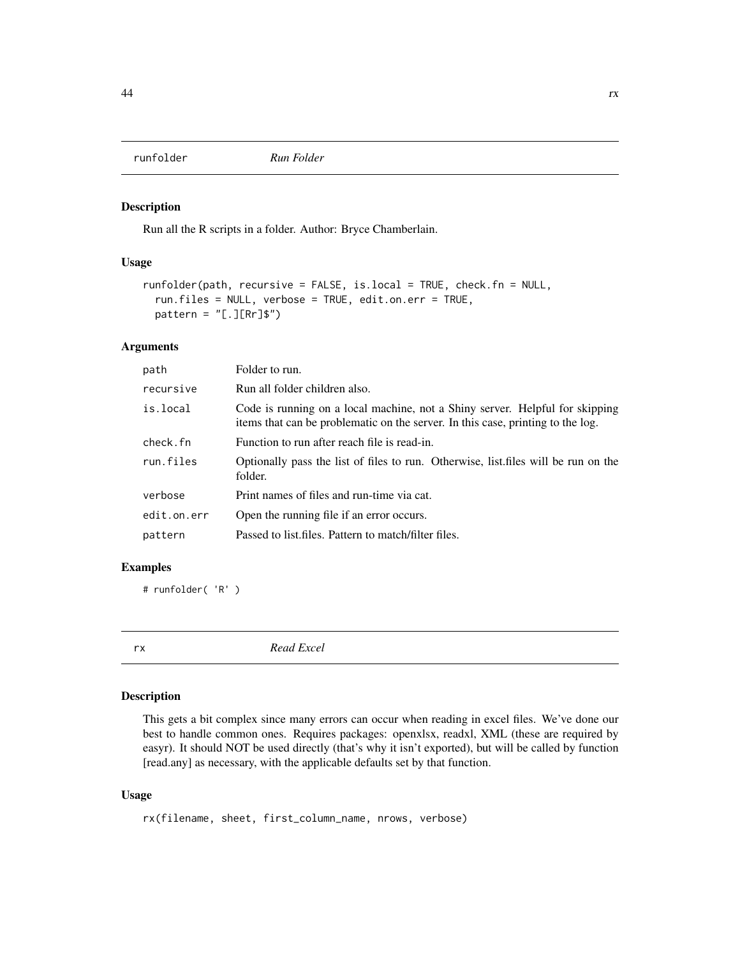<span id="page-43-0"></span>

Run all the R scripts in a folder. Author: Bryce Chamberlain.

#### Usage

```
runfolder(path, recursive = FALSE, is.local = TRUE, check.fn = NULL,
  run.files = NULL, verbose = TRUE, edit.on.err = TRUE,
 pattern = "[.][Rr]$")
```
# Arguments

| path        | Folder to run.                                                                                                                                                  |
|-------------|-----------------------------------------------------------------------------------------------------------------------------------------------------------------|
| recursive   | Run all folder children also.                                                                                                                                   |
| is.local    | Code is running on a local machine, not a Shiny server. Helpful for skipping<br>items that can be problematic on the server. In this case, printing to the log. |
| check.fn    | Function to run after reach file is read-in.                                                                                                                    |
| run.files   | Optionally pass the list of files to run. Otherwise, list files will be run on the<br>folder.                                                                   |
| verbose     | Print names of files and run-time via cat.                                                                                                                      |
| edit.on.err | Open the running file if an error occurs.                                                                                                                       |
| pattern     | Passed to list.files. Pattern to match/filter files.                                                                                                            |

#### Examples

# runfolder( 'R' )

rx *Read Excel*

# Description

This gets a bit complex since many errors can occur when reading in excel files. We've done our best to handle common ones. Requires packages: openxlsx, readxl, XML (these are required by easyr). It should NOT be used directly (that's why it isn't exported), but will be called by function [read.any] as necessary, with the applicable defaults set by that function.

#### Usage

```
rx(filename, sheet, first_column_name, nrows, verbose)
```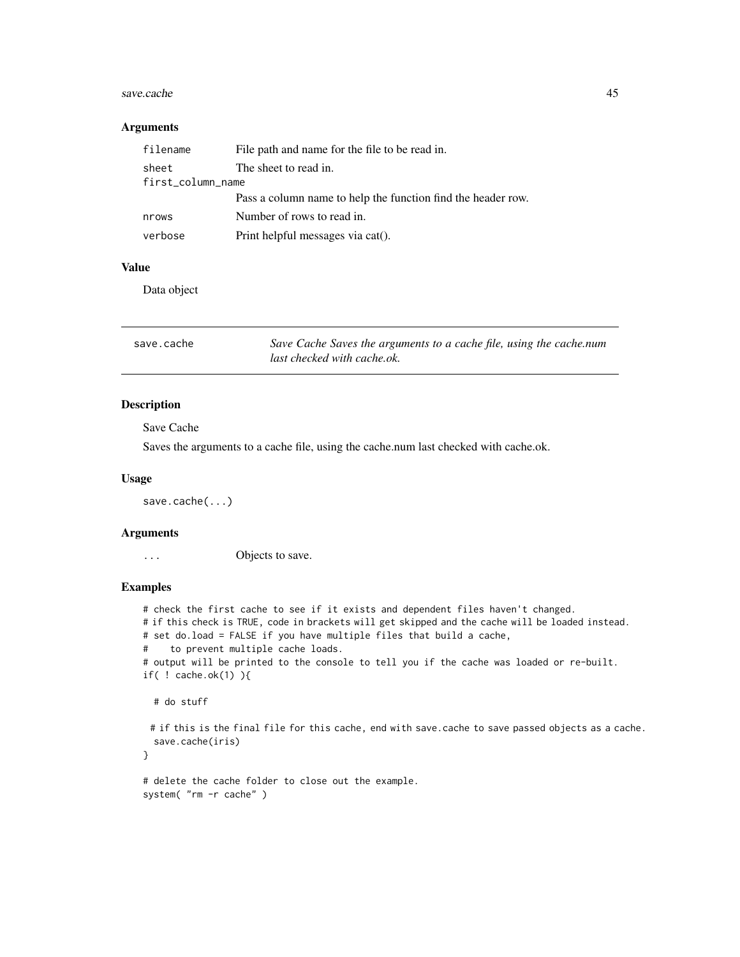#### <span id="page-44-0"></span>save.cache 45

#### Arguments

| filename          | File path and name for the file to be read in.               |  |
|-------------------|--------------------------------------------------------------|--|
| sheet             | The sheet to read in.                                        |  |
| first_column_name |                                                              |  |
|                   | Pass a column name to help the function find the header row. |  |
| nrows             | Number of rows to read in.                                   |  |
| verbose           | Print helpful messages via cat().                            |  |

# Value

Data object

| save.cache | Save Cache Saves the arguments to a cache file, using the cache.num |
|------------|---------------------------------------------------------------------|
|            | last checked with cache.ok.                                         |

#### Description

Save Cache

Saves the arguments to a cache file, using the cache.num last checked with cache.ok.

#### Usage

save.cache(...)

#### Arguments

... Objects to save.

#### Examples

# check the first cache to see if it exists and dependent files haven't changed. # if this check is TRUE, code in brackets will get skipped and the cache will be loaded instead. # set do.load = FALSE if you have multiple files that build a cache, # to prevent multiple cache loads. # output will be printed to the console to tell you if the cache was loaded or re-built. if( ! cache.ok(1) ){ # do stuff

# if this is the final file for this cache, end with save.cache to save passed objects as a cache. save.cache(iris)

}

```
# delete the cache folder to close out the example.
system( "rm -r cache" )
```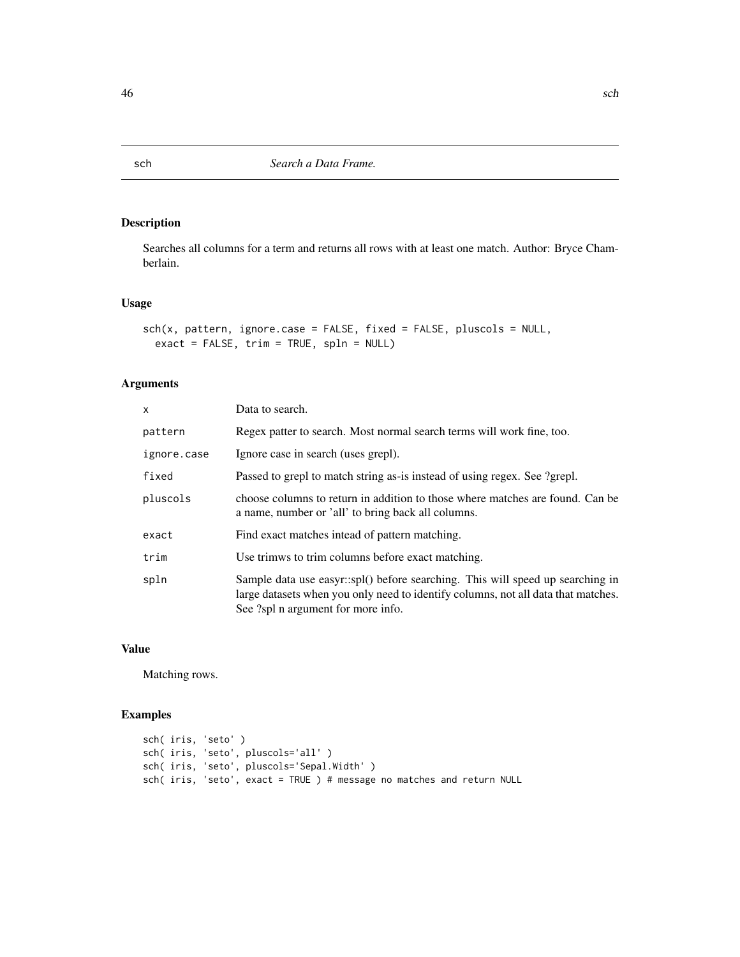Searches all columns for a term and returns all rows with at least one match. Author: Bryce Chamberlain.

#### Usage

```
sch(x, pattern, ignore.case = FALSE, fixed = FALSE, pluscols = NULL,
 exact = FALSE, trim = TRUE, spln = NULL)
```
# Arguments

| X           | Data to search.                                                                                                                                                                                           |
|-------------|-----------------------------------------------------------------------------------------------------------------------------------------------------------------------------------------------------------|
| pattern     | Regex patter to search. Most normal search terms will work fine, too.                                                                                                                                     |
| ignore.case | Ignore case in search (uses grepl).                                                                                                                                                                       |
| fixed       | Passed to grepl to match string as-is instead of using regex. See ?grepl.                                                                                                                                 |
| pluscols    | choose columns to return in addition to those where matches are found. Can be<br>a name, number or 'all' to bring back all columns.                                                                       |
| exact       | Find exact matches intead of pattern matching.                                                                                                                                                            |
| trim        | Use trimws to trim columns before exact matching.                                                                                                                                                         |
| spln        | Sample data use easyr::spl() before searching. This will speed up searching in<br>large datasets when you only need to identify columns, not all data that matches.<br>See ?spl n argument for more info. |

# Value

Matching rows.

```
sch( iris, 'seto' )
sch( iris, 'seto', pluscols='all' )
sch( iris, 'seto', pluscols='Sepal.Width' )
sch( iris, 'seto', exact = TRUE ) # message no matches and return NULL
```
<span id="page-45-0"></span>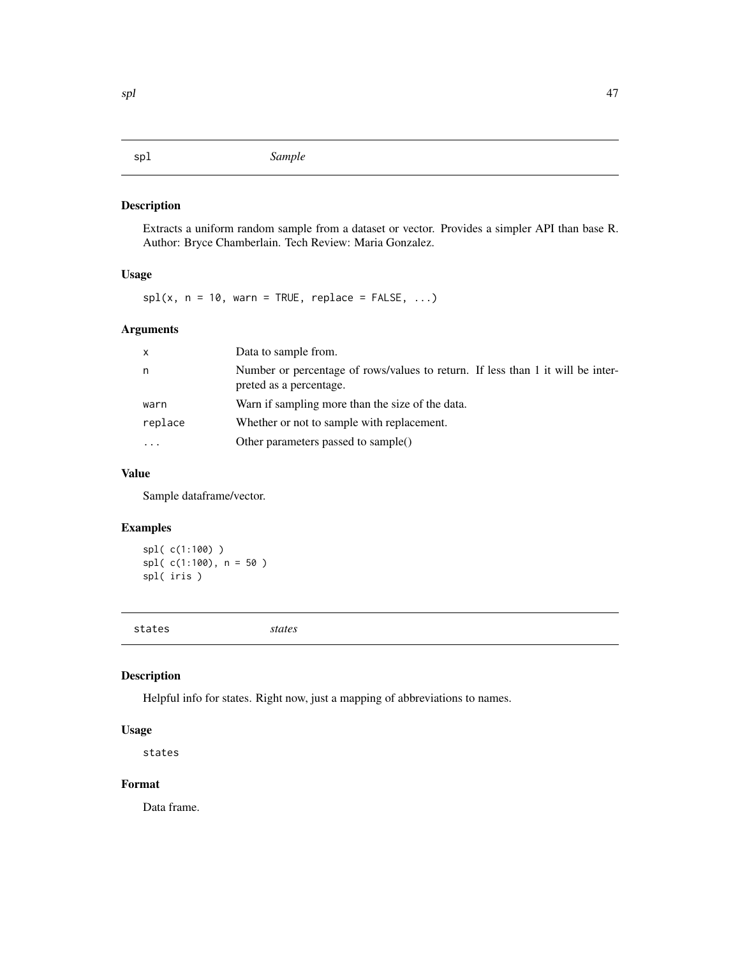<span id="page-46-0"></span>Extracts a uniform random sample from a dataset or vector. Provides a simpler API than base R. Author: Bryce Chamberlain. Tech Review: Maria Gonzalez.

# Usage

 $spl(x, n = 10, warn = TRUE, replace = FALSE, ...)$ 

# Arguments

| x       | Data to sample from.                                                                                       |
|---------|------------------------------------------------------------------------------------------------------------|
| n       | Number or percentage of rows/values to return. If less than 1 it will be inter-<br>preted as a percentage. |
| warn    | Warn if sampling more than the size of the data.                                                           |
| replace | Whether or not to sample with replacement.                                                                 |
|         | Other parameters passed to sample()                                                                        |

# Value

Sample dataframe/vector.

# Examples

spl( c(1:100) ) spl( c(1:100), n = 50 ) spl( iris )

states *states*

#### Description

Helpful info for states. Right now, just a mapping of abbreviations to names.

#### Usage

states

#### Format

Data frame.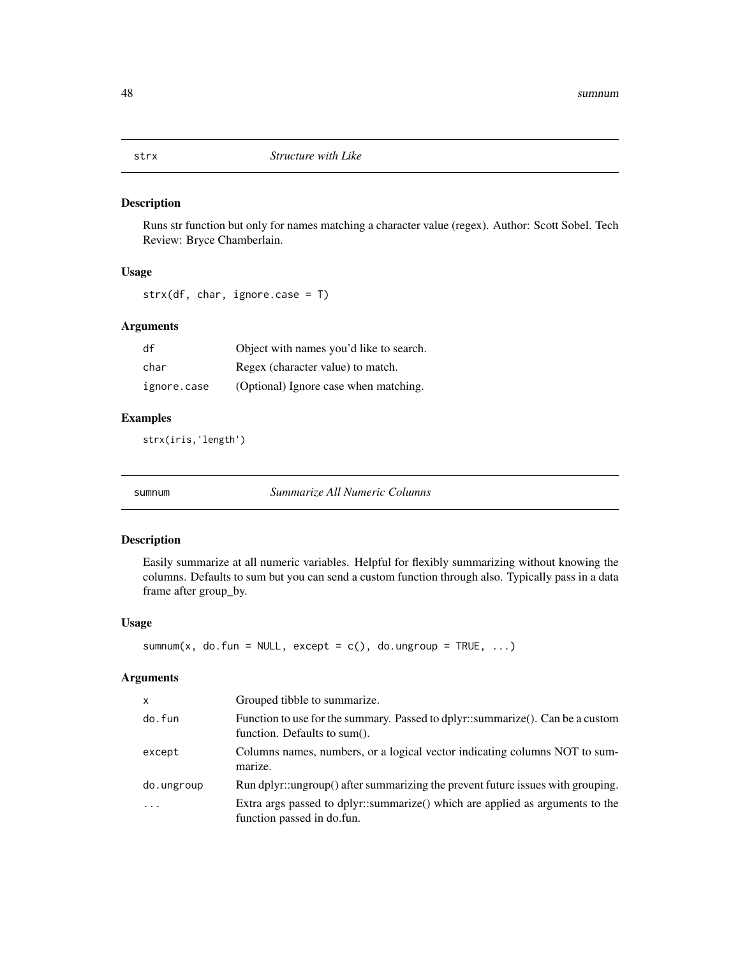<span id="page-47-0"></span>

Runs str function but only for names matching a character value (regex). Author: Scott Sobel. Tech Review: Bryce Chamberlain.

# Usage

```
strx(df, char, ignore.case = T)
```
# Arguments

| df          | Object with names you'd like to search. |
|-------------|-----------------------------------------|
| char        | Regex (character value) to match.       |
| ignore.case | (Optional) Ignore case when matching.   |

# Examples

strx(iris,'length')

sumnum *Summarize All Numeric Columns*

# Description

Easily summarize at all numeric variables. Helpful for flexibly summarizing without knowing the columns. Defaults to sum but you can send a custom function through also. Typically pass in a data frame after group\_by.

#### Usage

```
sumnum(x, do.fun = NULL, except = c(), do.ungroup = TRUE, ...)
```

| x          | Grouped tibble to summarize.                                                                                   |
|------------|----------------------------------------------------------------------------------------------------------------|
| do.fun     | Function to use for the summary. Passed to dplyr::summarize(). Can be a custom<br>function. Defaults to sum(). |
| except     | Columns names, numbers, or a logical vector indicating columns NOT to sum-<br>marize.                          |
| do.ungroup | Run dplyr::ungroup() after summarizing the prevent future issues with grouping.                                |
| $\ddotsc$  | Extra args passed to dplyr::summarize() which are applied as arguments to the<br>function passed in do.fun.    |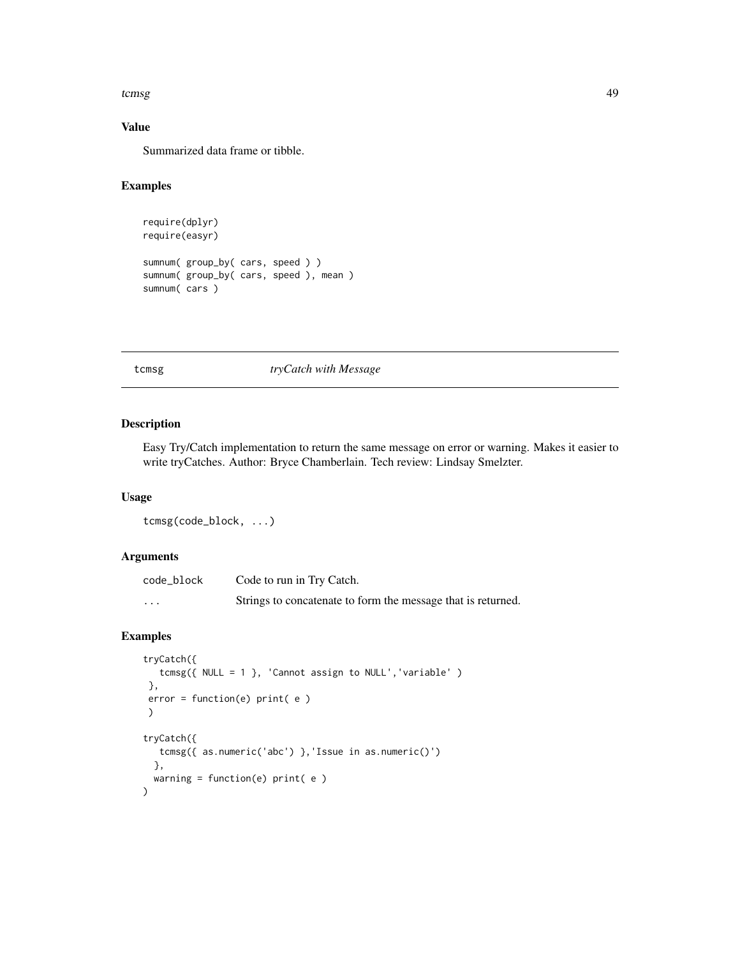#### <span id="page-48-0"></span>tcmsg and the contract of the contract of the contract of the contract of the contract of the contract of the contract of the contract of the contract of the contract of the contract of the contract of the contract of the

# Value

Summarized data frame or tibble.

# Examples

```
require(dplyr)
require(easyr)
sumnum( group_by( cars, speed ) )
sumnum( group_by( cars, speed ), mean )
sumnum( cars )
```
#### tcmsg *tryCatch with Message*

#### Description

Easy Try/Catch implementation to return the same message on error or warning. Makes it easier to write tryCatches. Author: Bryce Chamberlain. Tech review: Lindsay Smelzter.

#### Usage

tcmsg(code\_block, ...)

#### Arguments

| code_block | Code to run in Try Catch.                                    |
|------------|--------------------------------------------------------------|
| $\cdots$   | Strings to concatenate to form the message that is returned. |

```
tryCatch({
  tcmsg({ NULL = 1 }, 'Cannot assign to NULL','variable' )
},
error = function(e) print( e )
\mathcal{L}tryCatch({
  tcmsg({ as.numeric('abc') },'Issue in as.numeric()')
  },
  warning = function(e) print( e )
\mathcal{L}
```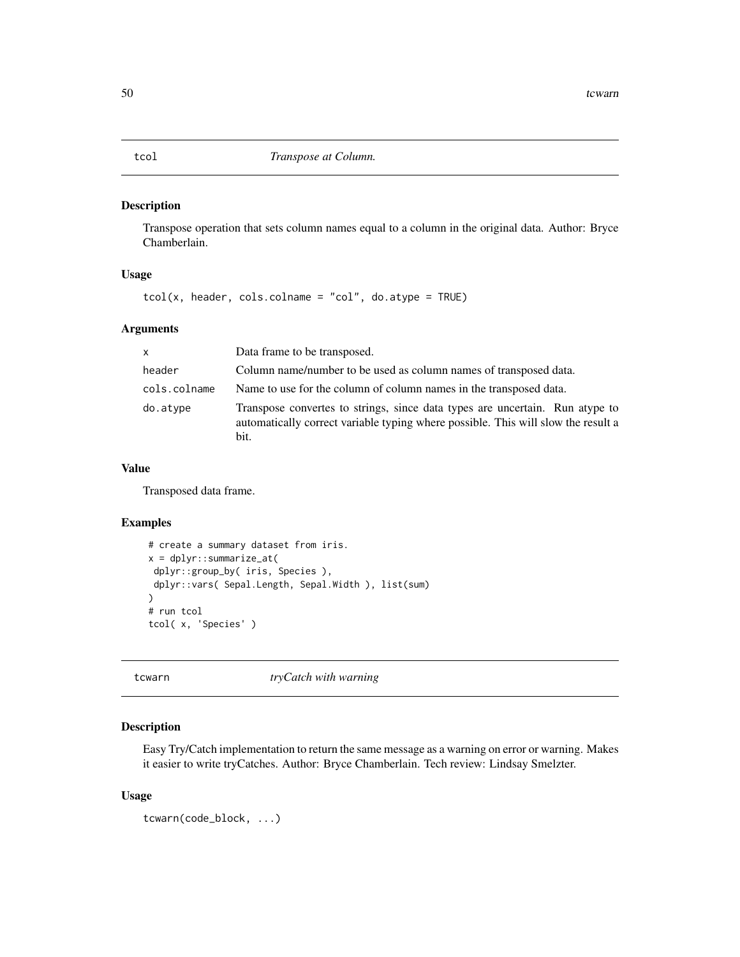<span id="page-49-0"></span>tcol *Transpose at Column.*

# Description

Transpose operation that sets column names equal to a column in the original data. Author: Bryce Chamberlain.

#### Usage

 $tcol(x, header, cols$ **[col]** $,  $dol(x, header)$$ 

#### Arguments

| $\mathsf{x}$ | Data frame to be transposed.                                                                                                                                              |
|--------------|---------------------------------------------------------------------------------------------------------------------------------------------------------------------------|
| header       | Column name/number to be used as column names of transposed data.                                                                                                         |
| cols.colname | Name to use for the column of column names in the transposed data.                                                                                                        |
| do.atype     | Transpose convertes to strings, since data types are uncertain. Run atype to<br>automatically correct variable typing where possible. This will slow the result a<br>bit. |

#### Value

Transposed data frame.

#### Examples

```
# create a summary dataset from iris.
x = dplyr::summarize_at(
dplyr::group_by( iris, Species ),
dplyr::vars( Sepal.Length, Sepal.Width ), list(sum)
\lambda# run tcol
tcol( x, 'Species' )
```
tcwarn *tryCatch with warning*

#### Description

Easy Try/Catch implementation to return the same message as a warning on error or warning. Makes it easier to write tryCatches. Author: Bryce Chamberlain. Tech review: Lindsay Smelzter.

#### Usage

```
tcwarn(code_block, ...)
```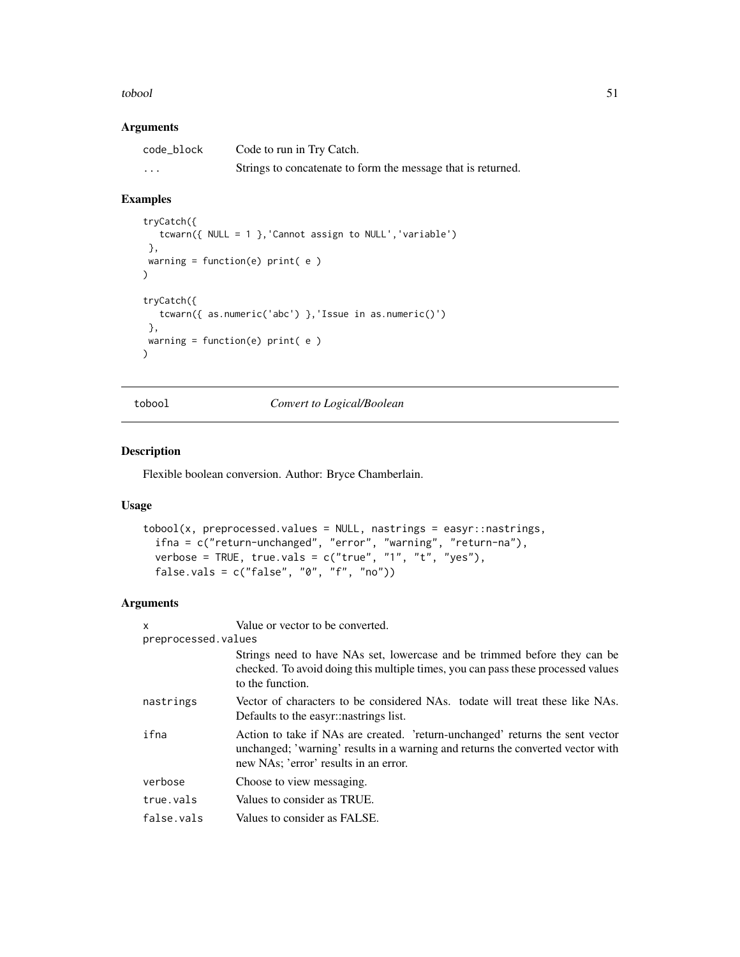#### <span id="page-50-0"></span>tobool 51

#### Arguments

| code_block | Code to run in Try Catch.                                    |
|------------|--------------------------------------------------------------|
| $\cdots$   | Strings to concatenate to form the message that is returned. |

# Examples

```
tryCatch({
   tcwarn({ NULL = 1 },'Cannot assign to NULL','variable')
 },
 warning = function(e) print(e)\mathcal{L}tryCatch({
   tcwarn({ as.numeric('abc') },'Issue in as.numeric()')
 },
warning = function(e) print(e)\mathcal{L}
```
tobool *Convert to Logical/Boolean*

# Description

Flexible boolean conversion. Author: Bryce Chamberlain.

#### Usage

```
tobool(x, preprocessed.values = NULL, nastings = easyr::nastings,ifna = c("return-unchanged", "error", "warning", "return-na"),
  verbose = TRUE, true.vals = c("true", "1", "t", "yes"),
 false.vals = c("false", "0", "f", "no"))
```

| x                   | Value or vector to be converted.                                                                                                                                                                          |
|---------------------|-----------------------------------------------------------------------------------------------------------------------------------------------------------------------------------------------------------|
| preprocessed.values |                                                                                                                                                                                                           |
|                     | Strings need to have NAs set, lowercase and be trimmed before they can be<br>checked. To avoid doing this multiple times, you can pass these processed values<br>to the function.                         |
| nastrings           | Vector of characters to be considered NAs. todate will treat these like NAs.<br>Defaults to the easyr::nastrings list.                                                                                    |
| ifna                | Action to take if NAs are created. 'return-unchanged' returns the sent vector<br>unchanged; 'warning' results in a warning and returns the converted vector with<br>new NAs; 'error' results in an error. |
| verbose             | Choose to view messaging.                                                                                                                                                                                 |
| true.vals           | Values to consider as TRUE.                                                                                                                                                                               |
| false.vals          | Values to consider as FALSE.                                                                                                                                                                              |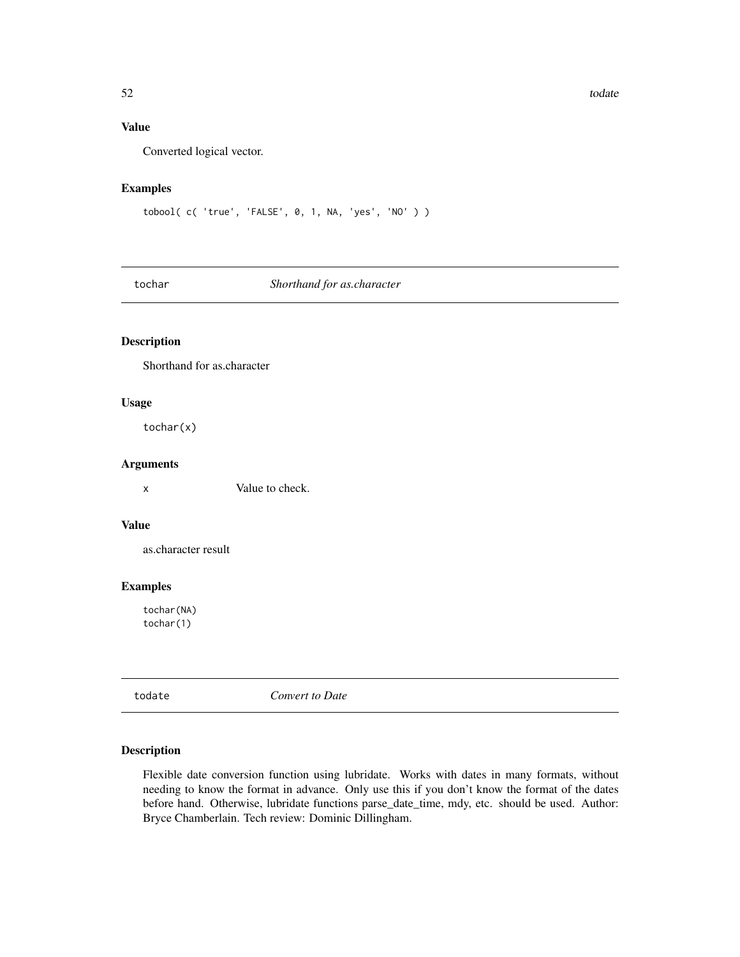# <span id="page-51-0"></span>Value

Converted logical vector.

#### Examples

```
tobool( c( 'true', 'FALSE', 0, 1, NA, 'yes', 'NO' ) )
```
tochar *Shorthand for as.character*

#### Description

Shorthand for as.character

#### Usage

tochar(x)

#### Arguments

x Value to check.

#### Value

as.character result

# Examples

tochar(NA) tochar(1)

todate *Convert to Date*

# Description

Flexible date conversion function using lubridate. Works with dates in many formats, without needing to know the format in advance. Only use this if you don't know the format of the dates before hand. Otherwise, lubridate functions parse\_date\_time, mdy, etc. should be used. Author: Bryce Chamberlain. Tech review: Dominic Dillingham.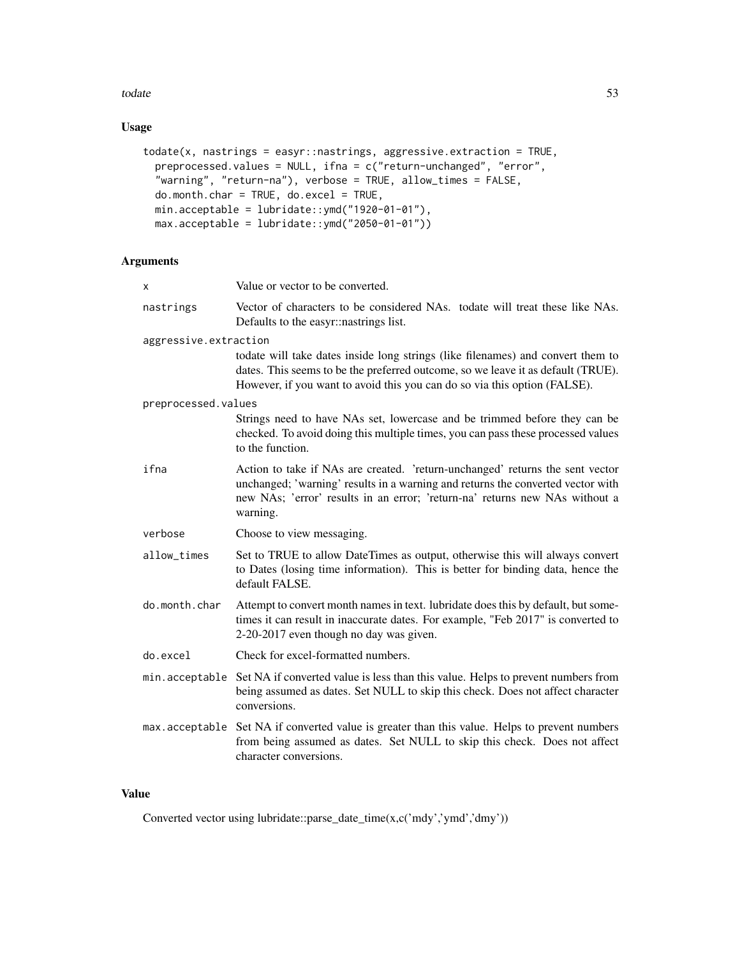#### todate 53

# Usage

```
todate(x, nastrings = easyr::nastrings, aggressive.extraction = TRUE,
 preprocessed.values = NULL, ifna = c("return-unchanged", "error",
  "warning", "return-na"), verbose = TRUE, allow_times = FALSE,
 do.month.char = TRUE, do.excel = TRUE,
 min.acceptable = lubridate::ymd("1920-01-01"),
 max.acceptable = lubridate::ymd("2050-01-01"))
```
# Arguments

| x                     | Value or vector to be converted.                                                                                                                                                                                                                            |
|-----------------------|-------------------------------------------------------------------------------------------------------------------------------------------------------------------------------------------------------------------------------------------------------------|
| nastrings             | Vector of characters to be considered NAs. todate will treat these like NAs.<br>Defaults to the easyr: nastrings list.                                                                                                                                      |
| aggressive.extraction |                                                                                                                                                                                                                                                             |
|                       | todate will take dates inside long strings (like filenames) and convert them to<br>dates. This seems to be the preferred outcome, so we leave it as default (TRUE).<br>However, if you want to avoid this you can do so via this option (FALSE).            |
| preprocessed.values   |                                                                                                                                                                                                                                                             |
|                       | Strings need to have NAs set, lowercase and be trimmed before they can be<br>checked. To avoid doing this multiple times, you can pass these processed values<br>to the function.                                                                           |
| ifna                  | Action to take if NAs are created. 'return-unchanged' returns the sent vector<br>unchanged; 'warning' results in a warning and returns the converted vector with<br>new NAs; 'error' results in an error; 'return-na' returns new NAs without a<br>warning. |
| verbose               | Choose to view messaging.                                                                                                                                                                                                                                   |
| allow_times           | Set to TRUE to allow DateTimes as output, otherwise this will always convert<br>to Dates (losing time information). This is better for binding data, hence the<br>default FALSE.                                                                            |
| do.month.char         | Attempt to convert month names in text. lubridate does this by default, but some-<br>times it can result in inaccurate dates. For example, "Feb 2017" is converted to<br>2-20-2017 even though no day was given.                                            |
| do.excel              | Check for excel-formatted numbers.                                                                                                                                                                                                                          |
|                       | min. acceptable Set NA if converted value is less than this value. Helps to prevent numbers from<br>being assumed as dates. Set NULL to skip this check. Does not affect character<br>conversions.                                                          |
|                       | max.acceptable Set NA if converted value is greater than this value. Helps to prevent numbers<br>from being assumed as dates. Set NULL to skip this check. Does not affect<br>character conversions.                                                        |
|                       |                                                                                                                                                                                                                                                             |

#### Value

Converted vector using lubridate::parse\_date\_time(x,c('mdy','ymd','dmy'))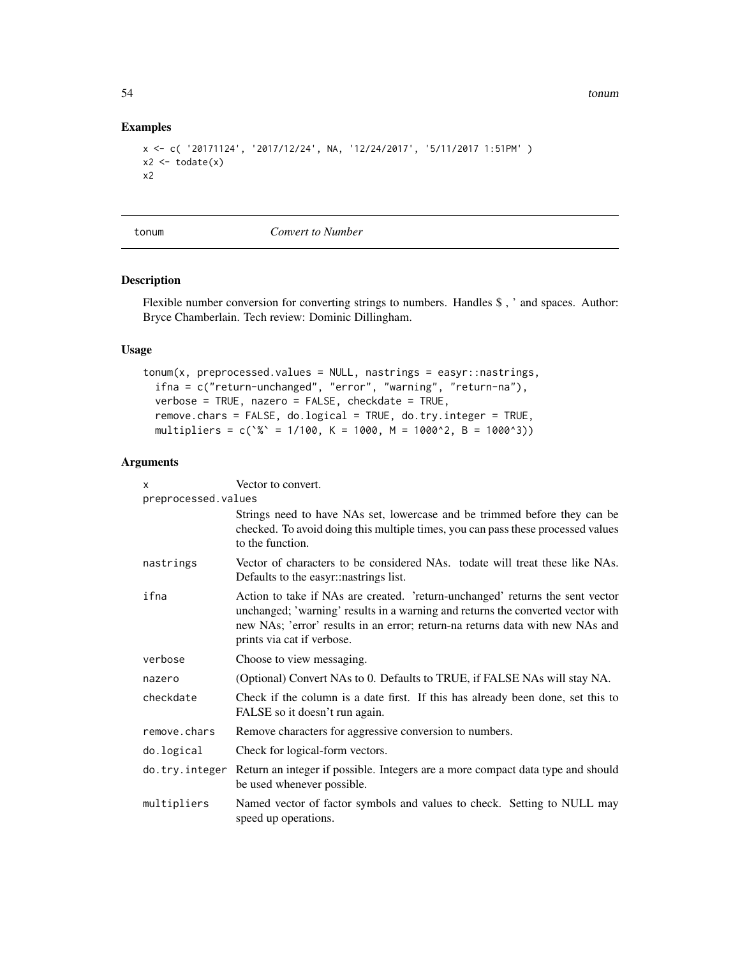54 tonum

#### Examples

```
x <- c( '20171124', '2017/12/24', NA, '12/24/2017', '5/11/2017 1:51PM' )
x2 \leftarrow \text{todate}(x)x2
```
tonum *Convert to Number*

#### Description

Flexible number conversion for converting strings to numbers. Handles \$ , ' and spaces. Author: Bryce Chamberlain. Tech review: Dominic Dillingham.

#### Usage

```
tonum(x, preprocessed.values = NULL, nastrings = easyr::nastrings,
 ifna = c("return-unchanged", "error", "warning", "return-na"),
 verbose = TRUE, nazero = FALSE, checkdate = TRUE,
 remove.chars = FALSE, do.logical = TRUE, do.try.integer = TRUE,
 multipliers = c('%` = 1/100, K = 1000, M = 1000^2, B = 1000^3)
```

| X                   | Vector to convert.                                                                                                                                                                                                                                                              |  |
|---------------------|---------------------------------------------------------------------------------------------------------------------------------------------------------------------------------------------------------------------------------------------------------------------------------|--|
| preprocessed.values |                                                                                                                                                                                                                                                                                 |  |
|                     | Strings need to have NAs set, lowercase and be trimmed before they can be<br>checked. To avoid doing this multiple times, you can pass these processed values<br>to the function.                                                                                               |  |
| nastrings           | Vector of characters to be considered NAs. todate will treat these like NAs.<br>Defaults to the easyr: nastrings list.                                                                                                                                                          |  |
| ifna                | Action to take if NAs are created. 'return-unchanged' returns the sent vector<br>unchanged; 'warning' results in a warning and returns the converted vector with<br>new NAs; 'error' results in an error; return-na returns data with new NAs and<br>prints via cat if verbose. |  |
| verbose             | Choose to view messaging.                                                                                                                                                                                                                                                       |  |
| nazero              | (Optional) Convert NAs to 0. Defaults to TRUE, if FALSE NAs will stay NA.                                                                                                                                                                                                       |  |
| checkdate           | Check if the column is a date first. If this has already been done, set this to<br>FALSE so it doesn't run again.                                                                                                                                                               |  |
| remove.chars        | Remove characters for aggressive conversion to numbers.                                                                                                                                                                                                                         |  |
| do.logical          | Check for logical-form vectors.                                                                                                                                                                                                                                                 |  |
| do.try.integer      | Return an integer if possible. Integers are a more compact data type and should<br>be used whenever possible.                                                                                                                                                                   |  |
| multipliers         | Named vector of factor symbols and values to check. Setting to NULL may<br>speed up operations.                                                                                                                                                                                 |  |

<span id="page-53-0"></span>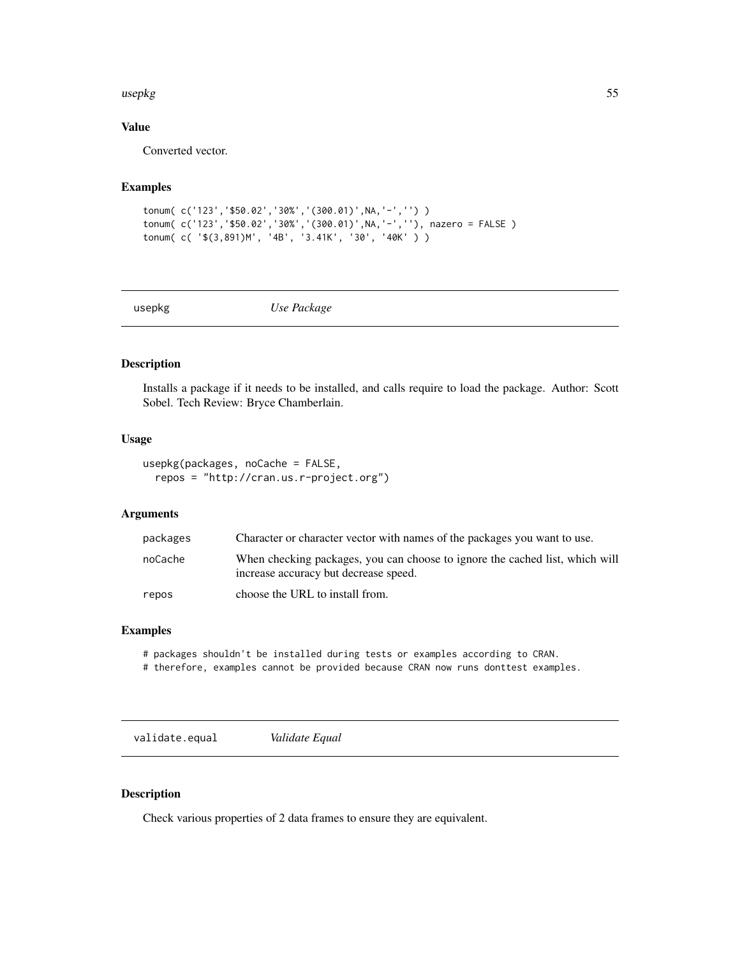#### <span id="page-54-0"></span>usepkg 55

# Value

Converted vector.

# Examples

```
tonum( c('123','$50.02','30%','(300.01)',NA,'-','') )
tonum( c('123','$50.02','30%','(300.01)',NA,'-',''), nazero = FALSE )
tonum( c( '$(3,891)M', '4B', '3.41K', '30', '40K' ) )
```
usepkg *Use Package*

#### Description

Installs a package if it needs to be installed, and calls require to load the package. Author: Scott Sobel. Tech Review: Bryce Chamberlain.

#### Usage

```
usepkg(packages, noCache = FALSE,
  repos = "http://cran.us.r-project.org")
```
#### Arguments

| packages | Character or character vector with names of the packages you want to use.                                             |
|----------|-----------------------------------------------------------------------------------------------------------------------|
| noCache  | When checking packages, you can choose to ignore the cached list, which will<br>increase accuracy but decrease speed. |
| repos    | choose the URL to install from.                                                                                       |

#### Examples

# packages shouldn't be installed during tests or examples according to CRAN.

# therefore, examples cannot be provided because CRAN now runs donttest examples.

validate.equal *Validate Equal*

#### Description

Check various properties of 2 data frames to ensure they are equivalent.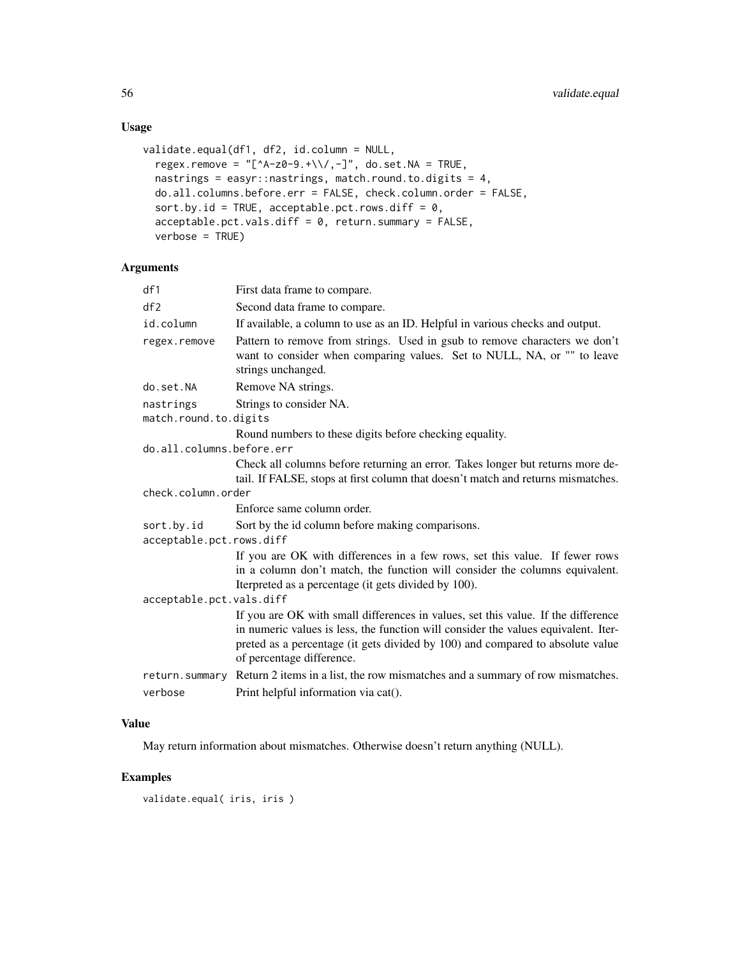# Usage

```
validate.equal(df1, df2, id.column = NULL,
  regex.remove = "[^A-z0-9.+\\/,-]", do.set.NA = TRUE,
 nastrings = easyr::nastrings, match.round.to.digits = 4,
 do.all.columns.before.err = FALSE, check.column.order = FALSE,
  sort.by.id = TRUE, acceptable.pct.rows.diff = 0,
  acceptable.pct.values.diff = 0, return.summary = FALSE,verbose = TRUE)
```
# Arguments

| df1                       | First data frame to compare.                                                                                                                                                                                                                                                           |  |
|---------------------------|----------------------------------------------------------------------------------------------------------------------------------------------------------------------------------------------------------------------------------------------------------------------------------------|--|
| df2                       | Second data frame to compare.                                                                                                                                                                                                                                                          |  |
| id.column                 | If available, a column to use as an ID. Helpful in various checks and output.                                                                                                                                                                                                          |  |
| regex.remove              | Pattern to remove from strings. Used in gsub to remove characters we don't<br>want to consider when comparing values. Set to NULL, NA, or "" to leave<br>strings unchanged.                                                                                                            |  |
| do.set.NA                 | Remove NA strings.                                                                                                                                                                                                                                                                     |  |
| nastrings                 | Strings to consider NA.                                                                                                                                                                                                                                                                |  |
| match.round.to.digits     |                                                                                                                                                                                                                                                                                        |  |
|                           | Round numbers to these digits before checking equality.                                                                                                                                                                                                                                |  |
| do.all.columns.before.err |                                                                                                                                                                                                                                                                                        |  |
|                           | Check all columns before returning an error. Takes longer but returns more de-<br>tail. If FALSE, stops at first column that doesn't match and returns mismatches.                                                                                                                     |  |
| check.column.order        |                                                                                                                                                                                                                                                                                        |  |
|                           | Enforce same column order.                                                                                                                                                                                                                                                             |  |
| sort.by.id                | Sort by the id column before making comparisons.                                                                                                                                                                                                                                       |  |
| acceptable.pct.rows.diff  |                                                                                                                                                                                                                                                                                        |  |
|                           | If you are OK with differences in a few rows, set this value. If fewer rows<br>in a column don't match, the function will consider the columns equivalent.<br>Iterpreted as a percentage (it gets divided by 100).                                                                     |  |
| acceptable.pct.vals.diff  |                                                                                                                                                                                                                                                                                        |  |
|                           | If you are OK with small differences in values, set this value. If the difference<br>in numeric values is less, the function will consider the values equivalent. Iter-<br>preted as a percentage (it gets divided by 100) and compared to absolute value<br>of percentage difference. |  |
|                           | return. summary Return 2 items in a list, the row mismatches and a summary of row mismatches.                                                                                                                                                                                          |  |
| verbose                   | Print helpful information via cat().                                                                                                                                                                                                                                                   |  |
|                           |                                                                                                                                                                                                                                                                                        |  |

# Value

May return information about mismatches. Otherwise doesn't return anything (NULL).

# Examples

validate.equal( iris, iris )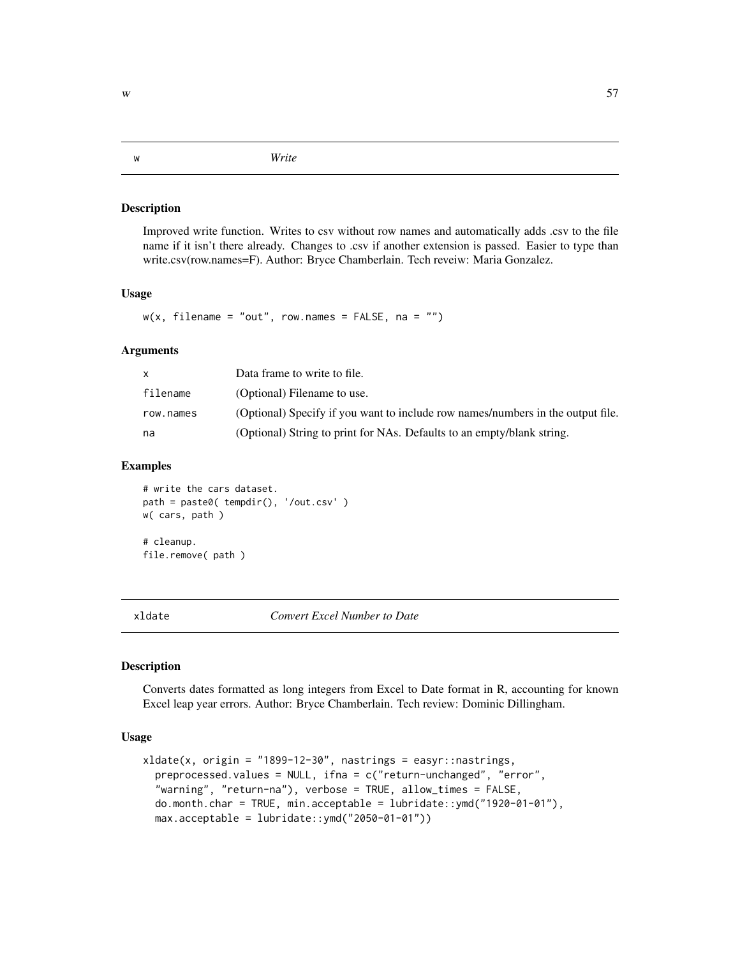<span id="page-56-0"></span>w *Write*

#### Description

Improved write function. Writes to csv without row names and automatically adds .csv to the file name if it isn't there already. Changes to .csv if another extension is passed. Easier to type than write.csv(row.names=F). Author: Bryce Chamberlain. Tech reveiw: Maria Gonzalez.

#### Usage

 $w(x,$  filename = "out", row.names = FALSE, na = "")

#### Arguments

|           | Data frame to write to file.                                                    |
|-----------|---------------------------------------------------------------------------------|
| filename  | (Optional) Filename to use.                                                     |
| row.names | (Optional) Specify if you want to include row names/numbers in the output file. |
| na        | (Optional) String to print for NAs. Defaults to an empty/blank string.          |

# Examples

```
# write the cars dataset.
path = paste0( tempdir(), '/out.csv' )
w( cars, path )
# cleanup.
file.remove( path )
```
xldate *Convert Excel Number to Date*

#### Description

Converts dates formatted as long integers from Excel to Date format in R, accounting for known Excel leap year errors. Author: Bryce Chamberlain. Tech review: Dominic Dillingham.

# Usage

```
xldate(x, origin = "1899-12-30", nasting = easyr::nastings,preprocessed.values = NULL, ifna = c("return-unchanged", "error",
  "warning", "return-na"), verbose = TRUE, allow_times = FALSE,
  do.month.char = TRUE, min.acceptable = lubridate::ymd("1920-01-01"),
  max.acceptable = lubridate::ymd("2050-01-01"))
```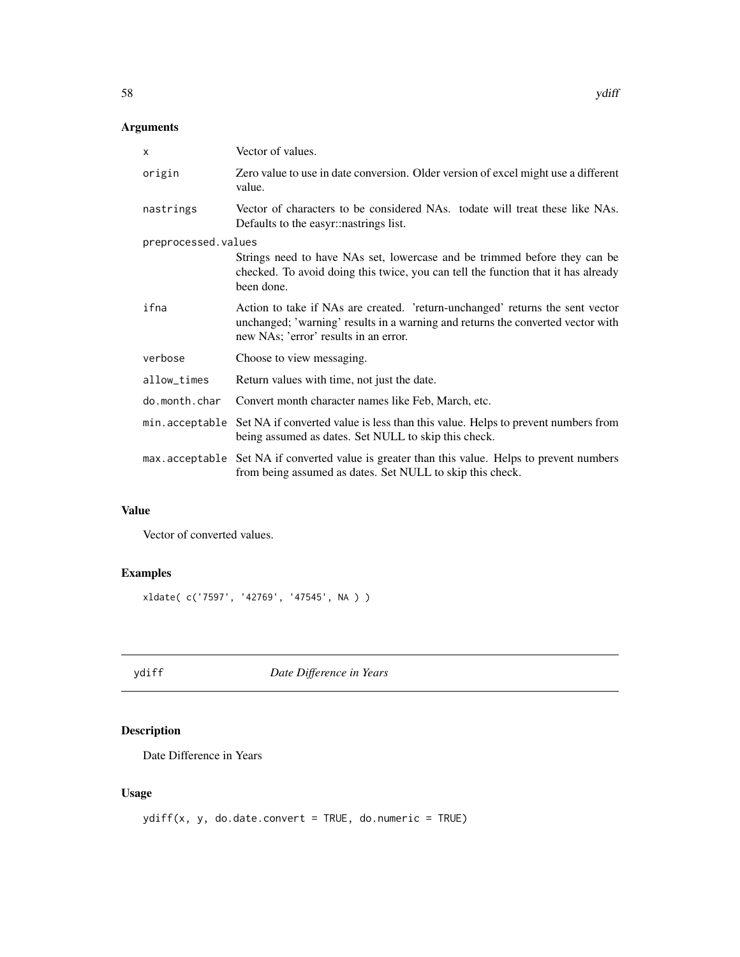# <span id="page-57-0"></span>Arguments

| X                   | Vector of values.                                                                                                                                                                                         |  |
|---------------------|-----------------------------------------------------------------------------------------------------------------------------------------------------------------------------------------------------------|--|
| origin              | Zero value to use in date conversion. Older version of excel might use a different<br>value.                                                                                                              |  |
| nastrings           | Vector of characters to be considered NAs. todate will treat these like NAs.<br>Defaults to the easyr: nastrings list.                                                                                    |  |
| preprocessed.values |                                                                                                                                                                                                           |  |
|                     | Strings need to have NAs set, lowercase and be trimmed before they can be<br>checked. To avoid doing this twice, you can tell the function that it has already<br>been done.                              |  |
| ifna                | Action to take if NAs are created. 'return-unchanged' returns the sent vector<br>unchanged; 'warning' results in a warning and returns the converted vector with<br>new NAs; 'error' results in an error. |  |
| verbose             | Choose to view messaging.                                                                                                                                                                                 |  |
| allow_times         | Return values with time, not just the date.                                                                                                                                                               |  |
| do.month.char       | Convert month character names like Feb, March, etc.                                                                                                                                                       |  |
|                     | min. acceptable Set NA if converted value is less than this value. Helps to prevent numbers from<br>being assumed as dates. Set NULL to skip this check.                                                  |  |
|                     | max. acceptable Set NA if converted value is greater than this value. Helps to prevent numbers<br>from being assumed as dates. Set NULL to skip this check.                                               |  |

#### Value

Vector of converted values.

# Examples

xldate( c('7597', '42769', '47545', NA ) )

ydiff *Date Difference in Years*

# Description

Date Difference in Years

# Usage

ydiff(x, y, do.date.convert = TRUE, do.numeric = TRUE)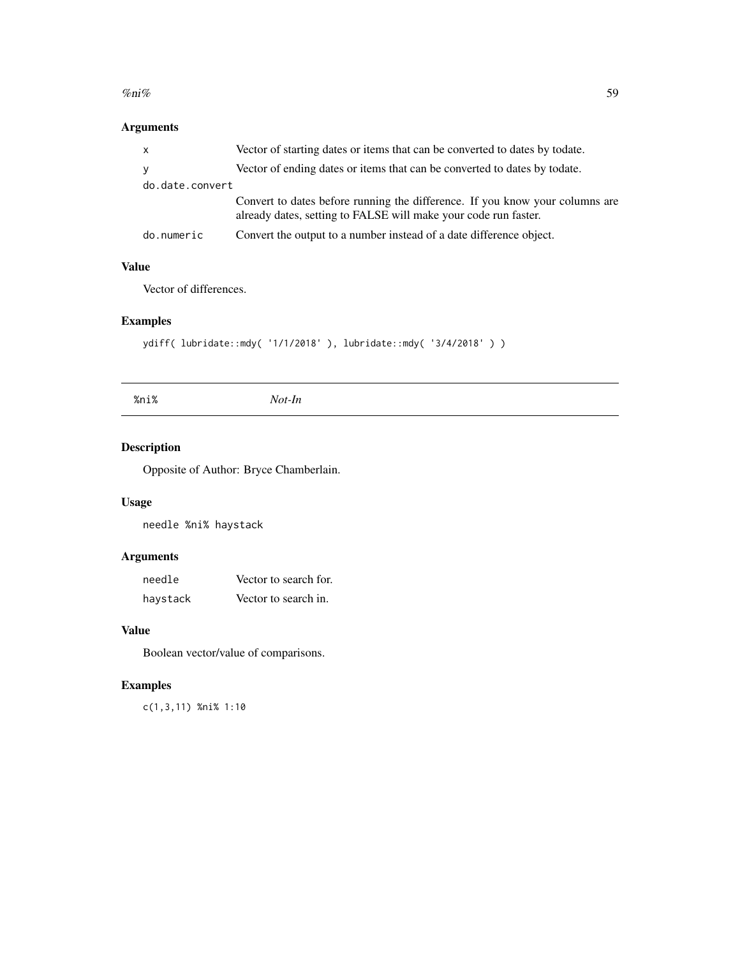#### <span id="page-58-0"></span> $\%$ ni% 59

# Arguments

| $\mathsf{X}$    | Vector of starting dates or items that can be converted to dates by todate.                                                                     |  |
|-----------------|-------------------------------------------------------------------------------------------------------------------------------------------------|--|
| V               | Vector of ending dates or items that can be converted to dates by todate.                                                                       |  |
| do.date.convert |                                                                                                                                                 |  |
|                 | Convert to dates before running the difference. If you know your columns are<br>already dates, setting to FALSE will make your code run faster. |  |
| do.numeric      | Convert the output to a number instead of a date difference object.                                                                             |  |

# Value

Vector of differences.

# Examples

```
ydiff( lubridate::mdy( '1/1/2018' ), lubridate::mdy( '3/4/2018' ) )
```
%ni% *Not-In*

# Description

Opposite of Author: Bryce Chamberlain.

# Usage

needle %ni% haystack

# Arguments

| needle   | Vector to search for. |
|----------|-----------------------|
| haystack | Vector to search in.  |

#### Value

Boolean vector/value of comparisons.

# Examples

c(1,3,11) %ni% 1:10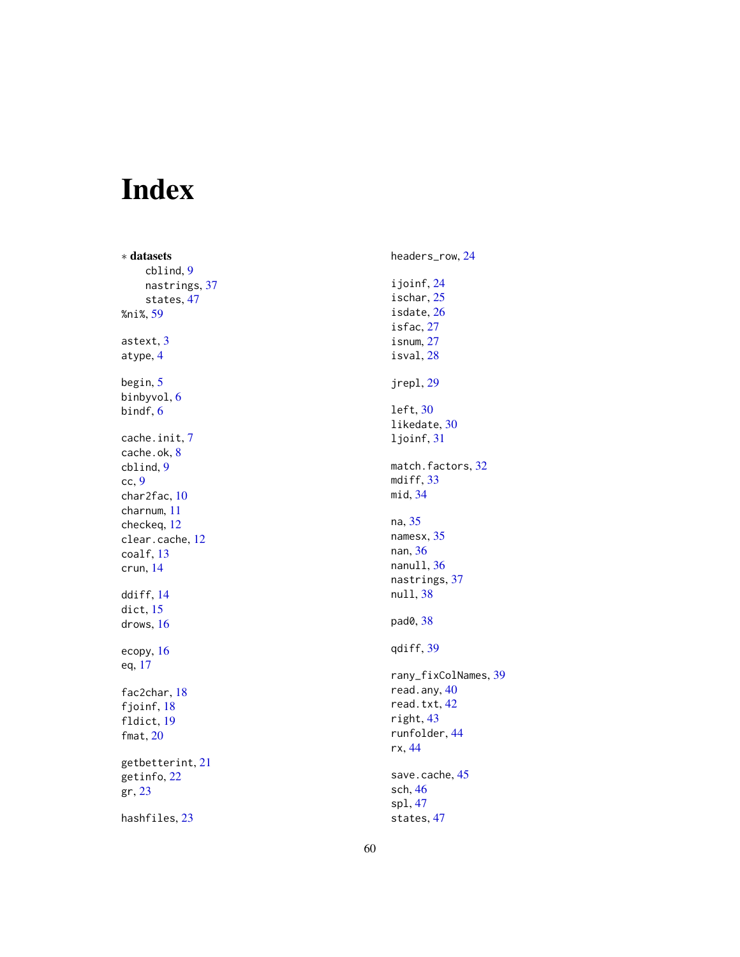# <span id="page-59-0"></span>Index

∗ datasets cblind , [9](#page-8-0) nastrings , [37](#page-36-0) states , [47](#page-46-0) %ni% , [59](#page-58-0) astext, [3](#page-2-0) atype , [4](#page-3-0) begin , [5](#page-4-0) binbyvol , [6](#page-5-0) bindf, <mark>[6](#page-5-0)</mark> cache.init , [7](#page-6-0) cache.ok , [8](#page-7-0) cblind , [9](#page-8-0) cc , [9](#page-8-0) char2fac , [10](#page-9-0) charnum , [11](#page-10-0) checkeq , [12](#page-11-0) clear.cache , [12](#page-11-0) coalf , [13](#page-12-0) crun , [14](#page-13-0) ddiff , [14](#page-13-0) dict , [15](#page-14-0) drows , [16](#page-15-0) ecopy , [16](#page-15-0) eq , [17](#page-16-0) fac2char , [18](#page-17-0) fjoinf, [18](#page-17-0) fldict , [19](#page-18-0) fmat, [20](#page-19-0) getbetterint , [21](#page-20-0) getinfo , [22](#page-21-0) gr , [23](#page-22-0) hashfiles , [23](#page-22-0)

headers\_row , [24](#page-23-0) ijoinf , [24](#page-23-0) ischar , [25](#page-24-0) isdate , [26](#page-25-0) isfac , [27](#page-26-0) isnum , [27](#page-26-0) isval , [28](#page-27-0) jrepl , [29](#page-28-0) left , [30](#page-29-0) likedate , [30](#page-29-0) ljoinf , [31](#page-30-0) match.factors, [32](#page-31-0) mdiff, [33](#page-32-0) mid , [34](#page-33-0) na , [35](#page-34-0) namesx , [35](#page-34-0) nan , [36](#page-35-0) nanull, [36](#page-35-0) nastrings , [37](#page-36-0) null , [38](#page-37-0) pad0 , [38](#page-37-0) qdiff , [39](#page-38-0) rany\_fixColNames , [39](#page-38-0) read.any, [40](#page-39-0) read.txt, [42](#page-41-0) right , [43](#page-42-0) runfolder , [44](#page-43-0) rx , [44](#page-43-0) save.cache, [45](#page-44-0) sch , [46](#page-45-0) spl , [47](#page-46-0) states , [47](#page-46-0)